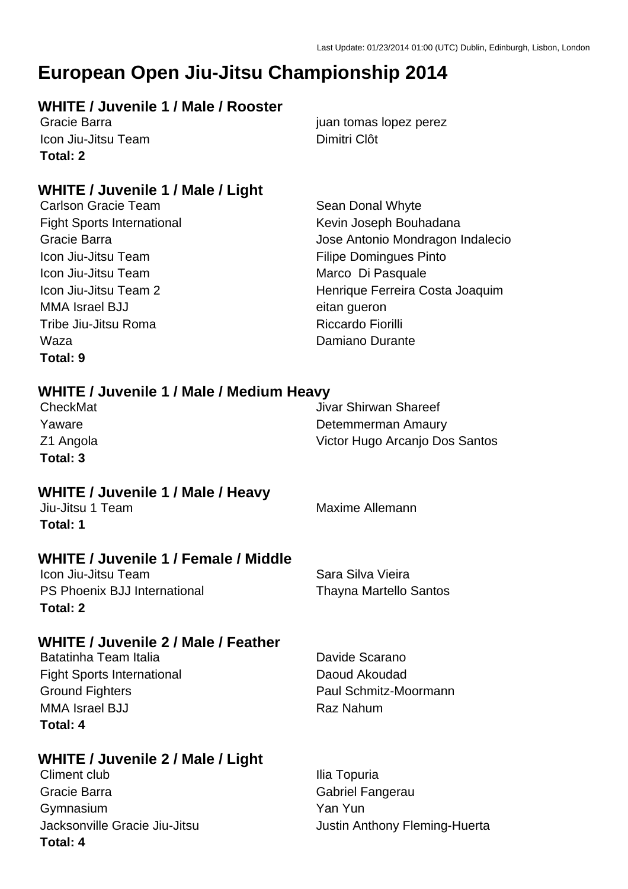### **European Open Jiu-Jitsu Championship 2014**

### **WHITE / Juvenile 1 / Male / Rooster**

**Icon Jiu-Jitsu Team Dimitri Clôt Total: 2**

### **WHITE / Juvenile 1 / Male / Light**

Fight Sports International The Kevin Joseph Bouhadana Icon Jiu-Jitsu Team Filipe Domingues Pinto Icon Jiu-Jitsu Team Marco Di Pasquale MMA Israel BJJ eitan gueron Tribe Jiu-Jitsu Roma **Riccardo Fiorilli** Waza **Damiano** Durante **Total: 9**

Gracie Barra **in the set of the set of the set of the set of the set of the set of the set of the set of the set of the set of the set of the set of the set of the set of the set of the set of the set of the set of the set** 

Carlson Gracie Team Sean Donal Whyte Gracie Barra Jose Antonio Mondragon Indalecio Icon Jiu-Jitsu Team 2 **Henrique Ferreira Costa Joaquim** 

### **WHITE / Juvenile 1 / Male / Medium Heavy**

| CheckMat  | Jivar Shirwan Shareef          |
|-----------|--------------------------------|
| Yaware    | Detemmerman Amaury             |
| Z1 Angola | Victor Hugo Arcanjo Dos Santos |
| Total: 3  |                                |

### **WHITE / Juvenile 1 / Male / Heavy**

**Total: 1**

### **WHITE / Juvenile 1 / Female / Middle**

Icon Jiu-Jitsu Team Sara Silva Vieira PS Phoenix BJJ International Thayna Martello Santos **Total: 2**

### Jiu-Jitsu 1 Team Maxime Allemann

### **WHITE / Juvenile 2 / Male / Feather**

| Batatinha Team Italia             | Davide Scarano        |
|-----------------------------------|-----------------------|
| <b>Fight Sports International</b> | Daoud Akoudad         |
| <b>Ground Fighters</b>            | Paul Schmitz-Moormann |
| MMA Israel BJJ                    | Raz Nahum             |
| Total: 4                          |                       |

### **WHITE / Juvenile 2 / Male / Light**

Climent club Ilia Topuria Gracie Barra Gabriel Fangerau Gymnasium Yan Yun **Total: 4**

Jacksonville Gracie Jiu-Jitsu **Justin Anthony Fleming-Huerta**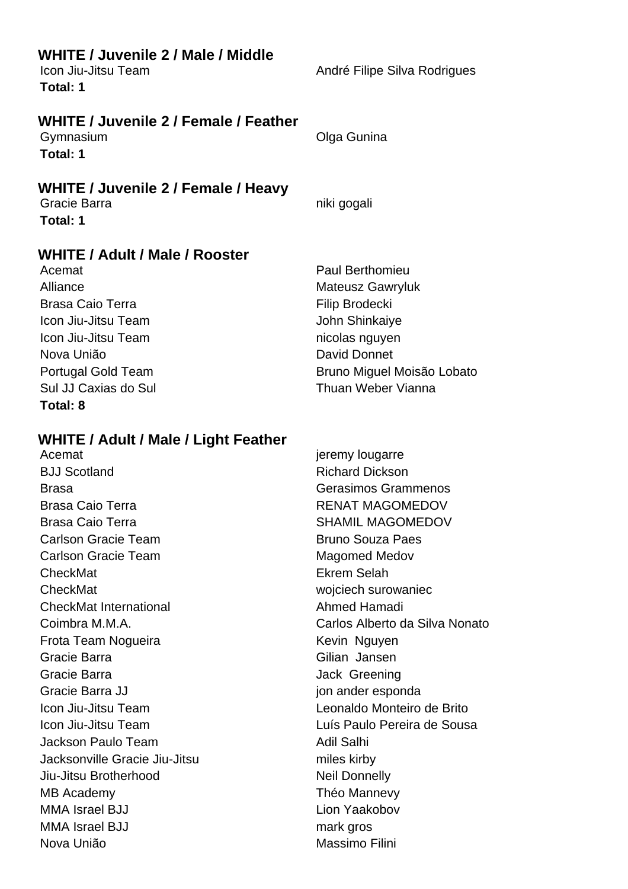| <b>WHITE / Juvenile 2 / Male / Middle</b><br>Icon Jiu-Jitsu Team<br>Total: 1                                                                                                                                                                                                                                                                                                                                                                                                                                                             | André Filipe Silva Rodrigues                                                                                                                                                                                                                                                                                                                                                                                                                                                               |
|------------------------------------------------------------------------------------------------------------------------------------------------------------------------------------------------------------------------------------------------------------------------------------------------------------------------------------------------------------------------------------------------------------------------------------------------------------------------------------------------------------------------------------------|--------------------------------------------------------------------------------------------------------------------------------------------------------------------------------------------------------------------------------------------------------------------------------------------------------------------------------------------------------------------------------------------------------------------------------------------------------------------------------------------|
| <b>WHITE / Juvenile 2 / Female / Feather</b><br>Gymnasium<br>Total: 1                                                                                                                                                                                                                                                                                                                                                                                                                                                                    | Olga Gunina                                                                                                                                                                                                                                                                                                                                                                                                                                                                                |
| WHITE / Juvenile 2 / Female / Heavy<br>Gracie Barra<br>Total: 1                                                                                                                                                                                                                                                                                                                                                                                                                                                                          | niki gogali                                                                                                                                                                                                                                                                                                                                                                                                                                                                                |
| WHITE / Adult / Male / Rooster<br>Acemat<br>Alliance<br><b>Brasa Caio Terra</b><br>Icon Jiu-Jitsu Team<br>Icon Jiu-Jitsu Team<br>Nova União<br><b>Portugal Gold Team</b><br>Sul JJ Caxias do Sul<br><b>Total: 8</b>                                                                                                                                                                                                                                                                                                                      | <b>Paul Berthomieu</b><br><b>Mateusz Gawryluk</b><br><b>Filip Brodecki</b><br>John Shinkaiye<br>nicolas nguyen<br><b>David Donnet</b><br>Bruno Miguel Moisão Lobato<br>Thuan Weber Vianna                                                                                                                                                                                                                                                                                                  |
| <b>WHITE / Adult / Male / Light Feather</b><br>Acemat<br><b>BJJ Scotland</b><br><b>Brasa</b><br><b>Brasa Caio Terra</b><br><b>Brasa Caio Terra</b><br><b>Carlson Gracie Team</b><br><b>Carlson Gracie Team</b><br>CheckMat<br>CheckMat<br><b>CheckMat International</b><br>Coimbra M.M.A.<br>Frota Team Nogueira<br>Gracie Barra<br>Gracie Barra<br>Gracie Barra JJ<br>Icon Jiu-Jitsu Team<br>Icon Jiu-Jitsu Team<br>Jackson Paulo Team<br>Jacksonville Gracie Jiu-Jitsu<br>Jiu-Jitsu Brotherhood<br>MB Academy<br><b>MMA Israel BJJ</b> | jeremy lougarre<br><b>Richard Dickson</b><br>Gerasimos Grammenos<br><b>RENAT MAGOMEDOV</b><br><b>SHAMIL MAGOMEDOV</b><br><b>Bruno Souza Paes</b><br>Magomed Medov<br>Ekrem Selah<br>wojciech surowaniec<br>Ahmed Hamadi<br>Carlos Alberto da Silva Nonato<br>Kevin Nguyen<br>Gilian Jansen<br>Jack Greening<br>jon ander esponda<br>Leonaldo Monteiro de Brito<br>Luís Paulo Pereira de Sousa<br><b>Adil Salhi</b><br>miles kirby<br><b>Neil Donnelly</b><br>Théo Mannevy<br>Lion Yaakobov |
| <b>MMA Israel BJJ</b><br>Nova União                                                                                                                                                                                                                                                                                                                                                                                                                                                                                                      | mark gros<br>Massimo Filini                                                                                                                                                                                                                                                                                                                                                                                                                                                                |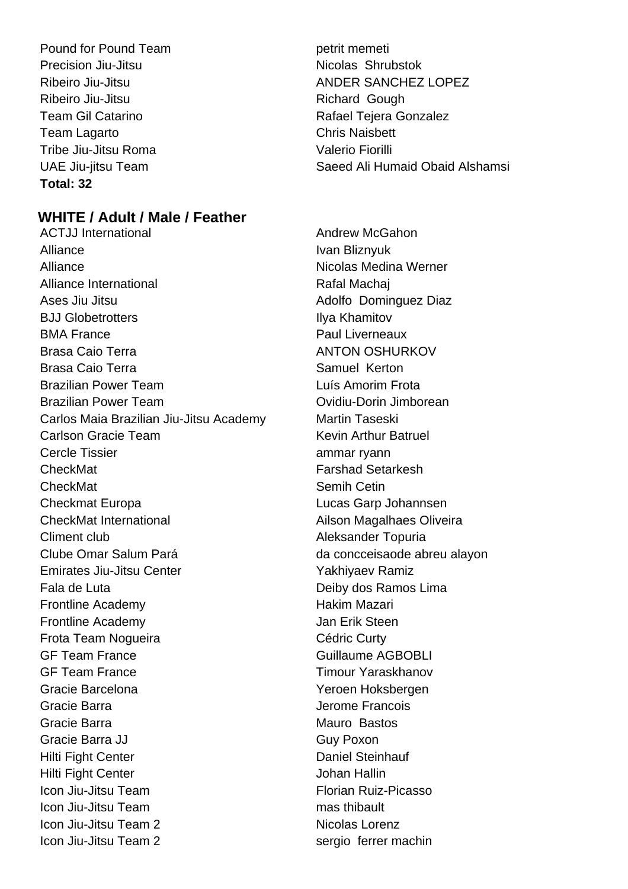Pound for Pound Team petrit memeti Precision Jiu-Jitsu Nicolas Shrubstok Ribeiro Jiu-Jitsu **Ribeiro Alta Contra Contra Contra Contra Contra Contra Contra Contra Contra Contra Contra Contra Contra Contra Contra Contra Contra Contra Contra Contra Contra Contra Contra Contra Contra Contra Contra C** Team Lagarto Chris Naisbett Tribe Jiu-Jitsu Roma Valerio Fiorilli **Total: 32**

### **WHITE / Adult / Male / Feather**

ACTJJ International **ACTJ Andrew McGahon** Alliance Ivan Bliznyuk Alliance **Nicolas Medina Werner** Nicolas Medina Werner Alliance International **Rafal Machai** Ases Jiu Jitsu **Adolfo Dominguez Diaz** Adolfo Dominguez Diaz BJJ Globetrotters **Ilya Khamitov** BMA France **Paul Liverneaux** Brasa Caio Terra **ANTON OSHURKOV** Brasa Caio Terra New York Samuel Kerton Brazilian Power Team **Luís Amorim Frota** Brazilian Power Team Ovidiu-Dorin Jimborean Carlos Maia Brazilian Jiu-Jitsu Academy Martin Taseski Carlson Gracie Team **Kevin Arthur Batruel** Cercle Tissier ammar ryann CheckMat **Farshad Setarkesh CheckMat** Semih Cetin Checkmat Europa Lucas Garp Johannsen CheckMat International **Ailson Magalhaes Oliveira** Climent club **Aleksander Topuria** Clube Omar Salum Pará da concceisaode abreu alayon Emirates Jiu-Jitsu Center **Yakhiyaev Ramiz** Fala de Luta **Deiby dos Ramos Lima** Frontline Academy **Hakim Mazari** Hakim Mazari Frontline Academy **Jan Erik Steen** Frota Team Nogueira **Cédric Curty** GF Team France Guillaume AGBOBLI GF Team France Timour Yaraskhanov Gracie Barcelona Yeroen Hoksbergen Gracie Barra Jerome Francois Gracie Barra **Mauro Bastos** Mauro Bastos Gracie Barra JJ Guy Poxon Hilti Fight Center **Daniel Steinhauf** Hilti Fight Center **Hilti Fight Center** Johan Hallin **Icon Jiu-Jitsu Team Florian Ruiz-Picasso Icon Jiu-Jitsu Team mas thibault** Icon Jiu-Jitsu Team 2 Nicolas Lorenz Icon Jiu-Jitsu Team 2 sergio ferrer machin

Ribeiro Jiu-Jitsu ANDER SANCHEZ LOPEZ Team Gil Catarino **Rafael Tejera Gonzalez** UAE Jiu-jitsu Team Saeed Ali Humaid Obaid Alshamsi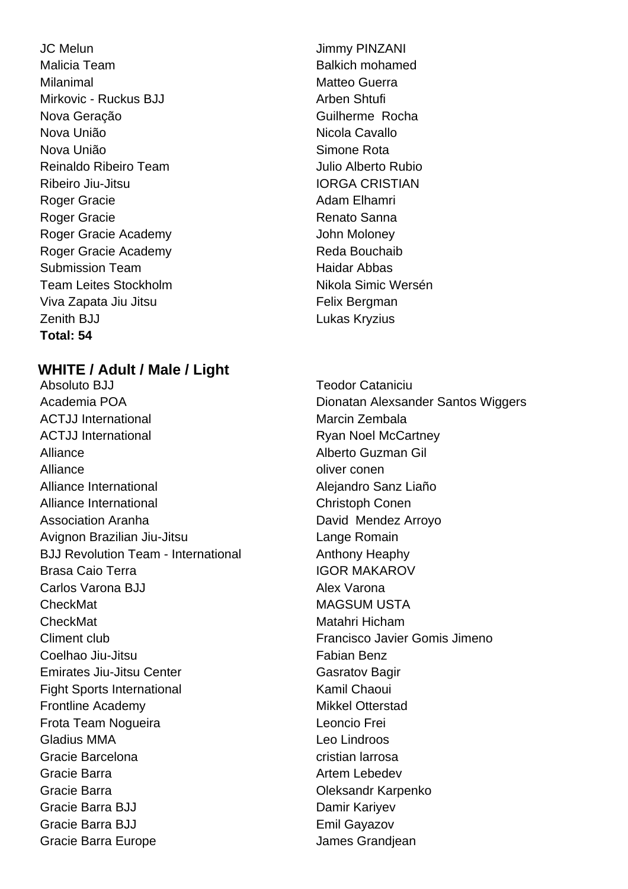JC Melun Jimmy PINZANI Malicia Team **Balkich** mohamed Milanimal Matteo Guerra Mirkovic - Ruckus BJJ Arben Shtufi Nova Geração **Guilherme Rocha** Nova União Nicola Cavallo Nova União **Nova União** e a Simone Rota Reinaldo Ribeiro Team **International Executor Contracts** Julio Alberto Rubio Ribeiro Jiu-Jitsu **IORGA CRISTIAN** Roger Gracie **Adam Elhamri** Roger Gracie **Adam Elhamri** Roger Gracie **Roger Cracial Executive Cracial According Renato Sanna** Roger Gracie Academy **Contact Structure Contact Academy** John Moloney Roger Gracie Academy **Reda Bouchaib** Submission Team **Haidar Abbas** Team Leites Stockholm Nikola Simic Wersén Viva Zapata Jiu Jitsu **Felix Bergman** Zenith BJJ **Lukas Kryzius Total: 54**

### **WHITE / Adult / Male / Light**

Absoluto BJJ Teodor Cataniciu Academia POA **Dionatan Alexsander Santos Wiggers** ACTJJ International **Marcin Zembala** Marcin Zembala ACTJJ International **Ryan Noel McCartney** Alliance Alberto Guzman Gil Alliance and the conentration of the conentration of the conentration of the conentration of the conentration of the conentration of the conentration of the conentration of the conentration of the conentration of the conen Alliance International **Alliance International** Alliance International **Christoph Conen** Association Aranha **David Mendez Arroyo** Avignon Brazilian Jiu-Jitsu Lange Romain BJJ Revolution Team - International Anthony Heaphy Brasa Caio Terra **IGOR MAKAROV** Carlos Varona BJJ Alex Varona CheckMat **MAGSUM USTA** CheckMat Matahri Hicham Climent club Francisco Javier Gomis Jimeno Coelhao Jiu-Jitsu **Fabian Benz Emirates Jiu-Jitsu Center Casaccer Gasratov Bagir** Fight Sports International The Research Chaoui Frontline Academy **Mikkel Otterstad** Frota Team Nogueira Leoncio Frei Gladius MMA **Leo Lindroos** Gracie Barcelona cristian larrosa Gracie Barra **Artem Lebedev** Gracie Barra Oleksandr Karpenko Gracie Barra BJJ Damir Kariyev Gracie Barra BJJ **Emil Gayazov** Gracie Barra Europe **James Grandiean**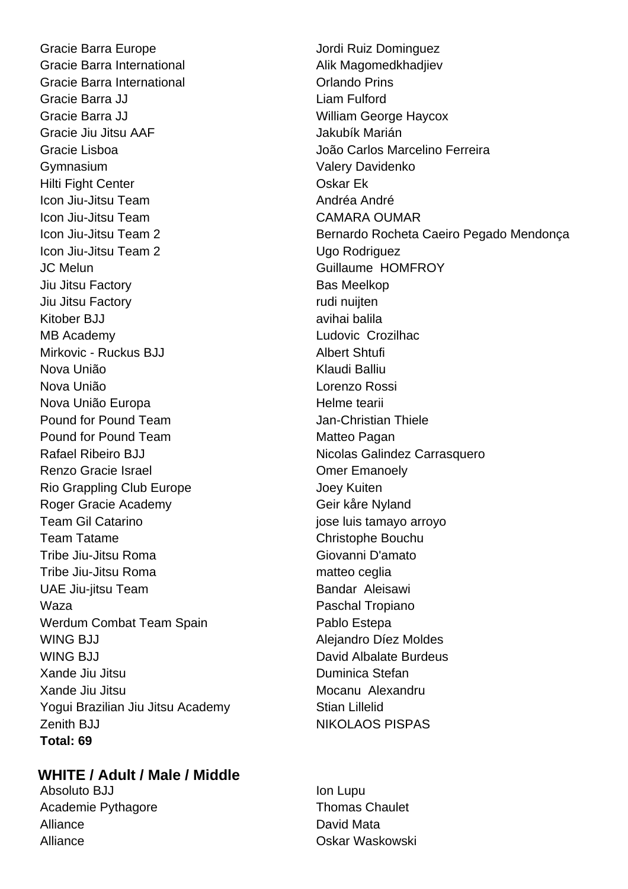Gracie Barra Europe **Gracia** Jordi Ruiz Dominguez Gracie Barra International **Alik Magomedkhadjiev** Gracie Barra International **Constanting Construction** Orlando Prins Gracie Barra JJ Liam Fulford Gracie Barra JJ William George Haycox Gracie Jiu Jitsu AAF Jakubík Marián Gracie Lisboa João Carlos Marcelino Ferreira Gymnasium **Gymnasium** Valery Davidenko Hilti Fight Center **Calculation** Coskar Ek Icon Jiu-Jitsu Team Andréa Andréa Andréa Icon Jiu-Jitsu Team CAMARA OUMAR Icon Jiu-Jitsu Team 2 Ugo Rodriguez JC Melun Guillaume HOMFROY Jiu Jitsu Factory Bas Meelkop Jiu Jitsu Factory rudi nuijten Kitober BJJ avihai balila MB Academy Ludovic Crozilhac Mirkovic - Ruckus BJJ Albert Shtufi Nova União **Klaudi Balliu** Nova União Lorenzo Rossi Nova União Europa **Maria Europa Europa Europa Europa Europa** Helme tearii Pound for Pound Team Thiele **Jan-Christian Thiele** Pound for Pound Team Matteo Pagan Rafael Ribeiro BJJ Nicolas Galindez Carrasquero Renzo Gracie Israel **Comer Emanoely** Rio Grappling Club Europe The Muslim Club States And Albert Joey Kuiten Roger Gracie Academy Geir kåre Nyland Team Gil Catarino **in the set of the Catarino in the Catarino** jose luis tamayo arroyo Team Tatame Christophe Bouchu Tribe Jiu-Jitsu Roma Giovanni D'amato Tribe Jiu-Jitsu Roma matteo ceglia UAE Jiu-jitsu Team Bandar Aleisawi Waza **Paschal Tropiano** Werdum Combat Team Spain **Pablo Estepa** WING BJJ **Alejandro Díez Moldes** WING BJJ David Albalate Burdeus Xande Jiu Jitsu Duminica Stefan Xande Jiu Jitsu Mocanu Alexandru Yogui Brazilian Jiu Jitsu Academy Stian Lillelid Zenith BJJ NIKOLAOS PISPAS **Total: 69**

### **WHITE / Adult / Male / Middle**

Absoluto BJJ **Ion Lupu** Academie Pythagore Thomas Chaulet Alliance **David Mata** Alliance Oskar Waskowski

Icon Jiu-Jitsu Team 2 **Bernardo Rocheta Caeiro Pegado Mendonça**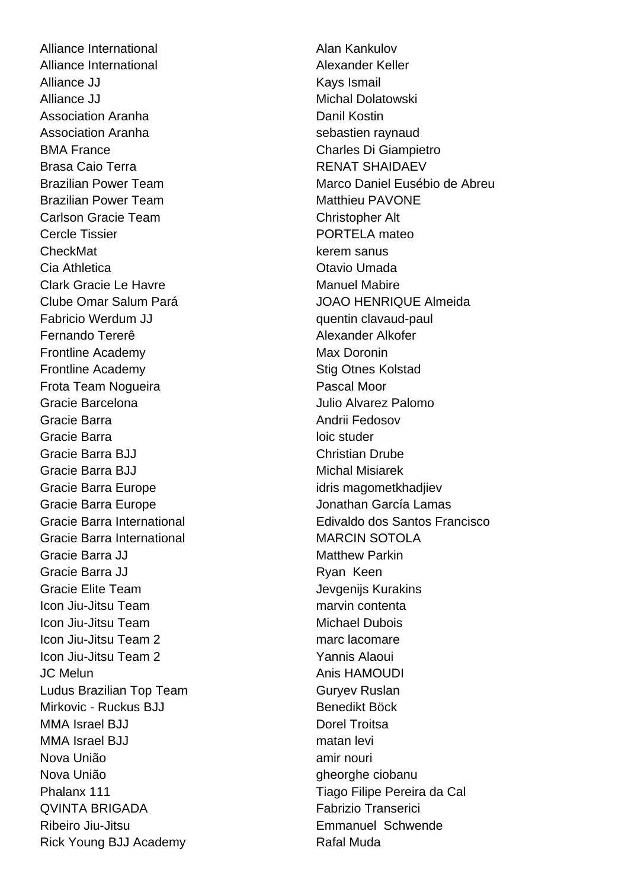Alliance International **Alan Kankulov** Alan Kankulov Alliance International **Alexander Keller** Alliance JJ **Kays** Ismail Alliance JJ Michal Dolatowski Association Aranha Danil Kostin Association Aranha sebastien raynaud BMA France Charles Di Giampietro Brasa Caio Terra **RENAT SHAIDAEV** Brazilian Power Team Matthieu PAVONE Carlson Gracie Team Christopher Alt Cercle Tissier **PORTELA** mateo CheckMat **kerem** sanus Cia Athletica **Cia Athletica** Cia Athletica **Cia Athletica** Cia Athletica Cia Athletica Cia Athletica Cia Athletica Clark Gracie Le Havre Manuel Mahire Clube Omar Salum Pará JOAO HENRIQUE Almeida Fabricio Werdum JJ **Fabricio** Werdum JJ quentin clavaud-paul Fernando Tererê Alexander Alkofer Frontline Academy **Max Doronin** Max Doronin Frontline Academy **Stig Otnes Kolstad Frota Team Noqueira Pascal Moor** Gracie Barcelona Julio Alvarez Palomo Gracie Barra **Andrii Fedosov** Andrii Fedosov Gracie Barra **loic studer** Gracie Barra BJJ Christian Drube Gracie Barra BJJ Michal Misiarek Gracie Barra Europe identity in the state of the idris magometkhadjiev Gracie Barra Europe Jonathan García Lamas Gracie Barra International MARCIN SOTOLA Gracie Barra JJ **Matthew Parkin** Gracie Barra JJ **Ryan Keen** Gracie Elite Team **Gracie Elite Team** Jevgenijs Kurakins Icon Jiu-Jitsu Team marvin contenta **Icon Jiu-Jitsu Team Michael Dubois** Icon Jiu-Jitsu Team 2 marc lacomare Icon Jiu-Jitsu Team 2 Yannis Alaoui JC Melun Anis HAMOUDI Ludus Brazilian Top Team Guryev Ruslan Mirkovic - Ruckus BJJ Benedikt Böck MMA Israel BJJ Dorel Troitsa MMA Israel BJJ matan levi Nova União **amir nouri** amir nouri Nova União que está entre electronica entre electronica entre electronica entre electronica entre electronica Phalanx 111 **Tiago Filipe Pereira da Cal** QVINTA BRIGADA Fabrizio Transerici Ribeiro Jiu-Jitsu Emmanuel Schwende Rick Young BJJ Academy Rafal Muda

Brazilian Power Team Marco Daniel Eusébio de Abreu Gracie Barra International **Edivaldo dos Santos Francisco**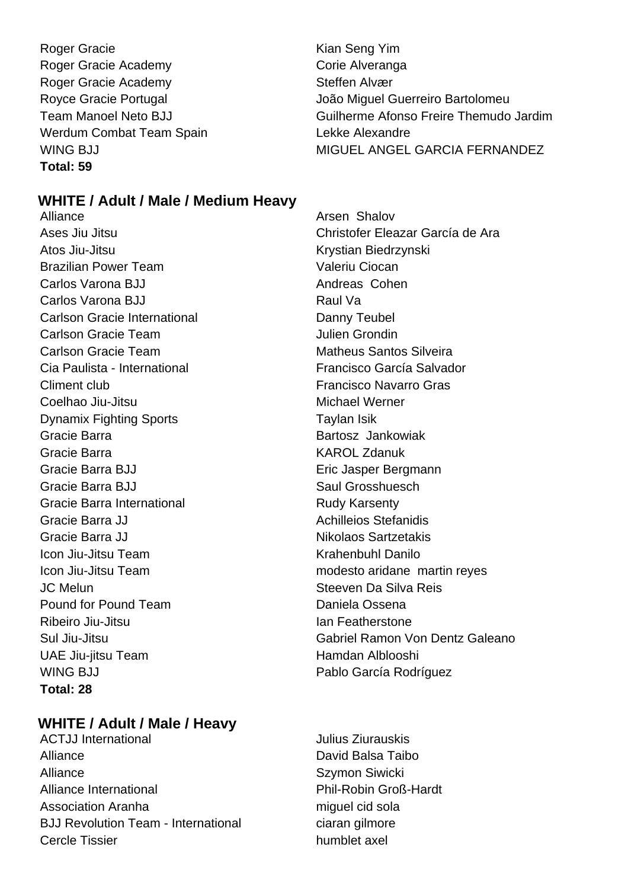Roger Gracie **Kian Seng Yim** Roger Gracie Academy Corie Alveranga Roger Gracie Academy Steffen Alvær Werdum Combat Team Spain New York Lekke Alexandre **Total: 59**

Royce Gracie Portugal **Access 19 and Taylor Contract Contract** João Miguel Guerreiro Bartolomeu Team Manoel Neto BJJ Guilherme Afonso Freire Themudo Jardim WING BJJ WING BIJ

### **WHITE / Adult / Male / Medium Heavy**

Alliance **Arsen Shalov Arsen Shalov** Atos Jiu-Jitsu Krystian Biedrzynski Brazilian Power Team valeriu Ciocan Carlos Varona BJJ **Andreas Cohen** Carlos Varona BJJ Raul Va Carlson Gracie International **Danny Teubel** Carlson Gracie Team Julien Grondin Carlson Gracie Team **Matheus Santos Silveira** Cia Paulista - International Francisco García Salvador Climent club Francisco Navarro Gras Coelhao Jiu-Jitsu Michael Werner Dynamix Fighting Sports Taylan Isik Gracie Barra **Bartosz** Jankowiak Gracie Barra **KAROL Zdanuk** Gracie Barra BJJ **Eric Jasper Bergmann** Gracie Barra BJJ Saul Grosshuesch Gracie Barra International **Rudy Karsenty** Gracie Barra JJ **Achilleios Stefanidis** Achilleios Stefanidis Gracie Barra JJ Nikolaos Sartzetakis Icon Jiu-Jitsu Team **Krahenbuhl Danilo** Icon Jiu-Jitsu Team modesto aridane martin reyes JC Melun Steeven Da Silva Reis Pound for Pound Team Daniela Ossena Ribeiro Jiu-Jitsu **Ian Featherstone** UAE Jiu-jitsu Team **Hamdan Alblooshi** WING BJJ **Pablo García Rodríguez Total: 28**

### **WHITE / Adult / Male / Heavy**

ACTJJ International **ACT** Julius Ziurauskis Alliance David Balsa Taibo Alliance Szymon Siwicki Alliance International **Phil-Robin Groß-Hardt** Association Aranha miguel cid sola BJJ Revolution Team - International ciaran gilmore Cercle Tissier humblet axel

Ases Jiu Jitsu Christofer Eleazar García de Ara Sul Jiu-Jitsu Gabriel Ramon Von Dentz Galeano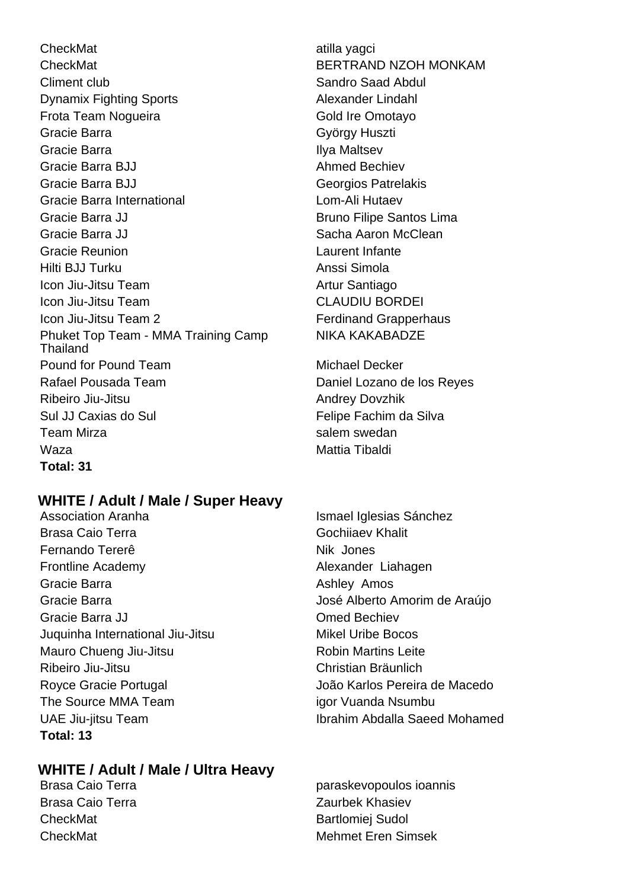CheckMat atilla yagci CheckMat BERTRAND NZOH MONKAM Climent club Climent club Sandro Saad Abdul Dynamix Fighting Sports Alexander Lindahl Frota Team Nogueira **Gold Ire Omotayo** Gracie Barra György Huszti Gracie Barra **Ilya Maltsev** Gracie Barra BJJ Ahmed Bechiev Gracie Barra BJJ Georgios Patrelakis Gracie Barra International **Lom-Ali Hutaev** Gracie Barra JJ Bruno Filipe Santos Lima Gracie Barra JJ Sacha Aaron McClean Gracie Reunion Laurent Infante Hilti BJJ Turku Anssi Simola Icon Jiu-Jitsu Team Artur Santiago Icon Jiu-Jitsu Team CLAUDIU BORDEI Icon Jiu-Jitsu Team 2 **Ferdinand Grapperhaus** Phuket Top Team - MMA Training Camp **Thailand** Pound for Pound Team Michael Decker Rafael Pousada Team Daniel Lozano de los Reyes Ribeiro Jiu-Jitsu **Andrey Dovzhik** Andrey Dovzhik Sul JJ Caxias do Sul **Felipe Fachim da Silva** Team Mirza **salem swedan** Waza **Mattia Tibaldi** Mattia Tibaldi **Total: 31**

### **WHITE / Adult / Male / Super Heavy**

Brasa Caio Terra Gochiiaev Khalit Fernando Tererê Nik Jones Frontline Academy **Alexander Liahagen** Gracie Barra **Ashley Amos** Ashley Amos Gracie Barra **Gracia de Araújo** José Alberto Amorim de Araújo Gracie Barra JJ Cracie Barra JJ Cracie Bechiev Juquinha International Jiu-Jitsu Mikel Uribe Bocos Mauro Chueng Jiu-Jitsu **National Execution Chueng Jiu-Jitsu** Robin Martins Leite Ribeiro Jiu-Jitsu Christian Bräunlich Royce Gracie Portugal João Karlos Pereira de Macedo The Source MMA Team is a series of Vuanda Nsumbu **Total: 13**

### **WHITE / Adult / Male / Ultra Heavy**

Brasa Caio Terra **Zaurbek Khasiev** CheckMat Bartlomiei Sudol

NIKA KAKABADZE

Association Aranha **Ismael Iglesias Sánchez** UAE Jiu-jitsu Team Ibrahim Abdalla Saeed Mohamed

Brasa Caio Terra **paraskevopoulos ioannis** CheckMat **Mehmet Eren Simsek**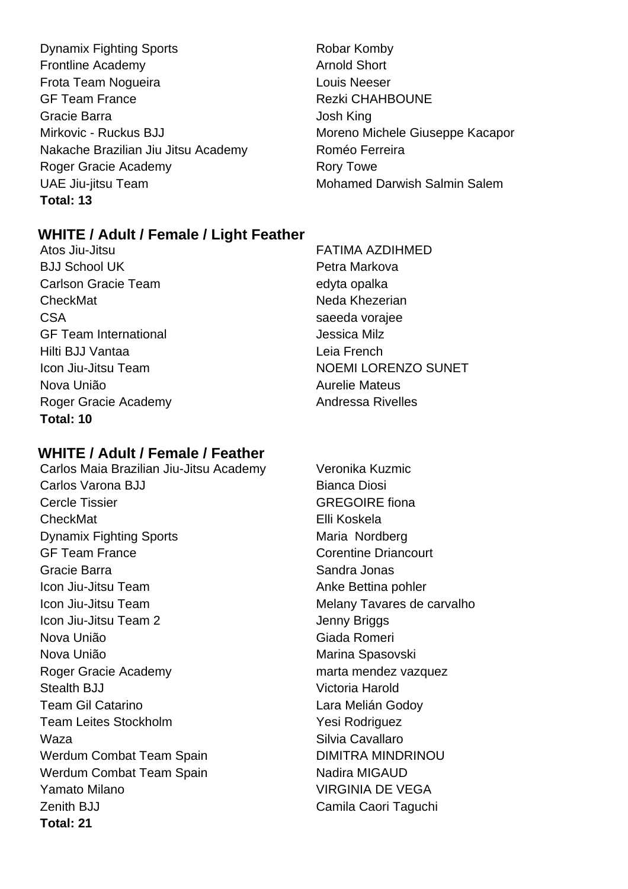- Dynamix Fighting Sports **Robar Komby** Frontline Academy **Arnold Short Arnold Short** Frota Team Noqueira **Louis Neeser** Louis Neeser GF Team France Rezki CHAHBOUNE Gracie Barra Josh King Mirkovic - Ruckus BJJ Moreno Michele Giuseppe Kacapor Nakache Brazilian Jiu Jitsu Academy Roméo Ferreira Roger Gracie Academy **Roger Gracie Academy** Rory Towe UAE Jiu-jitsu Team Mohamed Darwish Salmin Salem **Total: 13**
	-

### **WHITE / Adult / Female / Light Feather**

BJJ School UK Petra Markova Carlson Gracie Team edyta opalka CheckMat Neda Khezerian CSA saeeda vorajee GF Team International and a series of the Jessica Milz Hilti BJJ Vantaa Leia French Nova União **Aurelie Mateus** Roger Gracie Academy **Andressa Rivelles Total: 10**

### **WHITE / Adult / Female / Feather**

- Carlos Maia Brazilian Jiu-Jitsu Academy Veronika Kuzmic Carlos Varona BJJ Bianca Diosi Cercle Tissier GREGOIRE fional CheckMat Elli Koskela Dynamix Fighting Sports Maria Nordberg GF Team France Corentine Driancourt Gracie Barra **Sandra Jonas** Sandra Jonas Icon Jiu-Jitsu Team Anke Bettina pohler Icon Jiu-Jitsu Team **Melany Tavares de carvalho** Icon Jiu-Jitsu Team 2 Jenny Briggs Nova União Giada Romeri Nova União **Marina Spasovski** Roger Gracie Academy marta mendez vazquez Stealth BJJ Victoria Harold Team Gil Catarino **Lara Melián Godov** Lara Melián Godov Team Leites Stockholm **Yesi Rodriguez** Waza **Maza** Silvia Cavallaro Werdum Combat Team Spain DIMITRA MINDRINOU Werdum Combat Team Spain Nadira MIGAUD Yamato Milano **VIRGINIA DE VEGA** Zenith BJJ Camila Caori Taguchi **Total: 21**
- Atos Jiu-Jitsu FATIMA AZDIHMED Icon Jiu-Jitsu Team NOEMI LORENZO SUNET
	-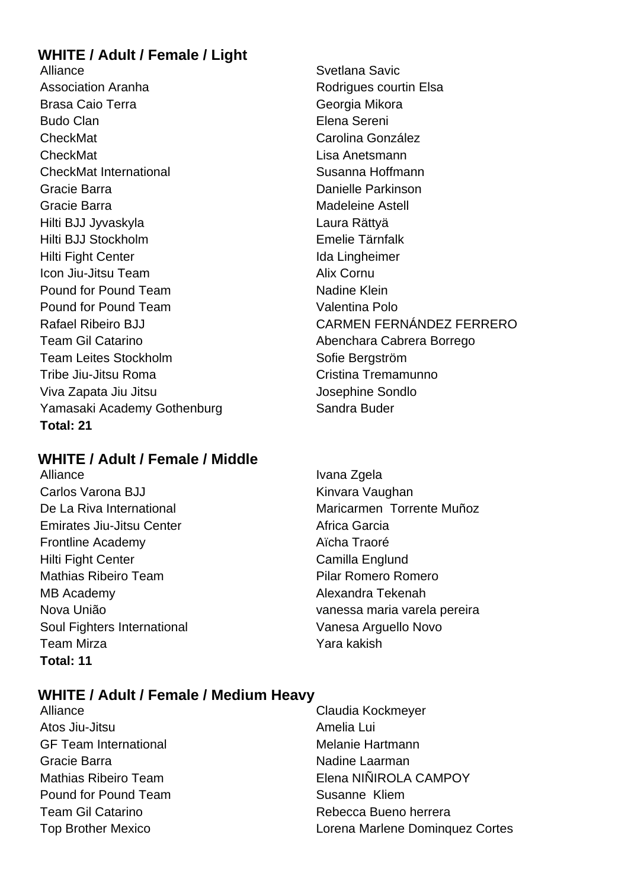### **WHITE / Adult / Female / Light**

Alliance Svetlana Savic Association Aranha **Rodrigues** Rodrigues courtin Elsa Brasa Caio Terra **Georgia Mikora** Georgia Mikora Budo Clan Elena Sereni CheckMat CheckMat Carolina González CheckMat Lisa Anetsmann CheckMat International Susanna Hoffmann Gracie Barra **Danielle Parkinson** Gracie Barra **Madeleine** Astell Hilti BJJ Jyvaskyla Laura Rättyä Hilti BJJ Stockholm Emelie Tärnfalk Hilti Fight Center **International Community** Ida Lingheimer Icon Jiu-Jitsu Team Alix Cornu Pound for Pound Team Nadine Klein Pound for Pound Team Valentina Polo Team Gil Catarino **Abenchara Cabrera Borrego** Team Leites Stockholm Sofie Bergström Tribe Jiu-Jitsu Roma Cristina Tremamunno Viva Zapata Jiu Jitsu Josephine Sondlo Yamasaki Academy Gothenburg Sandra Buder **Total: 21**

### **WHITE / Adult / Female / Middle**

Alliance Ivana Zgela Carlos Varona BJJ **Kinvara Vaughan** Emirates Jiu-Jitsu Center **Africa Garcia** Frontline Academy **Aïcha Traoré** Hilti Fight Center Camilla Englund Mathias Ribeiro Team **Pilar Romero Romero** MB Academy Alexandra Tekenah Soul Fighters International Vanesa Arguello Novo Team Mirza Yara kakish **Total: 11**

# Rafael Ribeiro BJJ CARMEN FERNÁNDEZ FERRERO

De La Riva International **Maricarmen Torrente Muñoz** Nova União vanessa maria varela pereira

### **WHITE / Adult / Female / Medium Heavy**

- Atos Jiu-Jitsu Amelia Lui GF Team International **Melanie Hartmann** Gracie Barra Nadine Laarman Pound for Pound Team Susanne Kliem
- Alliance Claudia Kockmeyer Mathias Ribeiro Team **Elena NIÑIROLA CAMPOY** Team Gil Catarino **Rebecca Bueno herrera** Top Brother Mexico Lorena Marlene Dominquez Cortes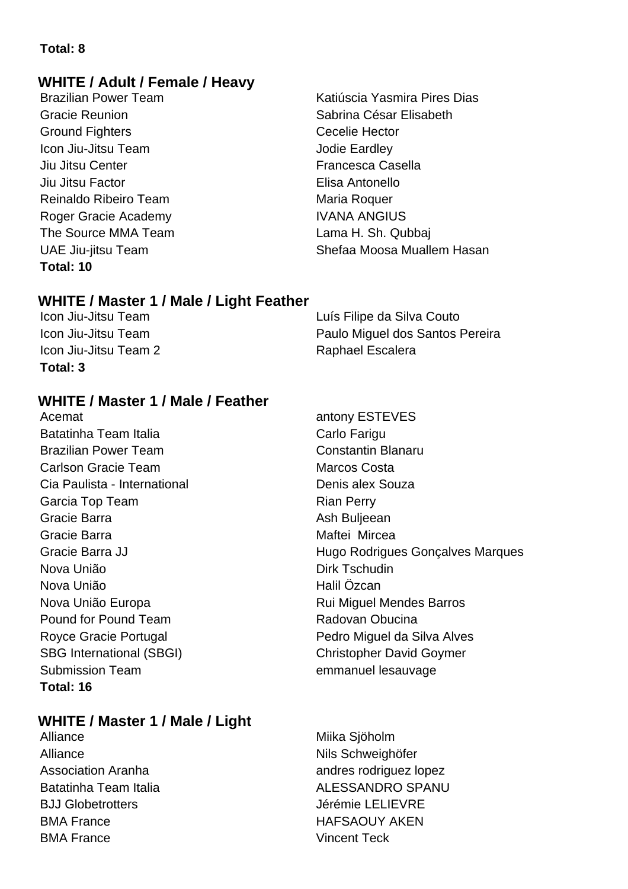### **Total: 8**

### **WHITE / Adult / Female / Heavy**

Brazilian Power Team **Katiúscia Yasmira Pires Dias** Ground Fighters **Cecelie** Hector Icon Jiu-Jitsu Team Jodie Eardley Jiu Jitsu Center **Francesca** Casella Jiu Jitsu Factor Elisa Antonello Reinaldo Ribeiro Team **Maria Roquer** Maria Roquer Roger Gracie Academy **IVANA ANGIUS** The Source MMA Team Lama H. Sh. Qubbaj **Total: 10**

## Gracie Reunion **Sabrina César Elisabeth** UAE Jiu-jitsu Team Shefaa Moosa Muallem Hasan

### **WHITE / Master 1 / Male / Light Feather**

Icon Jiu-Jitsu Team 2 Raphael Escalera **Total: 3**

Icon Jiu-Jitsu Team Luís Filipe da Silva Couto Icon Jiu-Jitsu Team Paulo Miguel dos Santos Pereira

### **WHITE / Master 1 / Male / Feather**

Acemat **antony ESTEVES** Batatinha Team Italia **Carlo Fariguma** Carlo Fariguma Carlo Fariguma Carlo Farigu Brazilian Power Team Constantin Blanaru Carlson Gracie Team **Marcos** Costa Cia Paulista - International **Denis alex Souza** Garcia Top Team **Rian Perry** Rian Perry Gracie Barra **Ash Buljeean** Gracie Barra **Magnus** Maftei Mircea Nova União **Dirk Tschudin** Nova União **Halil** Özcan Nova União Europa **Nova Europa Europa Europa Europa Europa** Rui Miguel Mendes Barros Pound for Pound Team **Radovan Obucina** SBG International (SBGI) Christopher David Goymer Submission Team emmanuel lesauvage **Total: 16**

## Gracie Barra JJ **Gracie Barra JJ** Hugo Rodrigues Gonçalves Marques Royce Gracie Portugal **Pedro Miguel da Silva Alves**

### **WHITE / Master 1 / Male / Light**

Alliance Miika Siöholm Alliance Nils Schweighöfer BJJ Globetrotters and a vertex of the US of the US Jérémie LELIEVRE BMA France **HAFSAOUY AKEN** BMA France Vincent Teck

Association Aranha andres rodriguez lopez Batatinha Team Italia ALESSANDRO SPANU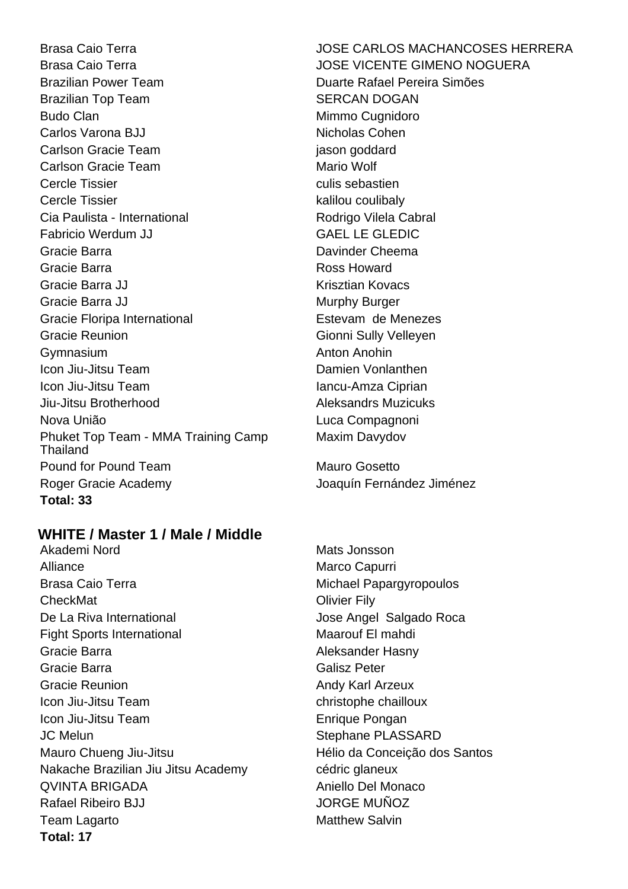Brasa Caio Terra JOSE CARLOS MACHANCOSES HERRERA Brasa Caio Terra **International California** JOSE VICENTE GIMENO NOGUERA Brazilian Power Team **Duarte Rafael Pereira Simões** Brazilian Top Team SERCAN DOGAN Budo Clan **Mimmo Cugnidoro** Carlos Varona BJJ Nicholas Cohen Carlson Gracie Team is a series of the care in the care is a series of the care in the care is a series of the care in the care is a series of the care in the care is a series of the care in the care is a series of the car Carlson Gracie Team Mario Wolf Cercle Tissier culis sebastien Cercle Tissier **Kalilou** coulibaly Cia Paulista - International **Rodrigo Vilela Cabral** Rodrigo Vilela Cabral Fabricio Werdum JJ GAEL LE GLEDIC Gracie Barra Davinder Cheema Gracie Barra **Ross** Howard Gracie Barra JJ Krisztian Kovacs Gracie Barra JJ Murphy Burger Gracie Floripa International **Entitle External Estevam** de Menezes Gracie Reunion Gionni Sully Velleyen Gymnasium **Anton Anohin** Icon Jiu-Jitsu Team **Damien Vonlanthen** Icon Jiu-Jitsu Team **Iancu-Amza Ciprian** Jiu-Jitsu Brotherhood Aleksandrs Muzicuks Nova União Luca Compagnoni Phuket Top Team - MMA Training Camp Thailand Pound for Pound Team Mauro Gosetto Roger Gracie Academy Joaquín Fernández Jiménez **Total: 33**

### **WHITE / Master 1 / Male / Middle**

Akademi Nord **Mats** Jonsson Alliance Marco Capurri Brasa Caio Terra **Michael Papargyropoulos** CheckMat **Olivier Fily** De La Riva International **De La Riva International** Jose Angel Salgado Roca Fight Sports International Maarouf El mahdi Gracie Barra **Aleksander Hasny** Gracie Barra **Galisz Peter** Galisz Peter Gracie Reunion **Andy Karl Arzeux** Andy Karl Arzeux **Icon Jiu-Jitsu Team christophe chailloux** Icon Jiu-Jitsu Team **Enrique Pongan** JC Melun Stephane PLASSARD Mauro Chueng Jiu-Jitsu **Mauro Chueng Jiu-Jitsu** en Estado en Estado Hélio da Conceição dos Santos Nakache Brazilian Jiu Jitsu Academy cédric glaneux QVINTA BRIGADA Aniello Del Monaco Rafael Ribeiro BJJ JORGE MUÑOZ Team Lagarto **Matthew Salvin Total: 17**

Maxim Davydov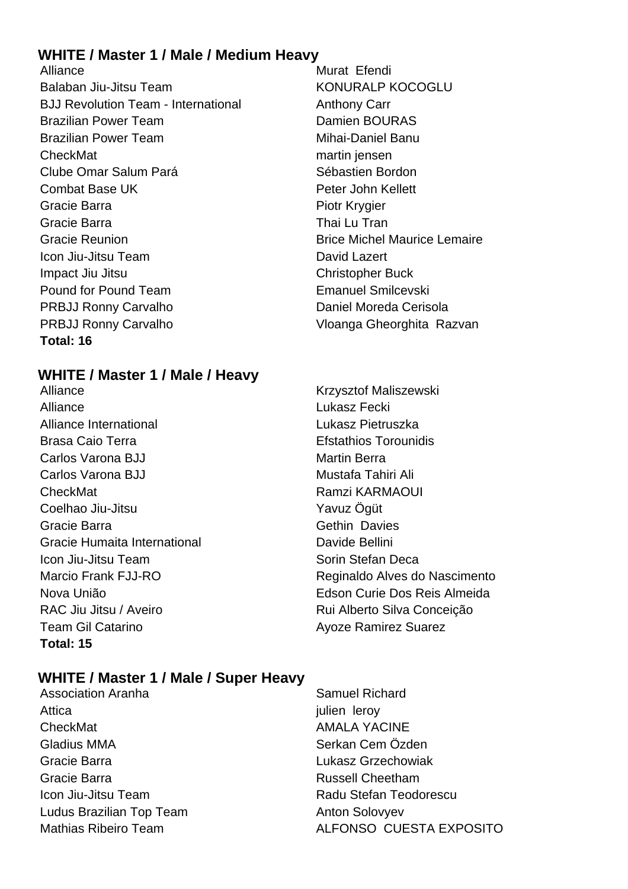### **WHITE / Master 1 / Male / Medium Heavy**

Alliance Murat Efendi Balaban Jiu-Jitsu Team KONURALP KOCOGLU BJJ Revolution Team - International **Anthony Carr** Brazilian Power Team Damien BOURAS Brazilian Power Team Mihai-Daniel Banu CheckMat martin jensen Clube Omar Salum Pará **Sébastien Bordon** Combat Base UK **Peter John Kellett** Gracie Barra **Piotr Krygier** Piotr Krygier Gracie Barra **Thai Lu Tran** Gracie Reunion **Britannice Lemaire** Brice Michel Maurice Lemaire **Icon Jiu-Jitsu Team David Lazert Impact Jiu Jitsu Christopher Buck** Pound for Pound Team **Emanuel Smilcevski** PRBJJ Ronny Carvalho Daniel Moreda Cerisola PRBJJ Ronny Carvalho Vloanga Gheorghita Razvan **Total: 16**

### **WHITE / Master 1 / Male / Heavy**

- Alliance **Krzysztof Maliszewski** Alliance Lukasz Fecki Alliance International Lukasz Pietruszka Brasa Caio Terra **Efstathios Torounidis** Carlos Varona BJJ Martin Berra Carlos Varona BJJ Mustafa Tahiri Ali CheckMat **Ramzi KARMAOUI** Coelhao Jiu-Jitsu Yavuz Öqüt Gracie Barra **Gracia** Gethin Davies Gracie Humaita International Davide Bellini **Icon Jiu-Jitsu Team Sorin Stefan Deca** RAC Jiu Jitsu / Aveiro **Rui Alberto Silva Conceição** Team Gil Catarino **Ayoze Ramirez Suarez Total: 15**
- 
- Marcio Frank FJJ-RO **Reginaldo Alves do Nascimento** Nova União Edson Curie Dos Reis Almeida

### **WHITE / Master 1 / Male / Super Heavy**

- Attica in the set of the set of the set of the set of the set of the set of the set of the set of the set of the set of the set of the set of the set of the set of the set of the set of the set of the set of the set of the CheckMat **AMALA YACINE** Gladius MMA Serkan Cem Özden Gracie Barra Lukasz Grzechowiak Gracie Barra **Russell Cheetham** Icon Jiu-Jitsu Team **National Stefan Teodorescu** Ludus Brazilian Top Team Anton Solovyev
- Association Aranha Samuel Richard Mathias Ribeiro Team **ALFONSO CUESTA EXPOSITO**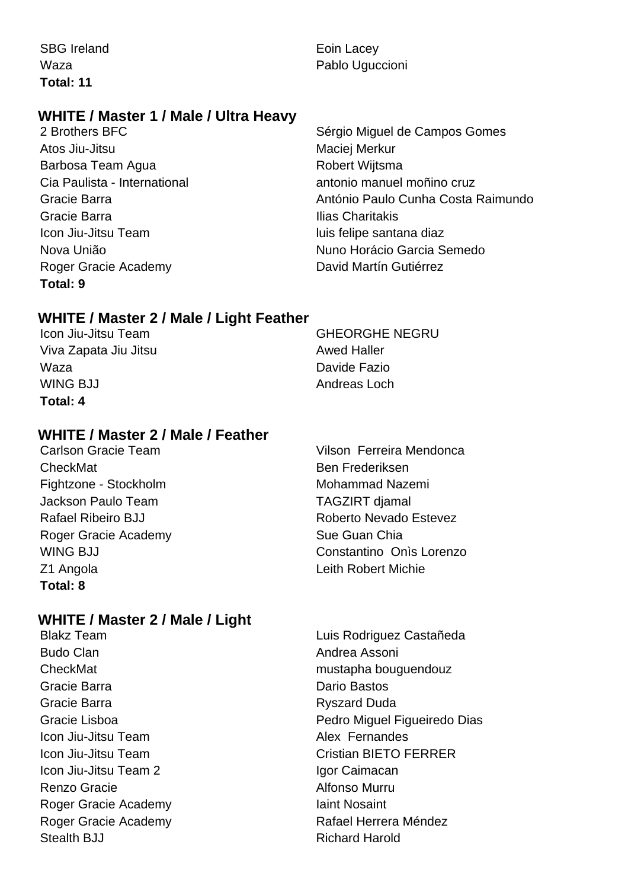SBG Ireland **Example 2018** Eoin Lacey **Total: 11**

### **WHITE / Master 1 / Male / Ultra Heavy**

Atos Jiu-Jitsu **Maciei Merkur** Maciei Merkur Barbosa Team Agua **Robert Wijtsma** Gracie Barra **Ilias Charitakis** Icon Jiu-Jitsu Team luis felipe santana diaz Roger Gracie Academy **David Martín Gutiérrez Total: 9**

Waza **Pablo Uguccioni** Pablo Uguccioni

2 Brothers BFC Sérgio Miguel de Campos Gomes Cia Paulista - International antonio manuel moñino cruz Gracie Barra António Paulo Cunha Costa Raimundo Nova União Nuno Horácio Garcia Semedo

### **WHITE / Master 2 / Male / Light Feather**

**Icon Jiu-Jitsu Team GHEORGHE NEGRU** Viva Zapata Jiu Jitsu Awed Haller Waza Davide Fazio WING BJJ **Andreas Loch Total: 4**

### **WHITE / Master 2 / Male / Feather**

CheckMat Ben Frederiksen Fightzone - Stockholm Mohammad Nazemi Jackson Paulo Team TAGZIRT djamal Rafael Ribeiro BJJ Roberto Nevado Estevez Roger Gracie Academy Sue Guan Chia Z1 Angola Leith Robert Michie **Total: 8**

### **WHITE / Master 2 / Male / Light**

Budo Clan **Andrea Assoni** Gracie Barra **Dario Bastos** Dario Bastos Gracie Barra **Rysister Barra Rysister Barra Rysister Barra Rysister Barra Rysister Barra Rysister Barra Rysister Barra Rysister Barra Rysister Barra Rysister Barra Rysister Barra Rysister Barra Rysister Barra Rysister Barr Icon Jiu-Jitsu Team Alex Fernandes** Icon Jiu-Jitsu Team 2 Igor Caimacan Renzo Gracie **Alfonso Murru** Roger Gracie Academy **Iaint Nosaint** Roger Gracie Academy **Rafael Herrera Méndez** Stealth BJJ Richard Harold

Carlson Gracie Team Vilson Ferreira Mendonca WING BJJ Constantino Onìs Lorenzo

Blakz Team Luis Rodriguez Castañeda CheckMat mustapha bouguendouz Gracie Lisboa Pedro Miguel Figueiredo Dias Icon Jiu-Jitsu Team Cristian BIETO FERRER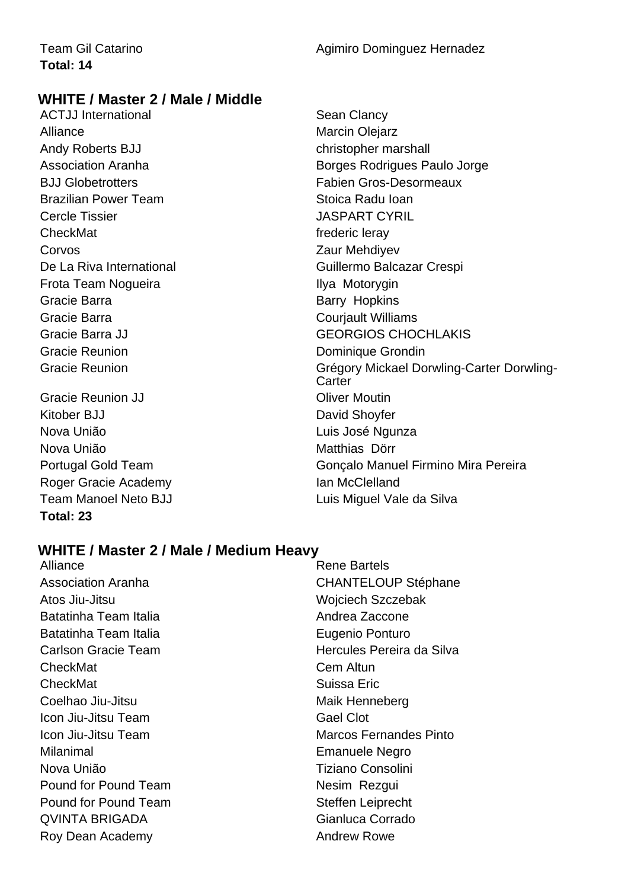### **WHITE / Master 2 / Male / Middle**

ACTJJ International **Sean Clancy** Sean Clancy Alliance Marcin Olejarz Andy Roberts BJJ christopher marshall Brazilian Power Team Stoica Radu Ioan Cercle Tissier **CALCE CONTROL** CHECK CONTROL CONTROL UP OF THE SERVICE OF THE SERVICE OF THE SERVICE OF THE SERVICE OF THE SERVICE OF THE SERVICE OF THE SERVICE OF THE SERVICE OF THE SERVICE OF THE SERVICE OF THE SERVICE O CheckMat **frederic** leray **Corvos Corvos Zaur Mehdivev** Frota Team Nogueira **Ilya Motorygin** Gracie Barra **Barry Hopkins** Barry Hopkins Gracie Barra **Courting Court Courting Courting Courting Courting Courting Courting Courting Courting Courting Courting Courting Courting Courting Courting Courting Courting Courting Courting Courting Courting Courting Cour** Gracie Reunion **Dominique Grondin** 

Gracie Reunion JJ **Canadian Contract Contract Contract Contract Contract Contract Contract Contract Contract Contract Contract Contract Contract Contract Contract Contract Contract Contract Contract Contract Contract Contr** Kitober BJJ David Shovfer Nova União **Nova União** Luis José Ngunza Nova União **Matthias Dörr** Roger Gracie Academy **Ian McClelland** Team Manoel Neto BJJ **Luis Miguel Vale da Silva Total: 23**

Association Aranha Borges Rodrigues Paulo Jorge BJJ Globetrotters Fabien Gros-Desormeaux De La Riva International **De La Riva International** Gracie Barra JJ GEORGIOS CHOCHLAKIS Gracie Reunion Grégory Mickael Dorwling-Carter Dorwling-**Carter** Portugal Gold Team Gonçalo Manuel Firmino Mira Pereira

### **WHITE / Master 2 / Male / Medium Heavy**

Alliance **Rene** Bartels Association Aranha **CHANTELOUP** Stéphane Atos Jiu-Jitsu Wojciech Szczebak Batatinha Team Italia Andrea Zaccone Batatinha Team Italia **Eugenio Ponturo** Carlson Gracie Team **Francisch Carlson Carlson Cracie** Team CheckMat Cem Altun **CheckMat** Suissa Eric Coelhao Jiu-Jitsu **Maik Henneberg** Maik Henneberg Icon Jiu-Jitsu Team Gael Clot **Icon Jiu-Jitsu Team Marcos Fernandes Pinto** Milanimal Emanuele Negro Nova União **Nova União** e a consolini Pound for Pound Team Nesim Rezgui Pound for Pound Team Steffen Leiprecht QVINTA BRIGADA Gianluca Corrado Roy Dean Academy **Andrew Rowe Andrew Rowe**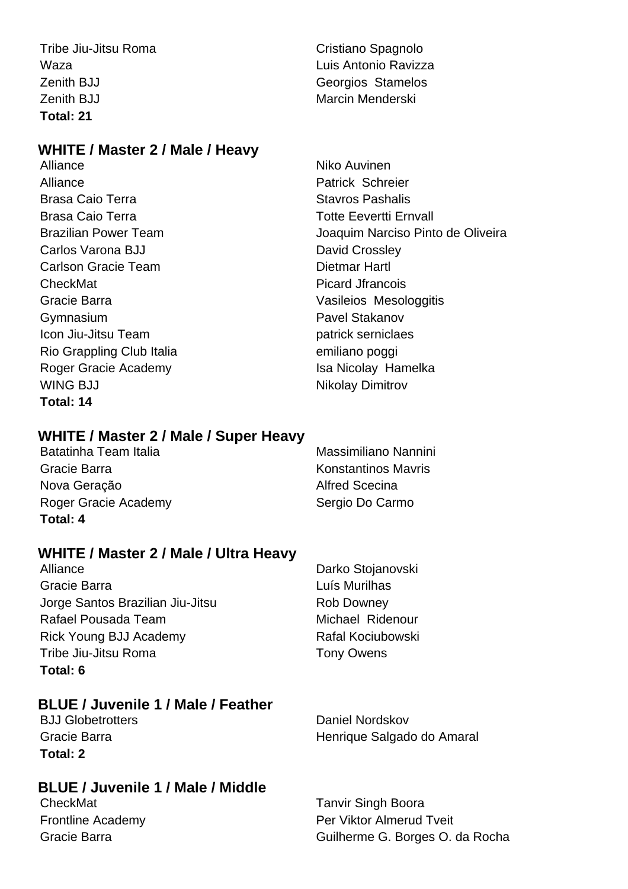Tribe Jiu-Jitsu Roma Cristiano Spagnolo Zenith BJJ **Georgios** Stamelos Zenith BJJ Marcin Menderski **Total: 21**

### **WHITE / Master 2 / Male / Heavy**

Alliance Niko Auvinen Alliance **Patrick Schreier** Brasa Caio Terra **Stavio Brasa Caio Terra** Stavios Pashalis Brasa Caio Terra Totte Eevertti Ernvall Carlos Varona BJJ David Crossley Carlson Gracie Team **Dietmar Hartl** CheckMat **Picard Jfrancois** Gracie Barra Vasileios Mesologgitis Gymnasium **Communists** Cymnasium **Pavel Stakanov Icon Jiu-Jitsu Team** patrick serniclaes Rio Grappling Club Italia emiliano poggi Roger Gracie Academy **Isa Nicolay Hamelka** WING BJJ Nikolay Dimitrov **Total: 14**

### **WHITE / Master 2 / Male / Super Heavy**

Batatinha Team Italia Massimiliano Nannini Gracie Barra **Konstantinos Mayris** Konstantinos Mayris Nova Geração **Alfred Scecina** Roger Gracie Academy Sergio Do Carmo **Total: 4**

### **WHITE / Master 2 / Male / Ultra Heavy**

Alliance Darko Stojanovski Gracie Barra **Luís Murilhas** Jorge Santos Brazilian Jiu-Jitsu **Rob Downey** Rafael Pousada Team Michael Ridenour Rick Young BJJ Academy Rafal Kociubowski Tribe Jiu-Jitsu Roma<br>
Tony Owens **Total: 6**

### **BLUE / Juvenile 1 / Male / Feather**

BJJ Globetrotters **Daniel Nordskov Total: 2**

### **BLUE / Juvenile 1 / Male / Middle**

Gracie Barra **Henrique Salgado do Amaral** 

**CheckMat** CheckMat **Tanvir Singh Boora** Frontline Academy **Per Viktor Almerud Tveit** Gracie Barra Guilherme G. Borges O. da Rocha

Waza Luis Antonio Ravizza

Brazilian Power Team Joaquim Narciso Pinto de Oliveira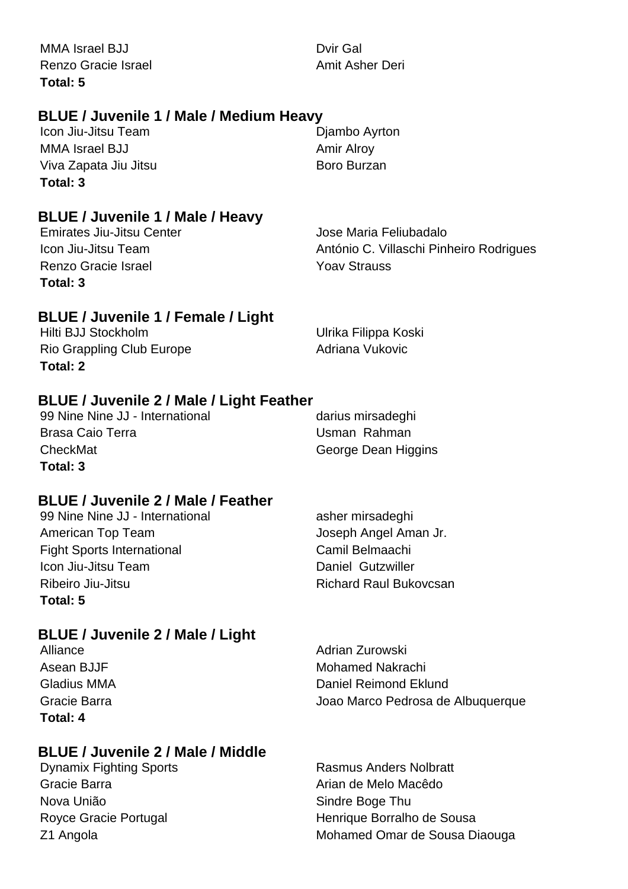MMA Israel BJJ Dvir Gal Renzo Gracie Israel **Amit Asher Deri** Amit Asher Deri **Total: 5**

### **BLUE / Juvenile 1 / Male / Medium Heavy**

Icon Jiu-Jitsu Team **Diambo Ayrton** MMA Israel BJJ Amir Alroy Viva Zapata Jiu Jitsu **Boro Burzan Total: 3**

**BLUE / Juvenile 1 / Male / Heavy**

Renzo Gracie Israel **New Yoav Strauss Total: 3**

Emirates Jiu-Jitsu Center **Jose Maria Feliubadalo** Icon Jiu-Jitsu Team **António C. Villaschi Pinheiro Rodrigues** 

### **BLUE / Juvenile 1 / Female / Light**

Hilti BJJ Stockholm Ulrika Filippa Koski Rio Grappling Club Europe **Adriana Vukovic** Adriana Vukovic **Total: 2**

### **BLUE / Juvenile 2 / Male / Light Feather**

99 Nine Nine JJ - International darius mirsadeghi Brasa Caio Terra **Network** California Luman Rahman CheckMat George Dean Higgins **Total: 3**

### **BLUE / Juvenile 2 / Male / Feather**

| 99 Nine Nine JJ - International   | asher mirsadeghi              |
|-----------------------------------|-------------------------------|
| American Top Team                 | Joseph Angel Aman Jr.         |
| <b>Fight Sports International</b> | Camil Belmaachi               |
| Icon Jiu-Jitsu Team               | Daniel Gutzwiller             |
| Ribeiro Jiu-Jitsu                 | <b>Richard Raul Bukovcsan</b> |
| Total: 5                          |                               |

### **BLUE / Juvenile 2 / Male / Light**

**Total: 4**

### **BLUE / Juvenile 2 / Male / Middle**

Gracie Barra **Arian de Melo Macêdo** e Creacia de Melo Macêdo Nova União **Nova União** Sindre Boge Thu

Alliance **Alliance** Adrian Zurowski Asean BJJF **Mohamed Nakrachi** Gladius MMA **Daniel Reimond Eklund** Daniel Reimond Eklund Gracie Barra Joao Marco Pedrosa de Albuquerque

Dynamix Fighting Sports **Rasmus Anders Nolbratt** Royce Gracie Portugal **Henrique Borralho de Sousa** Z1 Angola **Mohamed Omar de Sousa Diaouga**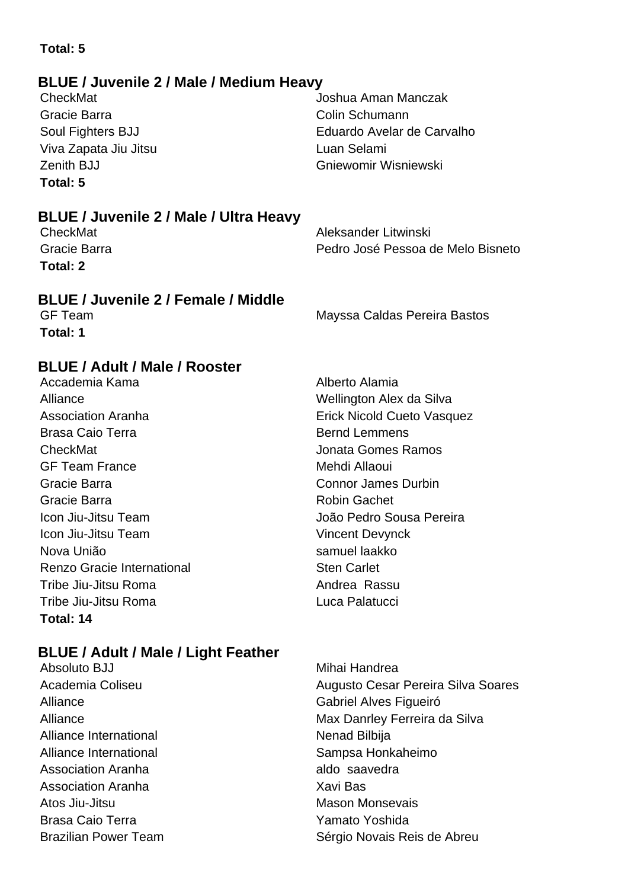### **Total: 5**

### **BLUE / Juvenile 2 / Male / Medium Heavy**

Gracie Barra **Colin Schumann** Viva Zapata Jiu Jitsu Luan Selami **Total: 5**

CheckMat Joshua Aman Manczak Soul Fighters BJJ Eduardo Avelar de Carvalho Zenith BJJ Gniewomir Wisniewski

### **BLUE / Juvenile 2 / Male / Ultra Heavy**

**Total: 2**

CheckMat **Aleksander Litwinski** Gracie Barra Pedro José Pessoa de Melo Bisneto

### **BLUE / Juvenile 2 / Female / Middle**

**Total: 1**

GF Team Mayssa Caldas Pereira Bastos

### **BLUE / Adult / Male / Rooster**

Accademia Kama **Alberto Alamia** Alberto Alamia Alliance Wellington Alex da Silva Brasa Caio Terra **Brasa** Caio Terra Bernd Lemmens CheckMat Jonata Gomes Ramos GF Team France Mehdi Allaoui Gracie Barra Connor James Durbin Gracie Barra **Robin Gachet** Robin Gachet Icon Jiu-Jitsu Team João Pedro Sousa Pereira Icon Jiu-Jitsu Team Vincent Devynck Nova União samuel laakko Renzo Gracie International **Sten Carlet** Tribe Jiu-Jitsu Roma Andrea Rassu Tribe Jiu-Jitsu Roma Luca Palatucci **Total: 14**

### **BLUE / Adult / Male / Light Feather**

- Absoluto BJJ **Mihai Handrea** Alliance **Gabriel Alves Figueiró** Alliance International Nenad Bilbija Alliance International **Sampsa Honkaheimo** Sampsa Honkaheimo Association Aranha aldo saavedra Association Aranha Xavi Bas Atos Jiu-Jitsu **Mason Monsevais** Brasa Caio Terra Xanta Xamato Yoshida
- Association Aranha **Erick Nicold Cueto Vasquez**

Academia Coliseu **Augusto Cesar Pereira Silva Soares** Augusto Cesar Pereira Silva Soares Alliance Max Danrley Ferreira da Silva Brazilian Power Team Sérgio Novais Reis de Abreu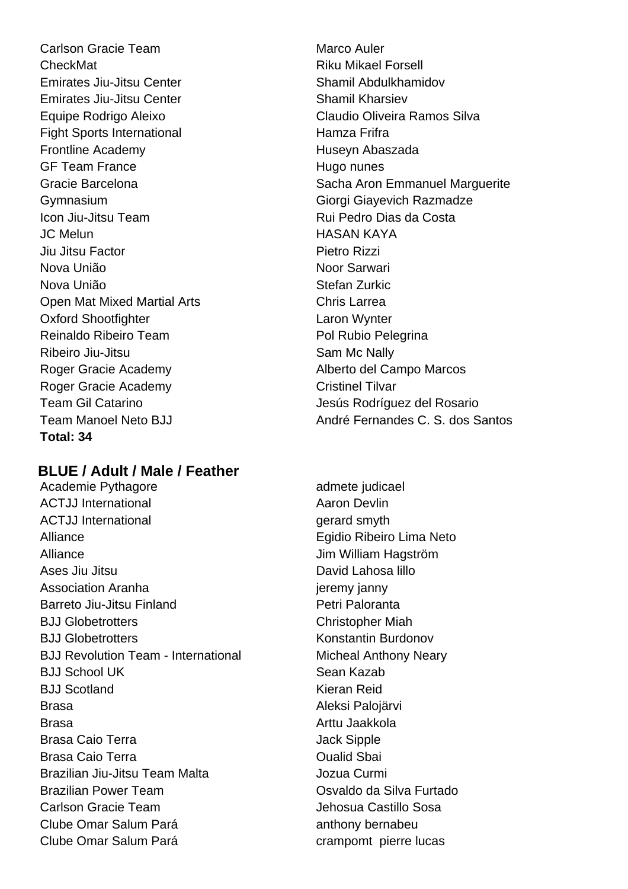Carlson Gracie Team Marco Auler CheckMat **CheckMat Riku Mikael Forsell** Emirates Jiu-Jitsu Center Shamil Abdulkhamidov Emirates Jiu-Jitsu Center Shamil Kharsiev Equipe Rodrigo Aleixo Claudio Oliveira Ramos Silva Fight Sports International Fight Sports International Frontline Academy **Huseyn** Abaszada GF Team France Hugo nunes Gymnasium Giorgi Giayevich Razmadze Icon Jiu-Jitsu Team **Icon Liu**-Jitsu Team Rui Pedro Dias da Costa JC Melun HASAN KAYA Jiu Jitsu Factor Pietro Rizzi Nova União **Nova União** Noor Sarwari Nova União **Stefan Zurkic** Open Mat Mixed Martial Arts **Chris Larrea** Oxford Shootfighter **Laron Wynter** Reinaldo Ribeiro Team Pol Rubio Pelegrina Ribeiro Jiu-Jitsu **National Community** Sam Mc Nally Roger Gracie Academy **Alberto del Campo Marcos** Roger Gracie Academy Cristinel Tilvar Team Gil Catarino **Verbannia a Composito del Servero del Team Gil Catarino del Rosario Total: 34**

### **BLUE / Adult / Male / Feather**

Academie Pythagore admete judicael ACTJJ International **ACTJ** Aaron Devlin ACTJJ International and the control of the control of the control of the control of the control of the control of the control of the control of the control of the control of the control of the control of the control of the Alliance Egidio Ribeiro Lima Neto Alliance Jim William Hagström Ases Jiu Jitsu David Lahosa lillo Association Aranha in the settlement of the settlement of the settlement of the settlement of the settlement of the settlement of the settlement of the settlement of the settlement of the settlement of the settlement of th Barreto Jiu-Jitsu Finland **Petri Paloranta** BJJ Globetrotters Christopher Miah BJJ Globetrotters Konstantin Burdonov BJJ Revolution Team - International Micheal Anthony Neary BJJ School UK Sean Kazab BJJ Scotland Kieran Reid Brasa Aleksi Palojärvi Brasa **Brasa** Arttu Jaakkola Brasa Caio Terra **Jack Sipple** Brasa Caio Terra **Caio Accidente Contra Contra Contra Contra Contra Contra Contra Contra Contra Contra Contra Contra Contra Contra Contra Contra Contra Contra Contra Contra Contra Contra Contra Contra Contra Contra Contra** Brazilian Jiu-Jitsu Team Malta Jozua Curmi Brazilian Power Team Osvaldo da Silva Furtado Carlson Gracie Team Jehosua Castillo Sosa Clube Omar Salum Pará **anthony bernabeu** Clube Omar Salum Pará crampomt pierre lucas

Gracie Barcelona **Sacha Aron Emmanuel Marguerite** Sacha Aron Emmanuel Marguerite Team Manoel Neto BJJ André Fernandes C. S. dos Santos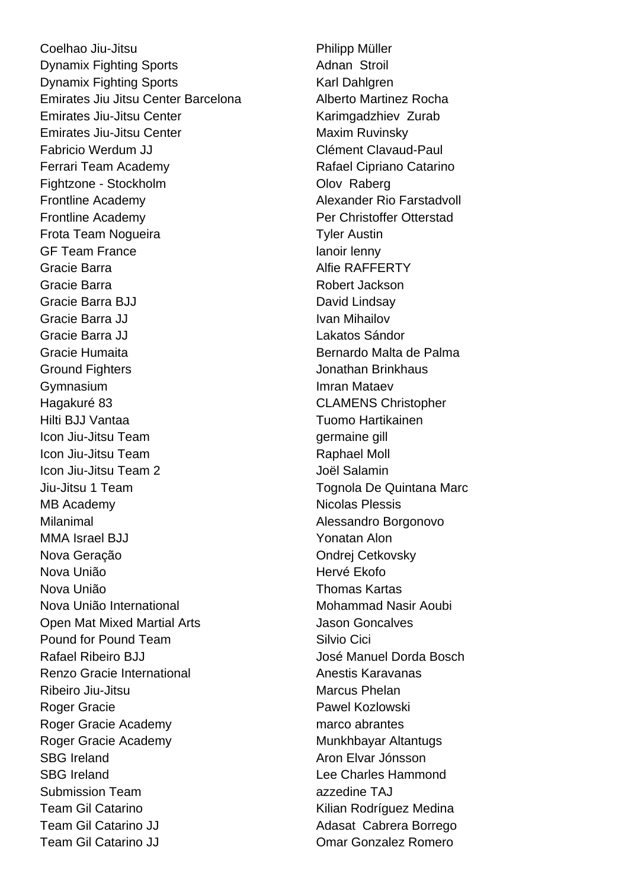Coelhao Jiu-Jitsu **Philipp Müller Dynamix Fighting Sports** Adnan Stroil Dynamix Fighting Sports Karl Dahlgren Emirates Jiu Jitsu Center Barcelona **Alberto Martinez Rocha** Emirates Jiu-Jitsu Center **Karimgadzhiev Zurab** Emirates Jiu-Jitsu Center **Maxim Ruvinsky** Fabricio Werdum JJ Clément Clavaud-Paul Ferrari Team Academy **Rafael Cipriano Catarino** Fightzone - Stockholm **Olov Raberg** Frontline Academy **Alexander Rio Farstadvoll** Frontline Academy **Per Christoffer Otterstad** Frota Team Noqueira **Tyler Austin** GF Team France lanoir lenny Gracie Barra **Alfie RAFFERTY** Gracie Barra **Robert Jackson** Gracie Barra BJJ David Lindsay Gracie Barra JJ **IVAN Mihailov** Ivan Mihailov Gracie Barra JJ Lakatos Sándor Gracie Humaita **Bernardo Malta de Palma** Ground Fighters **Ground Fighters Jonathan Brinkhaus** Gymnasium **Imran Mataev** Hagakuré 83 CLAMENS Christopher Hilti BJJ Vantaa Tuomo Hartikainen **Icon Jiu-Jitsu Team germaine gill** Icon Jiu-Jitsu Team **Raphael Moll** Icon Jiu-Jitsu Team 2 Joël Salamin Jiu-Jitsu 1 Team Tognola De Quintana Marc MB Academy Nicolas Plessis Milanimal Milanimal Alessandro Borgonovo MMA Israel BJJ Yonatan Alon Nova Geração **Nova Geração Nova Geração Ondrej Cetkovsky** Nova União **Nova União** e a constructor de Hervé Ekofo Nova União Thomas Kartas Nova União International Mohammad Nasir Aoubi Open Mat Mixed Martial Arts **Concalves** Pound for Pound Team Silvio Cici Rafael Ribeiro BJJ José Manuel Dorda Bosch Renzo Gracie International Anestis Karavanas Ribeiro Jiu-Jitsu **Marcus Phelan** Roger Gracie **Pawel Kozlowski** Roger Gracie Academy marco abrantes Roger Gracie Academy **Munkhbayar Altantugs** Munkhbayar Altantugs SBG Ireland Aron Elvar Jónsson SBG Ireland Lee Charles Hammond Submission Team azzedine TAJ Team Gil Catarino **Kilian Rodríguez Medina** Team Gil Catarino JJ **Adasat Cabrera Borrego** Team Gil Catarino JJ Omar Gonzalez Romero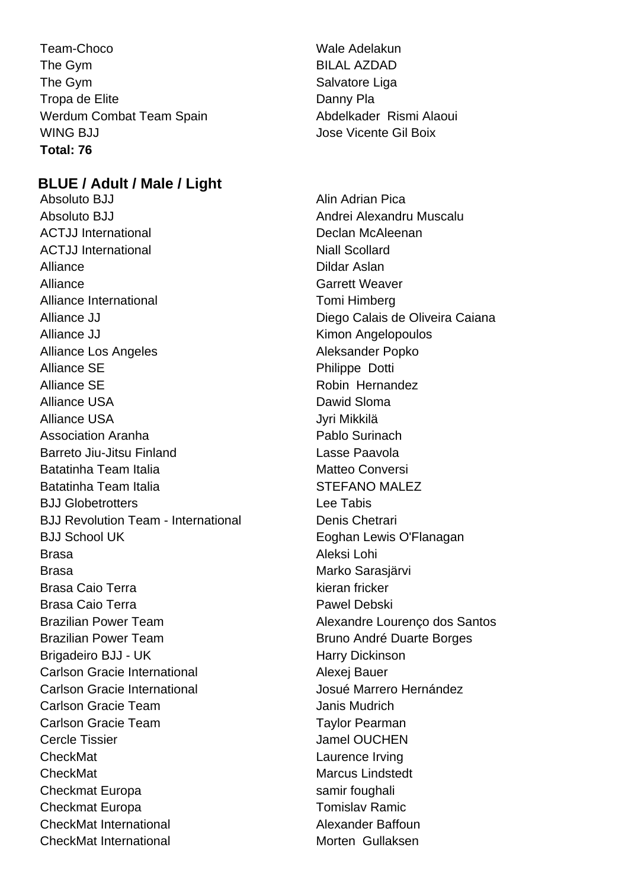Team-Choco Wale Adelakun The Gym BILAL AZDAD The Gym Salvatore Liga Tropa de Elite **Danny Platter Community** Danny Platter Werdum Combat Team Spain Abdelkader Rismi Alaoui WING BJJ **Jose Vicente Gil Boix Total: 76**

### **BLUE / Adult / Male / Light**

Absoluto BJJ Alin Adrian Pica Absoluto BJJ Andrei Alexandru Muscalu ACTJJ International **Declan McAleenan** ACTJJ International Niall Scollard Alliance **Dildar Aslan** Alliance **Garrett Weaver** Alliance International **Tomi** Himberg Alliance JJ **Diego Calais de Oliveira Caiana** Alliance JJ **Kimon Angelopoulos** Alliance Los Angeles Aleksander Popko Alliance SE Philippe Dotti Alliance SE Robin Hernandez Alliance USA Dawid Sloma Alliance USA variantise valta valta valta valta valta valta valta valta valta valta valta valta valta valta va Association Aranha **Pablo** Surinach Barreto Jiu-Jitsu Finland Lasse Paavola Batatinha Team Italia Matteo Conversi Batatinha Team Italia **STEFANO MALEZ** BJJ Globetrotters Lee Tabis BJJ Revolution Team - International Denis Chetrari BJJ School UK **Eoghan Lewis O'Flanagan** Brasa Aleksi Lohi Brasa Marko Sarasjärvi Brasa Caio Terra kieran fricker Brasa Caio Terra **Pawel Debski** Brazilian Power Team **Alexandre Lourenco dos Santos** Brazilian Power Team Bruno André Duarte Borges Brigadeiro BJJ - UK Harry Dickinson Carlson Gracie International **Alexei Bauer** Alexei Bauer Carlson Gracie International Josué Marrero Hernández Carlson Gracie Team **International Carlson Carlson** Carlson Gracie Team Taylor Pearman Cercle Tissier **Cercle Tissier** Jamel OUCHEN CheckMat **Laurence Irving** CheckMat Marcus Lindstedt Checkmat Europa samir foughali Checkmat Europa Tomislav Ramic CheckMat International Alexander Baffoun CheckMat International **Morten Gullaksen**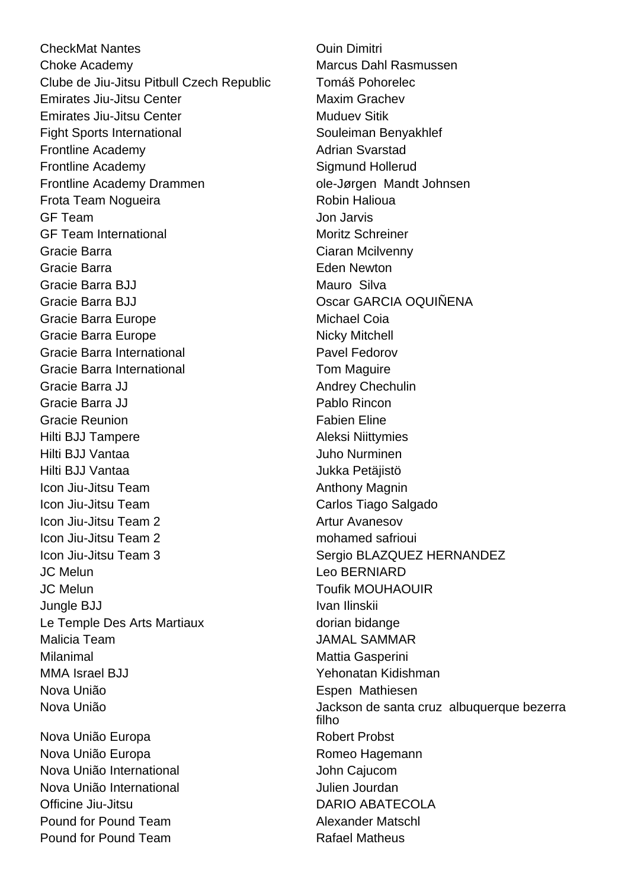**CheckMat Nantes CheckMat Nantes CheckMat Nantes Ouin Dimitri Choke Academy** Choke Academy **Marcus Dahl Rasmussen** Clube de Jiu-Jitsu Pitbull Czech Republic Tomáš Pohorelec Emirates Jiu-Jitsu Center **Maxim Grachev Emirates Jiu-Jitsu Center Muduev Sitik** Fight Sports International Souleiman Benyakhlef Frontline Academy **Adrian** Svarstad Frontline Academy **Sigmund Hollerud** Frontline Academy Drammen by The Sole-Jørgen Mandt Johnsen Frota Team Nogueira **Robin Halioua** GF Team Jon Jarvis GF Team International Moritz Schreiner Gracie Barra Ciaran Mcilvenny Gracie Barra **Eden Newton** Gracie Barra BJJ Mauro Silva Gracie Barra BJJ Oscar GARCIA OQUIÑENA Gracie Barra Europe **Michael Coia** Gracie Barra Europe Nicky Mitchell Gracie Barra International **Pavel Fedorov** Gracie Barra International **The Cracial Cracia** Tom Maguire Gracie Barra JJ Andrey Chechulin Gracie Barra JJ Pablo Rincon Gracie Reunion **Fabien** Eline Hilti BJJ Tampere **Aleksi** Niittymies Hilti BJJ Vantaa Juho Nurminen Hilti BJJ Vantaa Vuolla 1900 valtaa Vuolla 1900 valtaa Vuolla 1900 valtaa Vuolla 1900 valtaa Vuolla 1900 valta Icon Jiu-Jitsu Team Anthony Magnin Icon Jiu-Jitsu Team Carlos Tiago Salgado Icon Jiu-Jitsu Team 2 Artur Avanesov Icon Jiu-Jitsu Team 2 mohamed safrioui Icon Jiu-Jitsu Team 3 Sergio BLAZQUEZ HERNANDEZ JC Melun Leo BERNIARD JC Melun Toufik MOUHAOUIR Jungle BJJ **Ivan Ilinskii** Le Temple Des Arts Martiaux dorian bidange Malicia Team JAMAL SAMMAR Milanimal Milanimal Milanimal Muslim Mattia Gasperini MMA Israel BJJ Yehonatan Kidishman Nova União Espen Mathiesen Nova União Europa **Robert Probst** Nova União Europa **Romeo Hagemann** 

Nova União International **Nova União International** Nova União International **Nova União International** Officine Jiu-Jitsu DARIO ABATECOLA **Pound for Pound Team Alexander Matschl** Pound for Pound Team Rafael Matheus

Nova União **Jackson de santa cruz albuquerque bezerra** filho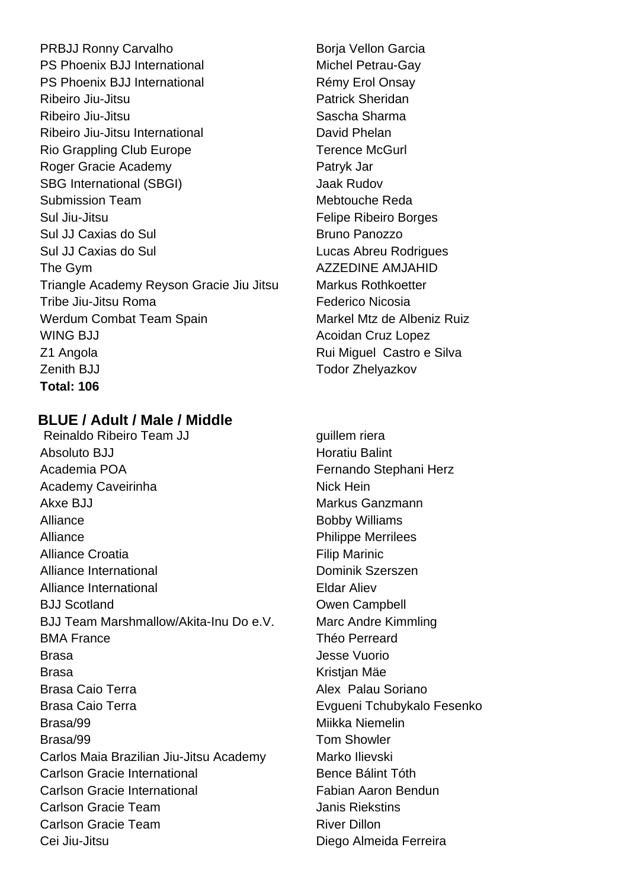PRBJJ Ronny Carvalho Borja Vellon Garcia PS Phoenix BJJ International Michel Petrau-Gay PS Phoenix BJJ International Rémy Erol Onsay Ribeiro Jiu-Jitsu **Patrick Sheridan** Ribeiro Jiu-Jitsu Sascha Sharma Ribeiro Jiu-Jitsu International **David Phelan** Rio Grappling Club Europe Terence McGurl Roger Gracie Academy **Patryk Jar** Patryk Jar SBG International (SBGI) Jaak Rudov Submission Team Mebtouche Reda Sul Jiu-Jitsu Felipe Ribeiro Borges Sul JJ Caxias do Sul Bruno Panozzo Sul JJ Caxias do Sul Lucas Abreu Rodrigues The Gym and the Gym and the Gym and the AMJAHID Triangle Academy Reyson Gracie Jiu Jitsu Markus Rothkoetter Tribe Jiu-Jitsu Roma<br>
Federico Nicosia Werdum Combat Team Spain Markel Mtz de Albeniz Ruiz WING BJJ **Acoidan Cruz Lopez Acoidan Cruz Lopez** Z1 Angola **Z1 Angola** Rui Miguel Castro e Silva Zenith BJJ **Todor Zhelyazkov Total: 106**

### **BLUE / Adult / Male / Middle**

Reinaldo Ribeiro Team JJ guillem riera Absoluto BJJ **Horatiu Balint** Academia POA **Fernando** Stephani Herz Academy Caveirinha Nick Hein Akxe BJJ Markus Ganzmann Alliance Bobby Williams Alliance **Philippe Merrilees** Alliance Croatia **Filip Marinic Filip Marinic** Alliance International **Dominic School** Dominik Szerszen Alliance International **Eldar Aliev** BJJ Scotland **Campbell CONFIDENTIAL CONFIDENTIAL CONFIDENTIAL CONFIDENTIAL CONFIDENTIAL CONFIDENTIAL CONFIDENTIAL CONFIDENTIAL CONFIDENTIAL CONFIDENTIAL CONFIDENTIAL CONFIDENTIAL CONFIDENTIAL CONFIDENTIAL CONFIDENTIAL CO** BJJ Team Marshmallow/Akita-Inu Do e.V. Marc Andre Kimmling BMA France **Theo Perreard** Brasa Jesse Vuorio Brasa Kristian Mäe Brasa Caio Terra **Alex Palau Soriano** Brasa Caio Terra **Eugueni Tchubykalo Fesenko** Brasa/99 Miikka Niemelin Brasa/99 Tom Showler Carlos Maia Brazilian Jiu-Jitsu Academy Marko Ilievski Carlson Gracie International Bence Bálint Tóth Carlson Gracie International Fabian Aaron Bendun **Carlson Gracie Team Carlson Carlson Gracie Team Janis Riekstins** Carlson Gracie Team River Dillon Cei Jiu-Jitsu Diego Almeida Ferreira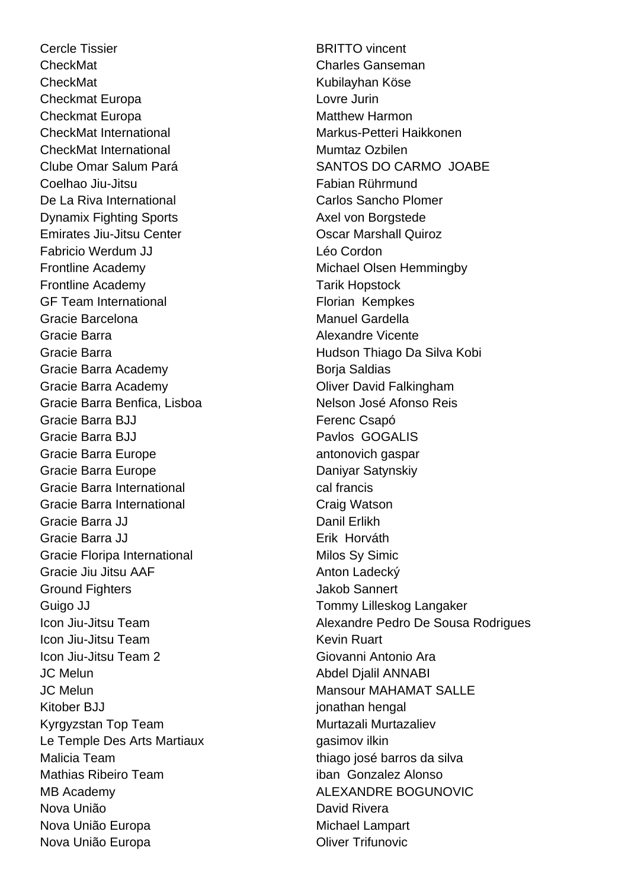Cercle Tissier **BRITTO** vincent CheckMat Charles Ganseman CheckMat Kubilayhan Köse Checkmat Europa Lovre Jurin Checkmat Europa Matthew Harmon CheckMat International **Markus-Petteri Haikkonen** CheckMat International Mumtaz Ozbilen Clube Omar Salum Pará SANTOS DO CARMO JOABE Coelhao Jiu-Jitsu Fabian Rührmund De La Riva International **Carlos Sancho Plomer** Dynamix Fighting Sports **Axel von Borgstede** Emirates Jiu-Jitsu Center **Carrollis Content Content Content Content** Oscar Marshall Quiroz Fabricio Werdum JJ Léo Cordon Frontline Academy **Michael Olsen Hemmingby** Frontline Academy Tarik Hopstock GF Team International Florian Kempkes Gracie Barcelona **Manuel Gardella** Gracie Barra Alexandre Vicente Gracie Barra **Hudson Thiago Da Silva Kobi** Gracie Barra Academy **Boria Saldias** Boria Saldias Gracie Barra Academy **Contact Contact Contact Contact Contact Contact Contact Contact Contact Contact Contact Contact Contact Contact Contact Contact Contact Contact Contact Contact Contact Contact Contact Contact Contact** Gracie Barra Benfica, Lisboa Nelson José Afonso Reis Gracie Barra BJJ **Ferenc Csapó** Gracie Barra BJJ **Pavlos GOGALIS** Gracie Barra Europe **antonovich** gaspar Gracie Barra Europe **Daniyar Satynskiy** Gracie Barra International **Cal Francis** cal francis Gracie Barra International **Craig Watson** Gracie Barra JJ **Danil Erlikh** Gracie Barra JJ **Erik Horváth** Gracie Floripa International Milos Sy Simic Gracie Jiu Jitsu AAF Anton Ladecký Ground Fighters **Ground Fighters Jakob Sannert** Guigo JJ **Tommy Lilleskog Langaker** Icon Jiu-Jitsu Team **Kevin Ruart** Kevin Ruart Icon Jiu-Jitsu Team 2 Giovanni Antonio Ara JC Melun Abdel Djalil ANNABI JC Melun Mansour MAHAMAT SALLE Kitober BJJ jonathan hengal Kyrgyzstan Top Team Murtazali Murtazaliev Le Temple Des Arts Martiaux **Example Des Arts Martiaux** Malicia Team thiago josé barros da silva Mathias Ribeiro Team iban Gonzalez Alonso MB Academy MB ALEXANDRE BOGUNOVIC Nova União **Nova União** David Rivera Nova União Europa **Michael Lampart** Nova União Europa **Nova União Europa Nova União Europa Oliver Trifunovic** 

Icon Jiu-Jitsu Team **Alexandre Pedro De Sousa Rodrigues**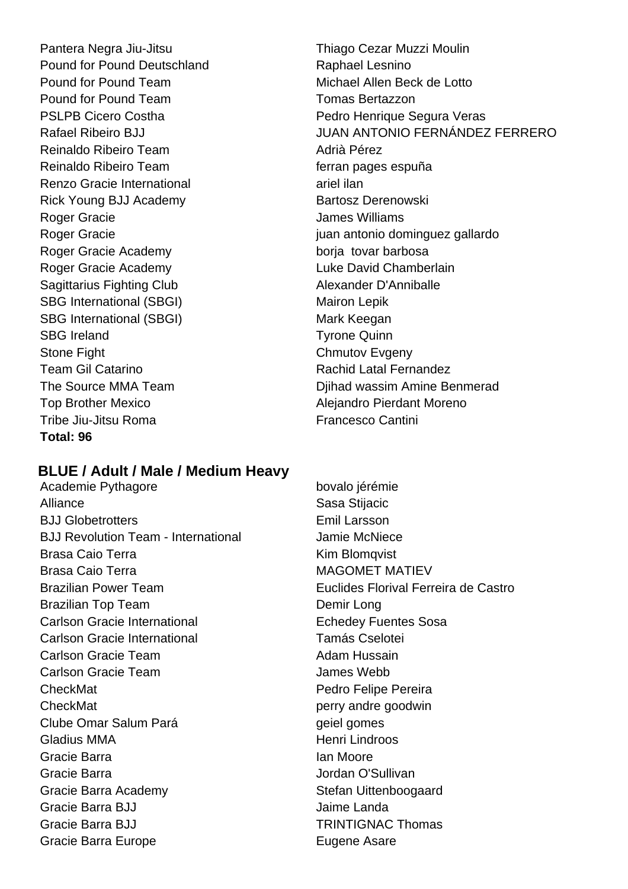Pound for Pound Deutschland **Raphael Lesnino** Pound for Pound Team Michael Allen Beck de Lotto Pound for Pound Team Tomas Bertazzon Reinaldo Ribeiro Team **Adri**à Pérez Reinaldo Ribeiro Team ferran pages espuña Renzo Gracie International and ariel ilan Rick Young BJJ Academy Bartosz Derenowski Roger Gracie **Calculation Contract Contract Contract Contract Contract Contract Contract Contract Contract Contract Contract Contract Contract Contract Contract Contract Contract Contract Contract Contract Contract Contrac** Roger Gracie Academy borja tovar barbosa Roger Gracie Academy **Luke David Chamberlain** Sagittarius Fighting Club Alexander D'Anniballe SBG International (SBGI) Mairon Lepik SBG International (SBGI) Mark Keegan SBG Ireland Tyrone Quinn Stone Fight Chmutov Evgeny Team Gil Catarino **Rachid Latal Fernandez** Top Brother Mexico **Alejandro Pierdant Moreno** Tribe Jiu-Jitsu Roma<br>
Francesco Cantini **Total: 96**

### Pantera Negra Jiu-Jitsu **Thiago Cezar Muzzi Moulin** PSLPB Cicero Costha **PEDRITH COST PEDRITS** Pedro Henrique Segura Veras Rafael Ribeiro BJJ JUAN ANTONIO FERNÁNDEZ FERRERO Roger Gracie in the state of the state is a state in the state in the state in the state in the state in the state in the state is a state of the state in the state in the state in the state in the state in the state in th The Source MMA Team **Digital Source MMA Team** Dijhad wassim Amine Benmerad

### **BLUE / Adult / Male / Medium Heavy**

Academie Pythagore bovalo jérémie Alliance **Sasa Stijacic** Sasa Stijacic BJJ Globetrotters **Emil Larsson** BJJ Revolution Team - International **Jamie McNiece** Brasa Caio Terra **Kim Blomqvist** Brasa Caio Terra MacOMET MATIEV Brazilian Top Team Demir Long Carlson Gracie International **Echedey Fuentes Sosa** Carlson Gracie International Tamás Cselotei Carlson Gracie Team **Adam Hussain** Carlson Gracie Team **James Webb CheckMat Pedro Felipe Pereira** CheckMat perry andre goodwin Clube Omar Salum Pará **geiel gomes** Gladius MMA **Henri Lindroos** Gracie Barra **Ian Moore** Ian Moore Gracie Barra **Gracia** Controllering and a structure of the Jordan O'Sullivan Gracie Barra Academy Stefan Uittenboogaard Gracie Barra BJJ Jaime Landa Gracie Barra BJJ **TRINTIGNAC Thomas** Gracie Barra Europe **Eugene Asare** Eugene Asare

Brazilian Power Team Euclides Florival Ferreira de Castro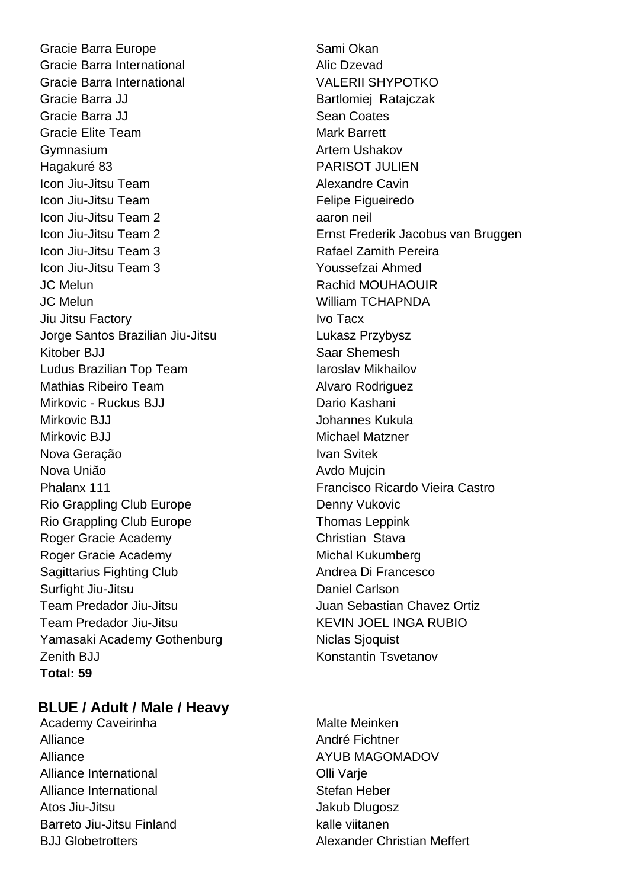Gracie Barra Europe Sami Okan Gracie Barra International **Alic Disk Contact Alic Dzevad** Gracie Barra International VALERII SHYPOTKO Gracie Barra JJ Bartlomiej Ratajczak Gracie Barra JJ Sean Coates Gracie Elite Team Mark Barrett Gymnasium **Artem Ushakov Artem Ushakov** Hagakuré 83 PARISOT JULIEN Icon Jiu-Jitsu Team Alexandre Cavin Icon Jiu-Jitsu Team Felipe Figueiredo Icon Jiu-Jitsu Team 2 aaron neil Icon Jiu-Jitsu Team 3 Rafael Zamith Pereira Icon Jiu-Jitsu Team 3 Youssefzai Ahmed JC Melun Rachid MOUHAOUIR JC Melun William TCHAPNDA Jiu Jitsu Factory **IVO** Tacx Jorge Santos Brazilian Jiu-Jitsu **Lukasz Przybysz** Kitober BJJ Saar Shemesh Ludus Brazilian Top Team International Mikhailov Mathias Ribeiro Team Alvaro Rodriguez Mirkovic - Ruckus BJJ Dario Kashani Mirkovic BJJ Johannes Kukula Mirkovic BJJ Michael Matzner Nova Geração **Ivan Svitek** Nova União **Avdo Mujcin** Phalanx 111 **Francisco Ricardo Vieira Castro** Rio Grappling Club Europe **Denny Vukovic** Denny Vukovic Rio Grappling Club Europe Thomas Leppink Roger Gracie Academy Christian Stava Roger Gracie Academy Michal Kukumberg Sagittarius Fighting Club Andrea Di Francesco Surfight Jiu-Jitsu **Daniel Carlson** Team Predador Jiu-Jitsu **International Sebastian Chavez Ortiz** Team Predador Jiu-Jitsu KEVIN JOEL INGA RUBIO Yamasaki Academy Gothenburg Niclas Sjoquist Zenith BJJ Konstantin Tsvetanov **Total: 59**

### **BLUE / Adult / Male / Heavy**

Academy Caveirinha Malte Meinken Alliance **André Fichtner** Alliance AVUB MAGOMADOV Alliance International **Alliance International** Alliance International **Stefan Heber** Atos Jiu-Jitsu Jakub Dlugosz Barreto Jiu-Jitsu Finland kalle viitanen

Icon Jiu-Jitsu Team 2 Ernst Frederik Jacobus van Bruggen

B.I.I Globetrotters **Alexander Christian Meffert**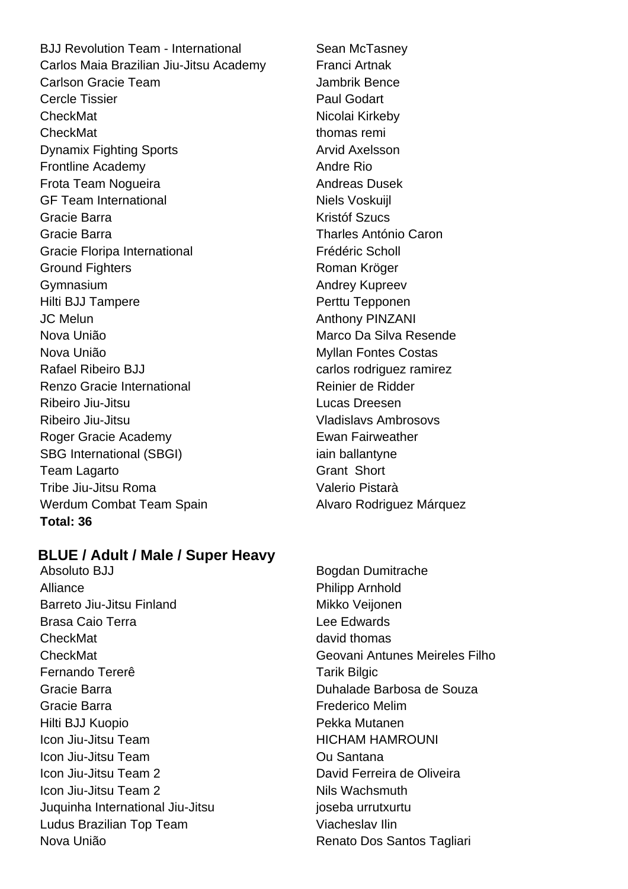BJJ Revolution Team - International Sean McTasney Carlos Maia Brazilian Jiu-Jitsu Academy Franci Artnak Carlson Gracie Team **Jambrik Bence** Cercle Tissier **Paul Godart** CheckMat Nicolai Kirkeby CheckMat thomas remi Dynamix Fighting Sports **Arvid Axelsson** Frontline Academy **Andre Rio** Andre Rio Frota Team Noqueira **Andreas Dusek** Andreas Dusek GF Team International Niels Voskuijl Gracie Barra **Kristóf Szucs** Gracie Barra Tharles António Caron Gracie Floripa International **Frédéric Scholl** Ground Fighters **Roman Kröger** Roman Kröger Gymnasium **Andrey Kupreev** Hilti BJJ Tampere **Perttu Tepponen** JC Melun Anthony PINZANI Nova União Marco Da Silva Resende Nova União **Myllan Fontes Costas** Rafael Ribeiro BJJ carlos rodriguez ramirez Renzo Gracie International **Reinier de Ridder** Ribeiro Jiu-Jitsu Lucas Dreesen Ribeiro Jiu-Jitsu **Vladislavs** Ambrosovs Roger Gracie Academy **Example 18** Ewan Fairweather SBG International (SBGI) iain ballantyne Team Lagarto Grant Short Tribe Jiu-Jitsu Roma Valerio Pistarà Werdum Combat Team Spain **Alvaro Rodriguez Márquez Total: 36**

### **BLUE / Adult / Male / Super Heavy**

Absoluto BJJ Bogdan Dumitrache Alliance **Philipp Arnhold** Barreto Jiu-Jitsu Finland Mikko Veijonen Brasa Caio Terra **Legation Caio Terra** Lee Edwards CheckMat david thomas CheckMat Geovani Antunes Meireles Filho Fernando Tererê Tarik Bilgic Gracie Barra Duhalade Barbosa de Souza Gracie Barra **Frederico Melim** Hilti BJJ Kuopio Pekka Mutanen **Icon Jiu-Jitsu Team Nightsu Team HICHAM HAMROUNI** Icon Jiu-Jitsu Team **Communist Communist Communist Communist Communist Communist Communist Communist Communist Communist Communist Communist Communist Communist Communist Communist Communist Communist Communist Communist C** Icon Jiu-Jitsu Team 2 David Ferreira de Oliveira Icon Jiu-Jitsu Team 2 Nils Wachsmuth Juquinha International Jiu-Jitsu **international and a mate intervalse is a struck**urtu Ludus Brazilian Top Team Viacheslav Ilin Nova União **Nova União** Renato Dos Santos Tagliari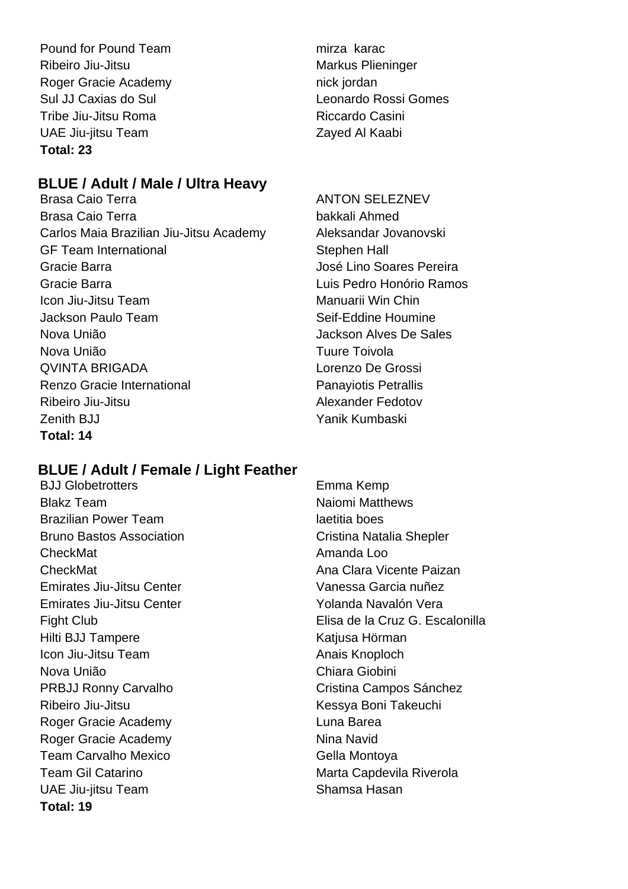Pound for Pound Team mirza karac Ribeiro Jiu-Jitsu **Markus Plieninger** Markus Plieninger Roger Gracie Academy nick jordan Sul JJ Caxias do Sul Leonardo Rossi Gomes Tribe Jiu-Jitsu Roma **Riccardo Casini** UAE Jiu-jitsu Team Zayed Al Kaabi **Total: 23**

### **BLUE / Adult / Male / Ultra Heavy**

Brasa Caio Terra bakkali Ahmed Carlos Maia Brazilian Jiu-Jitsu Academy Aleksandar Jovanovski GF Team International Stephen Hall Gracie Barra **Gracie Barra Compositor Compositor** José Lino Soares Pereira Gracie Barra Luis Pedro Honório Ramos Icon Jiu-Jitsu Team Manuarii Win Chin Jackson Paulo Team Seif-Eddine Houmine Nova União Jackson Alves De Sales Nova União **Tuure Toivola** QVINTA BRIGADA Lorenzo De Grossi Renzo Gracie International **Panayiotis Petrallis** Ribeiro Jiu-Jitsu **Alexander Fedotov** Zenith BJJ Yanik Kumbaski **Total: 14**

### **BLUE / Adult / Female / Light Feather**

BJJ Globetrotters Emma Kemp Blakz Team Naiomi Matthews Brazilian Power Team and the state of the laetitia boes Bruno Bastos Association **Cristina Natalia Shepler** CheckMat **Amanda** Loo CheckMat **CheckMat Ana Clara Vicente Paizan** Emirates Jiu-Jitsu Center Vanessa Garcia nuñez Emirates Jiu-Jitsu Center **Yolanda Navalón Vera** Hilti BJJ Tampere Katjusa Hörman Icon Jiu-Jitsu Team Anais Knoploch Nova União Chiara Giobini PRBJJ Ronny Carvalho Cristina Campos Sánchez Ribeiro Jiu-Jitsu **Kessya Boni Takeuchi** Roger Gracie Academy **Luna Barea** Roger Gracie Academy Nina Navid Team Carvalho Mexico **Gella Montoya** Team Gil Catarino **Marta Capdevila Riverola** UAE Jiu-jitsu Team Shamsa Hasan **Total: 19**

### ANTON SELEZNEV

Fight Club Elisa de la Cruz G. Escalonilla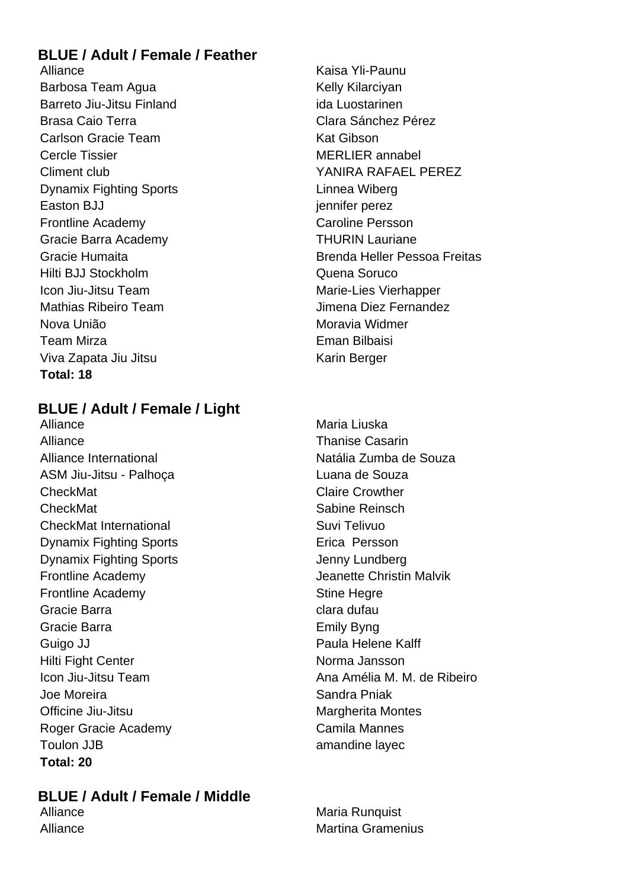### **BLUE / Adult / Female / Feather**

Alliance **Kaisa Yli-Paunu** Barbosa Team Agua **Kelly Kilarciyan** Barreto Jiu-Jitsu Finland ida Luostarinen Brasa Caio Terra **Caio Elección de Clara Sánchez Pérez** Carlson Gracie Team New York Carlson Kat Gibson Cercle Tissier **MERLIER** annabel Climent club YANIRA RAFAEL PEREZ Dynamix Fighting Sports **Linnea Wiberg** Easton BJJ jennifer perez Frontline Academy **Caroline Persson** Gracie Barra Academy THURIN Lauriane Hilti BJJ Stockholm Quena Soruco Icon Jiu-Jitsu Team Marie-Lies Vierhapper Mathias Ribeiro Team **Jimena Diez Fernandez** Nova União Moravia Widmer Team Mirza **Eman Bilbaisi** Viva Zapata Jiu Jitsu Karin Berger **Total: 18**

Gracie Humaita Brenda Heller Pessoa Freitas

### **BLUE / Adult / Female / Light**

Alliance Maria Liuska Alliance **Thanise Casarin** Alliance International Natália Zumba de Souza ASM Jiu-Jitsu - Palhoça Luana de Souza CheckMat CheckMat CheckMat CheckMat Sabine Reinsch CheckMat International Suvi Telivuo **Dynamix Fighting Sports** Erica Persson Dynamix Fighting Sports **Contains Containery** Jenny Lundberg Frontline Academy Jeanette Christin Malvik Frontline Academy **Stine Hegre** Stine Hegre Gracie Barra **clara clara clara dufau** Gracie Barra **Emily Byng** Guigo JJ **Paula Helene Kalff** Hilti Fight Center Norma Jansson Joe Moreira **New York Contract Contract Contract Contract Contract Contract Contract Contract Contract Contract Contract Contract Contract Contract Contract Contract Contract Contract Contract Contract Contract Contract Co** Officine Jiu-Jitsu **Margherita Montes** Margherita Montes Roger Gracie Academy Camila Mannes Toulon JJB amandine layec **Total: 20**

Icon Jiu-Jitsu Team **Ana Amélia M. M. de Ribeiro** 

**BLUE / Adult / Female / Middle**

**Maria Runquist** Alliance Martina Gramenius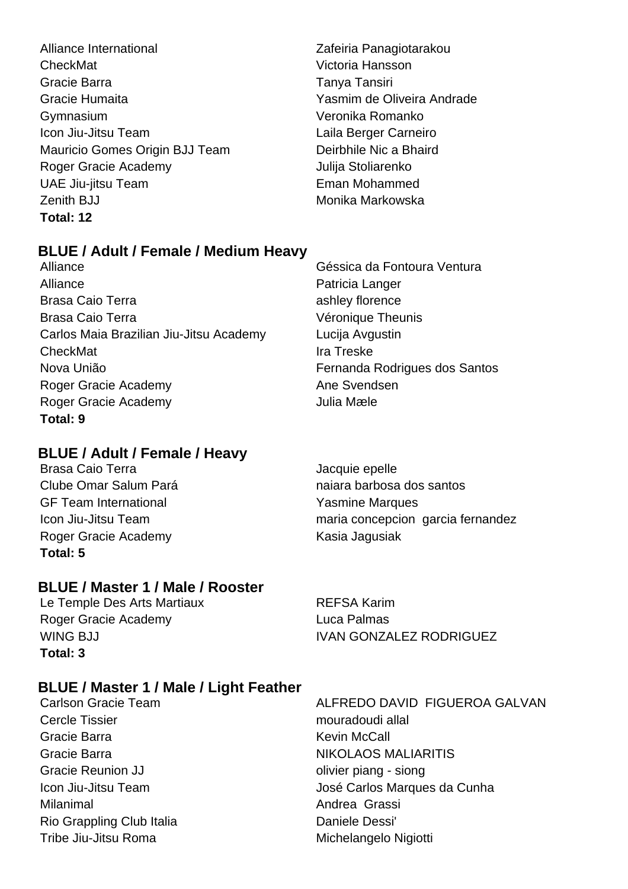- Alliance International Zafeiria Panagiotarakou CheckMat Victoria Hansson Gracie Barra Tanya Tansiri Gracie Humaita Yasmim de Oliveira Andrade Gymnasium Veronika Romanko Icon Jiu-Jitsu Team Laila Berger Carneiro Mauricio Gomes Origin BJJ Team Deirbhile Nic a Bhaird Roger Gracie Academy **Contact Structure Contact Academy** Julija Stoliarenko UAE Jiu-jitsu Team **Eman Mohammed** Zenith BJJ Monika Markowska **Total: 12**
- 

### **BLUE / Adult / Female / Medium Heavy**

Alliance **Patricia Langer** Patricia Langer Brasa Caio Terra **ashley florence** ashley florence Brasa Caio Terra **Véronique Theunis** Carlos Maia Brazilian Jiu-Jitsu Academy Lucija Avgustin CheckMat **If the CheckMat** Ira Treske Nova União Fernanda Rodrigues dos Santos Roger Gracie Academy **Ane Svendsen** Roger Gracie Academy Julia Mæle **Total: 9**

### **BLUE / Adult / Female / Heavy**

Brasa Caio Terra **International Executive Caio Terra** Jacquie epelle GF Team International **GE Team International** Roger Gracie Academy Kasia Jagusiak **Total: 5**

### **BLUE / Master 1 / Male / Rooster**

Le Temple Des Arts Martiaux **REFSA Karim** Roger Gracie Academy Luca Palmas **Total: 3**

### **BLUE / Master 1 / Male / Light Feather**

Cercle Tissier mouradoudi allal Gracie Barra **Kevin McCall** Gracie Reunion JJ **Canadian Contract Contract Contract Contract Contract Contract Contract Contract Contract Contract Contract Contract Contract Contract Contract Contract Contract Contract Contract Contract Contract Contr** Milanimal **Andrea Grassi** Rio Grappling Club Italia **Daniele Dessi**' Tribe Jiu-Jitsu Roma<br>
Michelangelo Nigiotti

Alliance Géssica da Fontoura Ventura

Clube Omar Salum Pará **naiara barbosa dos santos** Icon Jiu-Jitsu Team maria concepcion garcia fernandez

WING BJJ **IVAN GONZALEZ RODRIGUEZ** 

Carlson Gracie Team ALFREDO DAVID FIGUEROA GALVAN Gracie Barra NIKOLAOS MALIARITIS Icon Jiu-Jitsu Team  $\qquad \qquad$  José Carlos Marques da Cunha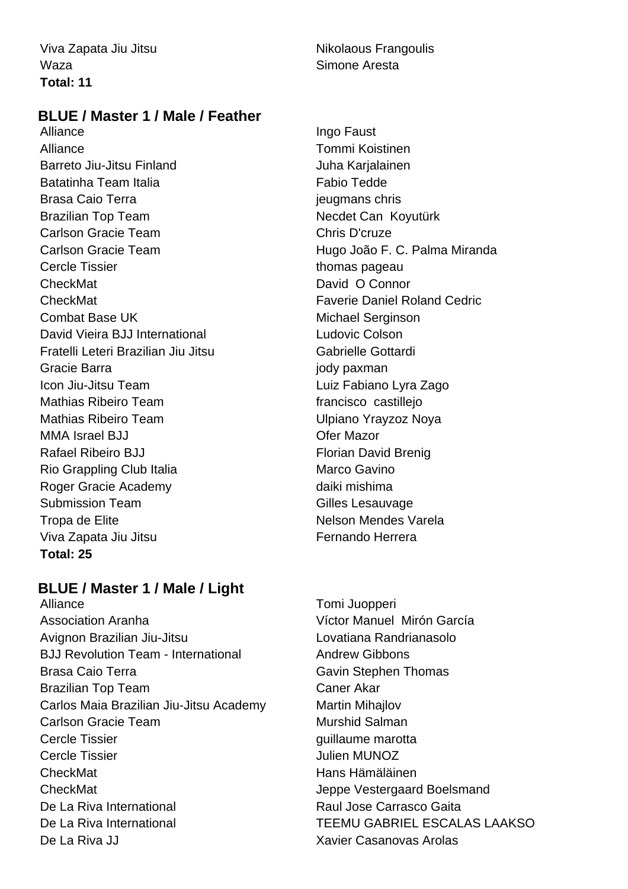Waza **Simone Aresta Total: 11**

### Viva Zapata Jiu Jitsu Nikolaous Frangoulis

### **BLUE / Master 1 / Male / Feather**

Alliance **Ingo Faust** Alliance Tommi Koistinen Barreto Jiu-Jitsu Finland Juha Karjalainen Batatinha Team Italia **Fabio Tedde** Brasa Caio Terra international christianus christianus christianus christianus christianus christianus christi Brazilian Top Team Necolet Can Koyutürk Carlson Gracie Team Chris D'cruze Carlson Gracie Team **Hugo João F. C. Palma Miranda** Cercle Tissier thomas pageau CheckMat David O Connor CheckMat Faverie Daniel Roland Cedric Combat Base UK Michael Serginson David Vieira BJJ International **Ludovic Colson** Fratelli Leteri Brazilian Jiu Jitsu Gabrielle Gottardi Gracie Barra **journal community** Gracie Barra in the second payman Icon Jiu-Jitsu Team Luiz Fabiano Lyra Zago Mathias Ribeiro Team francisco castilleio Mathias Ribeiro Team **Nathias Ribeiro Team** Ulpiano Yrayzoz Noya MMA Israel BJJ Ofer Mazor Rafael Ribeiro BJJ **Florian David Brenig** Rio Grappling Club Italia Marco Gavino Roger Gracie Academy daiki mishima Submission Team Gilles Lesauvage Tropa de Elite Nelson Mendes Varela Viva Zapata Jiu Jitsu **Fernando Herrera Total: 25**

### **BLUE / Master 1 / Male / Light**

Alliance Tomi Juopperi Association Aranha Víctor Manuel Mirón García Avignon Brazilian Jiu-Jitsu **Letter Lovatiana Randrianasolo** BJJ Revolution Team - International Andrew Gibbons Brasa Caio Terra **Gavin Stephen Thomas** Brazilian Top Team Caner Akar Carlos Maia Brazilian Jiu-Jitsu Academy Martin Mihajlov Carlson Gracie Team **Murshid Salman** Cercle Tissier Gercle Tissier guillaume marotta Cercle Tissier **Cercle Tissier** Julien MUNOZ CheckMat **Hans Hämäläinen** CheckMat Jeppe Vestergaard Boelsmand De La Riva International Raul Jose Carrasco Gaita De La Riva International TEEMU GABRIEL ESCALAS LAAKSO De La Riva JJ Xavier Casanovas Arolas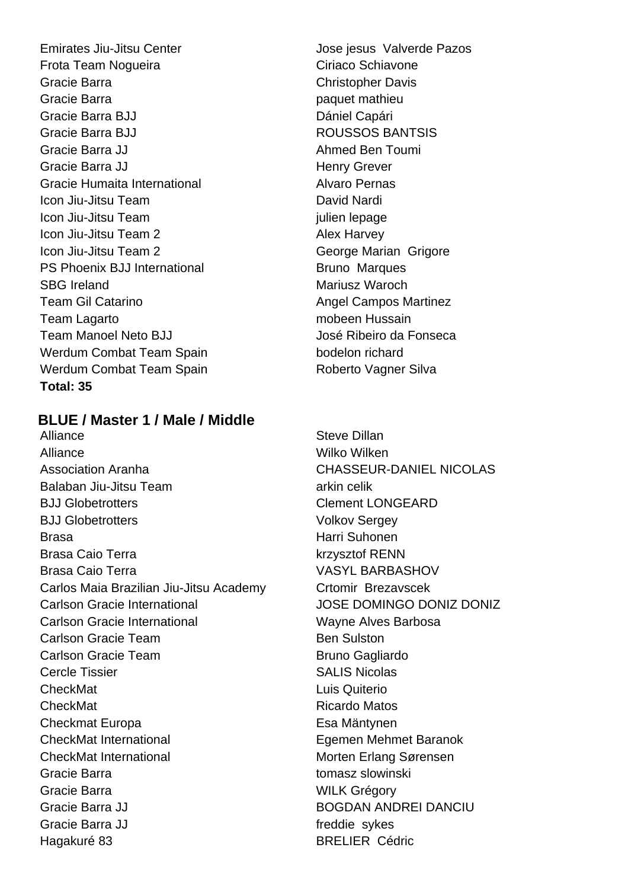Emirates Jiu-Jitsu Center **Julie 1988** Jose jesus Valverde Pazos Frota Team Noqueira **Ciriaco** Schiavone Gracie Barra Christopher Davis Gracie Barra **paguet mathieu** Gracie Barra BJJ Dániel Capári Gracie Barra BJJ **ROUSSOS BANTSIS** Gracie Barra JJ **Ahmed Ben Toumi** Gracie Barra JJ **Henry Grever** Gracie Humaita International **Alvaro Pernas** Icon Jiu-Jitsu Team **David Nardi** David Nardi Icon Jiu-Jitsu Team julien lepage Icon Jiu-Jitsu Team 2 Alex Harvey Icon Jiu-Jitsu Team 2 George Marian Grigore PS Phoenix BJJ International Bruno Marques SBG Ireland Mariusz Waroch Team Gil Catarino **Angel Campos Martinez** Team Lagarto **Mateuralism Contract Contract Contract Contract Contract Contract Contract Contract Contract Contract Contract Contract Contract Contract Contract Contract Contract Contract Contract Contract Contract Contrac** Team Manoel Neto BJJ José Ribeiro da Fonseca Werdum Combat Team Spain bodelon richard Werdum Combat Team Spain New York Roberto Vagner Silva **Total: 35**

### **BLUE / Master 1 / Male / Middle**

Alliance **Steve Dillan** Alliance Wilko Wilken Association Aranha CHASSEUR-DANIEL NICOLAS Balaban Jiu-Jitsu Team arkin celik BJJ Globetrotters Clement LONGEARD BJJ Globetrotters Volkov Sergey Brasa **Harri Suhonen** Brasa Caio Terra krzysztof RENN Brasa Caio Terra VASYL BARBASHOV Carlos Maia Brazilian Jiu-Jitsu Academy Crtomir Brezavscek Carlson Gracie International JOSE DOMINGO DONIZ DONIZ Carlson Gracie International Wayne Alves Barbosa Carlson Gracie Team Ben Sulston Carlson Gracie Team Bruno Gagliardo Cercle Tissier SALIS Nicolas CheckMat Luis Quiterio CheckMat **Ricardo Matos** Checkmat Europa **Esa Mäntynen** CheckMat International Egemen Mehmet Baranok CheckMat International Morten Erlang Sørensen Gracie Barra **tomasz slowinski** Gracie Barra **Million Cracie Barra Million Cracie Activity** Million WILK Grégory Gracie Barra JJ BOGDAN ANDREI DANCIU Gracie Barra JJ freddie sykes Hagakuré 83 **BRELIER** Cédric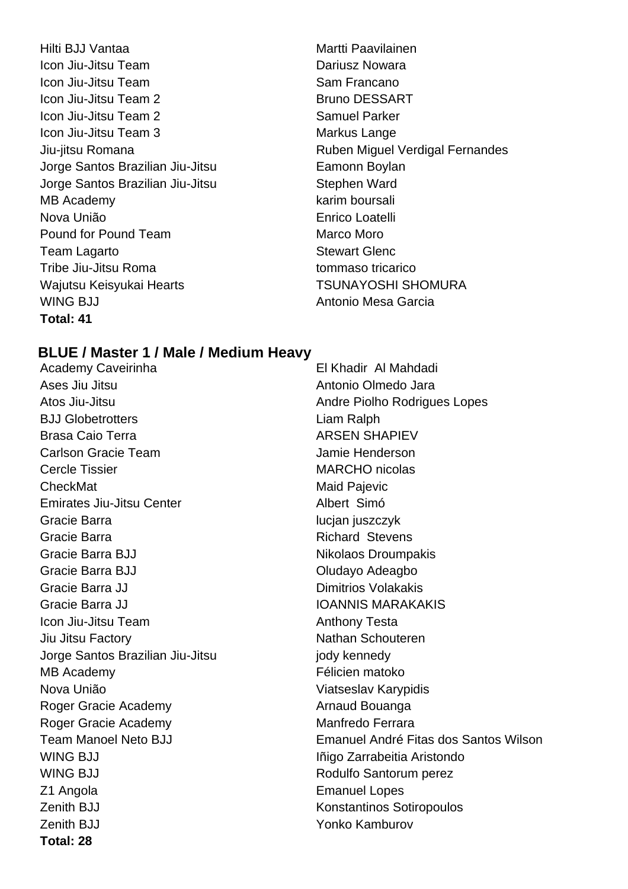Hilti BJJ Vantaa Martti Paavilainen Icon Jiu-Jitsu Team Dariusz Nowara **Icon Jiu-Jitsu Team Sam Francano** Icon Jiu-Jitsu Team 2 Bruno DESSART **Icon Jiu-Jitsu Team 2** Samuel Parker Icon Jiu-Jitsu Team 3 Markus Lange Jorge Santos Brazilian Jiu-Jitsu **Eamonn Boylan** Jorge Santos Brazilian Jiu-Jitsu **Stephen Ward** MB Academy **Karim boursali Karim boursali Karim** boursali Nova União Enrico Loatelli Pound for Pound Team Marco Moro Team Lagarto **Stewart Glenc** Tribe Jiu-Jitsu Roma Wajutsu Keisyukai Hearts **TSUNAYOSHI SHOMURA** WING BJJ **Antonio Mesa Garcia Total: 41**

Jiu-jitsu Romana Ruben Miguel Verdigal Fernandes

### **BLUE / Master 1 / Male / Medium Heavy**

Academy Caveirinha **El Khadir Al Mahdadi** Ases Jiu Jitsu Antonio Olmedo Jara BJJ Globetrotters **Liam Ralph** Brasa Caio Terra **ARSEN SHAPIEV** Carlson Gracie Team Jamie Henderson Cercle Tissier **MARCHO** nicolas CheckMat Maid Pajevic Emirates Jiu-Jitsu Center **Albert Simó** Gracie Barra **interval interval and the Cracia** lucian juszczyk Gracie Barra **Richard Stevens Richard Stevens** Gracie Barra BJJ Nikolaos Droumpakis Gracie Barra BJJ Cracie Barra BJJ Cracie Barra BI Gracie Barra JJ Dimitrios Volakakis Gracie Barra JJ **IOANNIS MARAKAKIS Icon Jiu-Jitsu Team Anthony Testa** Jiu Jitsu Factory **Nathan Schouteren** Jorge Santos Brazilian Jiu-Jitsu **interpretata isambang kanada**y MB Academy Félicien matoko Nova União **Viatseslav Karypidis** Roger Gracie Academy **Arnaud Bouanga** Roger Gracie Academy Manfredo Ferrara WING BJJ **Initial Aristondo** Iñigo Zarrabeitia Aristondo WING BJJ Rodulfo Santorum perez Z1 Angola **Emanuel Lopes** Zenith BJJ **Konstantinos Sotiropoulos** Zenith BJJ Yonko Kamburov **Total: 28**

Atos Jiu-Jitsu Andre Piolho Rodrigues Lopes Team Manoel Neto BJJ Emanuel André Fitas dos Santos Wilson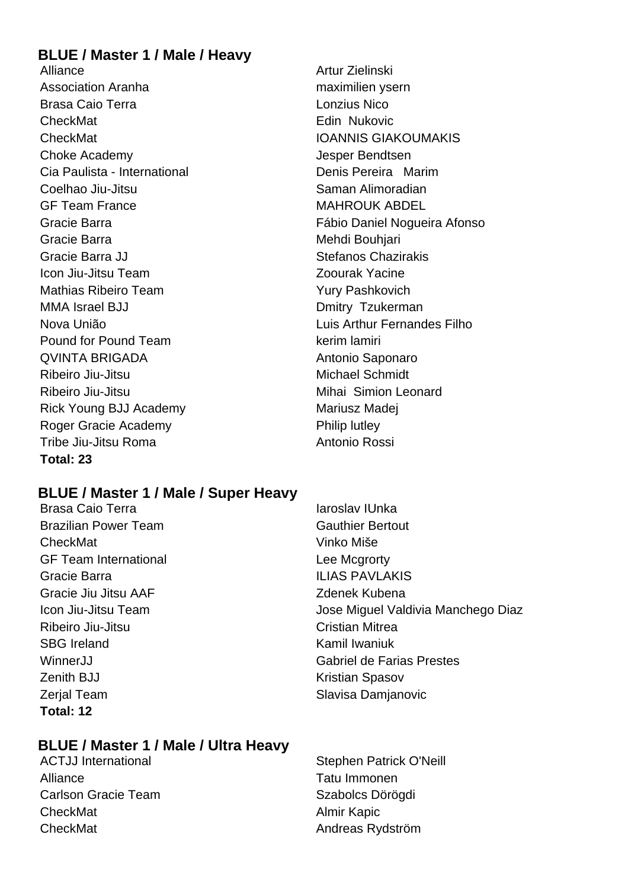### **BLUE / Master 1 / Male / Heavy**

Alliance **Alliance** Artur Zielinski Association Aranha maximilien ysern Brasa Caio Terra Lonzius Nico CheckMat **Edin Nukovic** Edin Nukovic CheckMat IOANNIS GIAKOUMAKIS Choke Academy Jesper Bendtsen Cia Paulista - International **Denis Pereira Marim** Coelhao Jiu-Jitsu **Saman Alimoradian** GF Team France MAHROUK ABDEL Gracie Barra **Mehdi Bouhjari** Mehdi Bouhjari Gracie Barra JJ Stefanos Chazirakis Icon Jiu-Jitsu Team Zoourak Yacine Mathias Ribeiro Team Yury Pashkovich MMA Israel BJJ **DMITREAD CONTACT CONTROLLER** Designation Dmitry Tzukerman Nova União Luis Arthur Fernandes Filho Pound for Pound Team kerim lamiri QVINTA BRIGADA **Antonio Saponaro** Ribeiro Jiu-Jitsu **Michael Schmidt** Ribeiro Jiu-Jitsu **Mihai** Simion Leonard Rick Young BJJ Academy Mariusz Madej Roger Gracie Academy **Philip Lutley** Philip lutley Tribe Jiu-Jitsu Roma **Antonio Rossi** Antonio Rossi **Total: 23**

Gracie Barra Fábio Daniel Nogueira Afonso

### **BLUE / Master 1 / Male / Super Heavy**

Brasa Caio Terra **Iaroslav III. Septembra 1999** Iaroslav IUnka Brazilian Power Team Gauthier Bertout CheckMat Vinko Miše GF Team International **Lee Mcgrorty** Gracie Barra ILIAS PAVLAKIS Gracie Jiu Jitsu AAF Zdenek Kubena Ribeiro Jiu-Jitsu Cristian Mitrea SBG Ireland Kamil Iwaniuk **Zenith BJJ Kristian Spasov** Zerjal Team Slavisa Damjanovic **Total: 12**

## Icon Jiu-Jitsu Team **Icon Jiu-Jitsu Team** Jose Miguel Valdivia Manchego Diaz WinnerJJ Gabriel de Farias Prestes

### **BLUE / Master 1 / Male / Ultra Heavy**

Alliance **Tatu Immonen** Carlson Gracie Team Szabolcs Dörögdi CheckMat **Almir Kapic** CheckMat **Andreas Rydström** 

ACTJJ International **Stephen Patrick O'Neill** Stephen Patrick O'Neill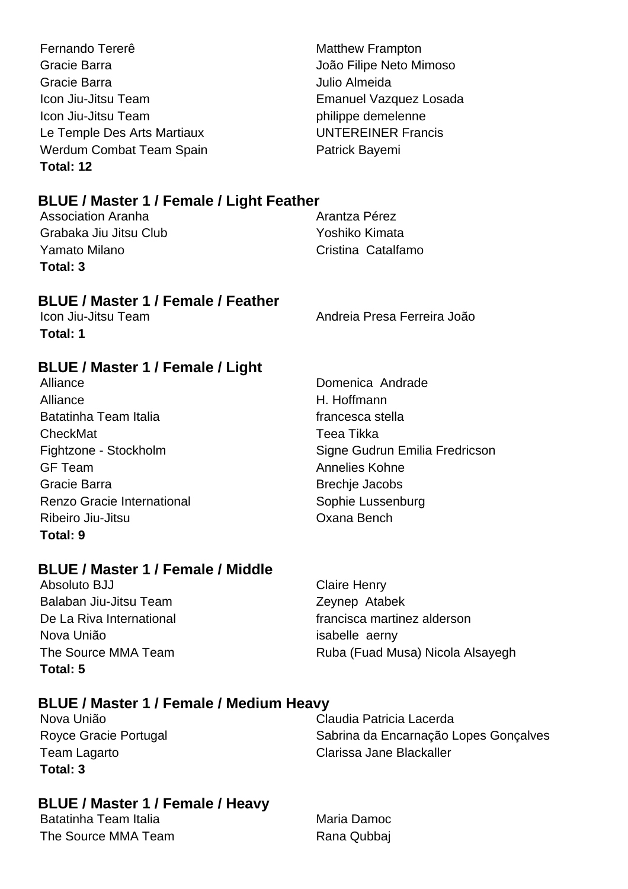Fernando Tererê Matthew Frampton Gracie Barra João Filipe Neto Mimoso Gracie Barra Julio Almeida Icon Jiu-Jitsu Team **Emanuel Vazquez Losada** Icon Jiu-Jitsu Team **philippe demelenne** Le Temple Des Arts Martiaux UNTEREINER Francis Werdum Combat Team Spain **Patrick Bayemi Total: 12**

### **BLUE / Master 1 / Female / Light Feather**

Association Aranha **Arantza Pérez** Arantza Pérez Grabaka Jiu Jitsu Club Yoshiko Kimata Yamato Milano Cristina Catalfamo **Total: 3**

### **BLUE / Master 1 / Female / Feather**

**Total: 1**

Icon Jiu-Jitsu Team Andreia Presa Ferreira João

### **BLUE / Master 1 / Female / Light**

Alliance Domenica Andrade Alliance H. Hoffmann Batatinha Team Italia **francesca** stella CheckMat Teea Tikka Fightzone - Stockholm Signe Gudrun Emilia Fredricson GF Team **Annelies Kohne** Gracie Barra **Brechie Jacobs** Brechie Jacobs Renzo Gracie International Sophie Lussenburg Ribeiro Jiu-Jitsu Oxana Bench **Total: 9**

### **BLUE / Master 1 / Female / Middle**

Absoluto BJJ Claire Henry Balaban Jiu-Jitsu Team Zeynep Atabek Nova União isabelle aerny **Total: 5**

De La Riva International expansion of the francisca martinez alderson The Source MMA Team Ruba (Fuad Musa) Nicola Alsayegh

### **BLUE / Master 1 / Female / Medium Heavy**

**Total: 3**

Nova União Claudia Patricia Lacerda Royce Gracie Portugal **Sabrina da Encarnação Lopes Goncalves** Team Lagarto Clarissa Jane Blackaller

### **BLUE / Master 1 / Female / Heavy**

Batatinha Team Italia Maria Damoc The Source MMA Team **Rana Qubbaj**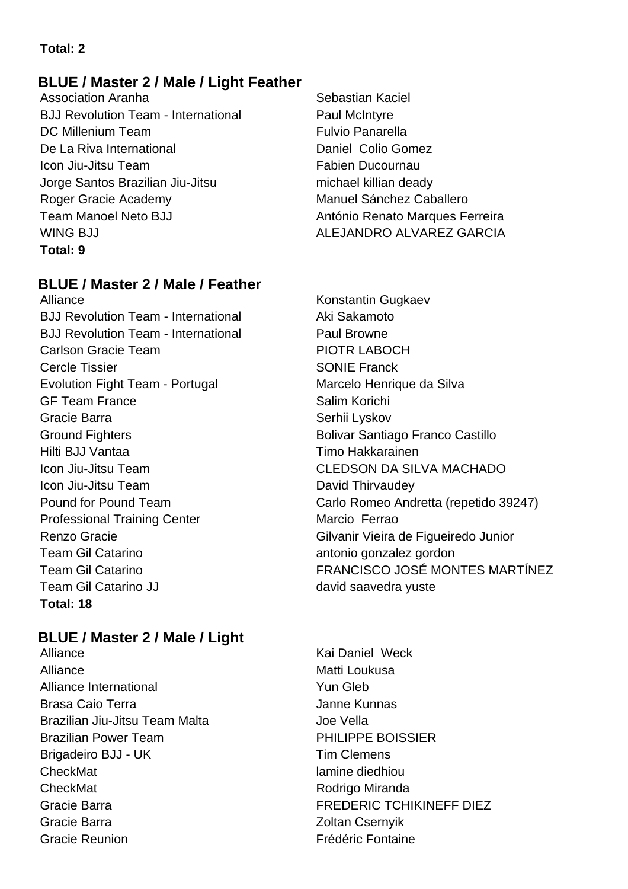### **Total: 2**

### **BLUE / Master 2 / Male / Light Feather**

Association Aranha **Sebastian Kaciel** Sebastian Kaciel BJJ Revolution Team - International Paul McIntyre DC Millenium Team Fulvio Panarella De La Riva International Daniel Colio Gomez Icon Jiu-Jitsu Team **Fabien** Ducournau Jorge Santos Brazilian Jiu-Jitsu michael killian deady Roger Gracie Academy Manuel Sánchez Caballero Team Manoel Neto BJJ **António Renato Marques Ferreira** WING BJJ ALEJANDRO ALVAREZ GARCIA **Total: 9**

### **BLUE / Master 2 / Male / Feather**

Alliance **Konstantin Gugkaev** BJJ Revolution Team - International Aki Sakamoto BJJ Revolution Team - International Paul Browne Carlson Gracie Team **PIOTR LABOCH** Cercle Tissier SONIE Franck Evolution Fight Team - Portugal Marcelo Henrique da Silva GF Team France Salim Korichi Gracie Barra **Serhii Lyskov** Serhii Lyskov Ground Fighters **Bolivar Santiago Franco Castillo** Hilti BJJ Vantaa Timo Hakkarainen Icon Jiu-Jitsu Team CLEDSON DA SILVA MACHADO Icon Jiu-Jitsu Team David Thirvaudey Professional Training Center Marcio Ferrao Team Gil Catarino **antonio gonzalez gordon** Team Gil Catarino JJ david saavedra yuste **Total: 18**

### **BLUE / Master 2 / Male / Light**

Alliance Kai Daniel Weck Alliance Matti Loukusa Alliance International **The Contract Contract Contract Contract Contract Contract Contract Contract Contract Contract Contract Contract Contract Contract Contract Contract Contract Contract Contract Contract Contract Contr** Brasa Caio Terra **January 2018** Janne Kunnas Brazilian Jiu-Jitsu Team Malta **Joe Vella** Brazilian Power Team **PHILIPPE BOISSIER** Brigadeiro BJJ - UK Tim Clemens CheckMat lamine diedhiou CheckMat **Rodrigo Miranda** Gracie Barra **FREDERIC TCHIKINEFF DIEZ** Gracie Barra **Zoltan Csernyik** Gracie Reunion **Frédéric Fontaine** 

Pound for Pound Team Carlo Romeo Andretta (repetido 39247) Renzo Gracie **Gracie Gilvanir Vieira de Figueiredo Junior** Team Gil Catarino FRANCISCO JOSÉ MONTES MARTÍNEZ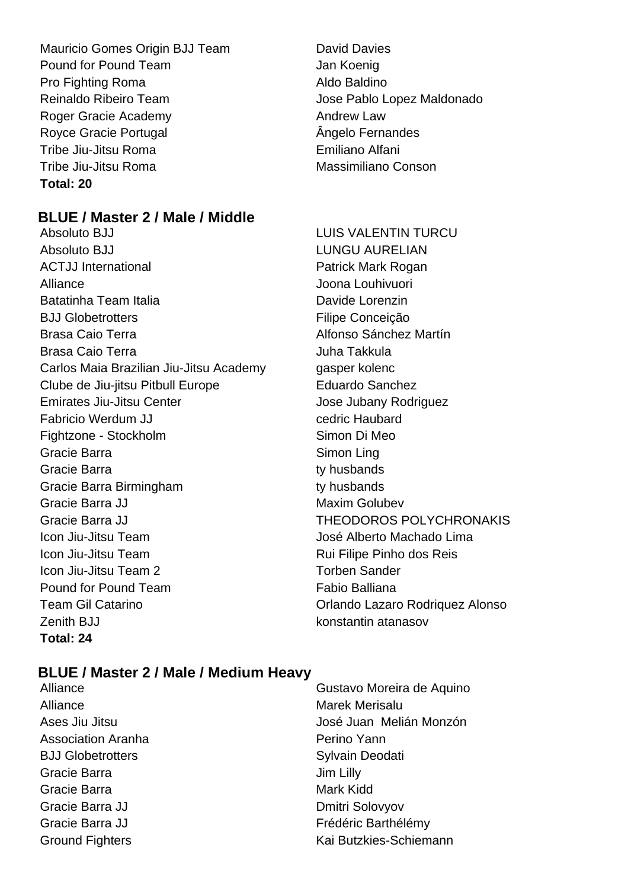Mauricio Gomes Origin BJJ Team David Davies Pound for Pound Team **Jan Koenig** Pro Fighting Roma **Aldo Baldino** Reinaldo Ribeiro Team  $\qquad \qquad$  Jose Pablo Lopez Maldonado Roger Gracie Academy **Andrew Law** Royce Gracie Portugal **Angelo Fernandes** Tribe Jiu-Jitsu Roma Emiliano Alfani Tribe Jiu-Jitsu Roma Massimiliano Conson **Total: 20**

# **BLUE / Master 2 / Male / Middle**

- Absoluto BJJ LUIS VALENTIN TURCU Absoluto BJJ New York Contract Contract Contract Contract Contract Contract Contract Contract Contract Contract Contract Contract Contract Contract Contract Contract Contract Contract Contract Contract Contract Contract Co ACTJJ International **Patrick Mark Rogan** Alliance Joona Louhivuori Batatinha Team Italia **Davide Lorenzin** BJJ Globetrotters **Filipe Conceição** Brasa Caio Terra **Alfonso Sánchez Martín** Brasa Caio Terra **Juha Takkula** Carlos Maia Brazilian Jiu-Jitsu Academy gasper kolenc Clube de Jiu-jitsu Pitbull Europe **Eduardo Sanchez** Emirates Jiu-Jitsu Center **Jose Jubany Rodriguez** Fabricio Werdum JJ cedric Haubard Fightzone - Stockholm Simon Di Meo Gracie Barra **Simon Ling** Gracie Barra **the Contract Contract Contract Contract Contract Contract Contract Contract Contract Contract Contract Contract Contract Contract Contract Contract Contract Contract Contract Contract Contract Contract Contra** Gracie Barra Birmingham ty husbands Gracie Barra JJ Maxim Golubev Gracie Barra JJ THEODOROS POLYCHRONAKIS Icon Jiu-Jitsu Team José Alberto Machado Lima Icon Jiu-Jitsu Team **Rui Filipe Pinho dos Reis** Icon Jiu-Jitsu Team 2 Torben Sander Pound for Pound Team Fabio Balliana Team Gil Catarino **Team Gil Catarino Contract Cataring Contract Cataring Contract Cataring Contract Cataring Contract Contract Contract Contract Contract Contract Contract Contract Contract Contract Contract Contract Con** Zenith BJJ konstantin atanasov **Total: 24**
- 

# **BLUE / Master 2 / Male / Medium Heavy**

- Alliance **Gustavo Moreira de Aquino** Alliance Marek Merisalu Ases Jiu Jitsu **José Juan Melián Monzón** Association Aranha **Perino Yann** BJJ Globetrotters Sylvain Deodati Gracie Barra **Gracia** Jim Lilly Gracie Barra **Mark Kidd** Mark Kidd Gracie Barra JJ Dmitri Solovyov Gracie Barra JJ **Frédéric Barthélémy** Ground Fighters **Kai Butzkies-Schiemann**
-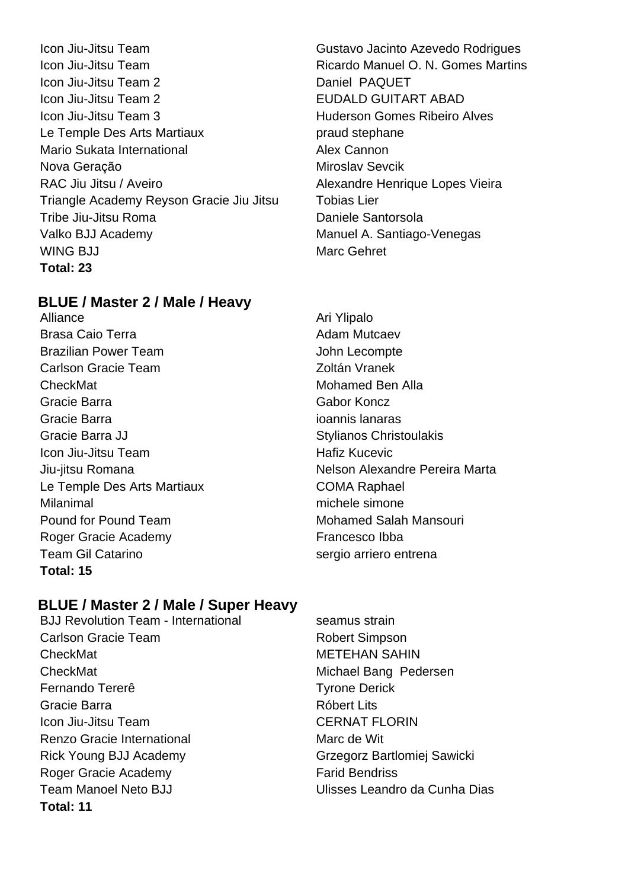Icon Jiu-Jitsu Team **Gustavo Jacinto Azevedo Rodrigues** Icon Jiu-Jitsu Team **Ricardo Manuel O. N. Gomes Martins** Icon Jiu-Jitsu Team 2 Daniel PAQUET Icon Jiu-Jitsu Team 2 **EUDALD GUITART ABAD Icon Jiu-Jitsu Team 3** The *Huderson Gomes Ribeiro Alves* Le Temple Des Arts Martiaux **Example 20** praud stephane Mario Sukata International **Alex Cannon** Nova Geração **Miroslav Sevcik** RAC Jiu Jitsu / Aveiro **Alexandre Henrique Lopes Vieira** Triangle Academy Reyson Gracie Jiu Jitsu Tobias Lier Tribe Jiu-Jitsu Roma Daniele Santorsola Valko BJJ Academy **Manuel A.** Santiago-Venegas WING BJJ Marc Gehret **Total: 23**

# **BLUE / Master 2 / Male / Heavy**

Alliance Alliance Ari Ylipalo Brasa Caio Terra **Adam Mutcaev** Adam Mutcaev Brazilian Power Team John Lecompte Carlson Gracie Team **Zoltán Vranek** CheckMat **Mohamed Ben Alla** Gracie Barra Gabor Koncz Gracie Barra ioannis lanaras Gracie Barra JJ Stylianos Christoulakis Icon Jiu-Jitsu Team **Hafiz Kucevic** Hafiz Kucevic Le Temple Des Arts Martiaux COMA Raphael Milanimal michele simone Pound for Pound Team Mohamed Salah Mansouri Roger Gracie Academy **Francesco** Ibba Team Gil Catarino **Sergio arriero entrena Total: 15**

Jiu-jitsu Romana Nelson Alexandre Pereira Marta

# **BLUE / Master 2 / Male / Super Heavy**

- BJJ Revolution Team International seamus strain Carlson Gracie Team **Robert Simpson** CheckMat METEHAN SAHIN CheckMat Michael Bang Pedersen Fernando Tererê Tyrone Derick Gracie Barra **Barra Community Community** Róbert Lits **Icon Jiu-Jitsu Team CERNAT FLORIN** Renzo Gracie International Marc de Wit Rick Young BJJ Academy Grzegorz Bartlomiej Sawicki Roger Gracie Academy Farid Bendriss **Total: 11**
- Team Manoel Neto BJJ Ulisses Leandro da Cunha Dias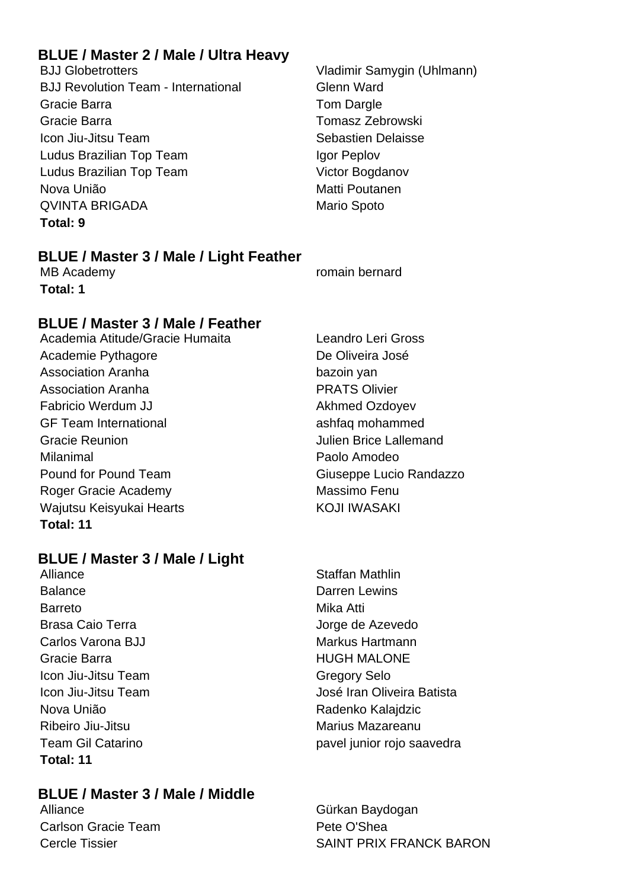# **BLUE / Master 2 / Male / Ultra Heavy**

BJJ Globetrotters Vladimir Samygin (Uhlmann) BJJ Revolution Team - International Glenn Ward Gracie Barra **Tom Dargle** Gracie Barra Tomasz Zebrowski **Icon Jiu-Jitsu Team Sebastien Delaisse** Ludus Brazilian Top Team Igor Peplov Ludus Brazilian Top Team Victor Bogdanov Nova União **Matti Poutanen** QVINTA BRIGADA Mario Spoto **Total: 9**

# **BLUE / Master 3 / Male / Light Feather**

**Total: 1**

# **BLUE / Master 3 / Male / Feather**

Academia Atitude/Gracie Humaita Leandro Leri Gross Academie Pythagore **De Oliveira** José Association Aranha bazoin yan Association Aranha **PRATS** Olivier Fabricio Werdum JJ **Akhmed Ozdoyev** GF Team International ashfaq mohammed Gracie Reunion Julien Brice Lallemand Milanimal Paolo Amodeo Pound for Pound Team Giuseppe Lucio Randazzo Roger Gracie Academy Massimo Fenu Wajutsu Keisyukai Hearts KOJI IWASAKI **Total: 11**

# **BLUE / Master 3 / Male / Light**

Alliance Staffan Mathlin Balance **Darren Lewins** Barreto **Mika Atti** Brasa Caio Terra **International Estado de Azevedo** Carlos Varona BJJ Markus Hartmann Gracie Barra **Manual Accord Contract Contract Contract Contract Contract Contract Contract Contract Contract Contract Contract Contract Contract Contract Contract Contract Contract Contract Contract Contract Contract Contr** Icon Jiu-Jitsu Team Gregory Selo Nova União **Nova União** Radenko Kalajdzic Ribeiro Jiu-Jitsu **Marius Marius Macareanu Total: 11**

# **BLUE / Master 3 / Male / Middle**

Carlson Gracie Team **Pete O'Shea** 

MB Academy **Research Academy** romain bernard

Icon Jiu-Jitsu Team **International Exception Contract Contract** José Iran Oliveira Batista Team Gil Catarino **pavel junior** rojo saavedra

Alliance Gürkan Baydogan Cercle Tissier SAINT PRIX FRANCK BARON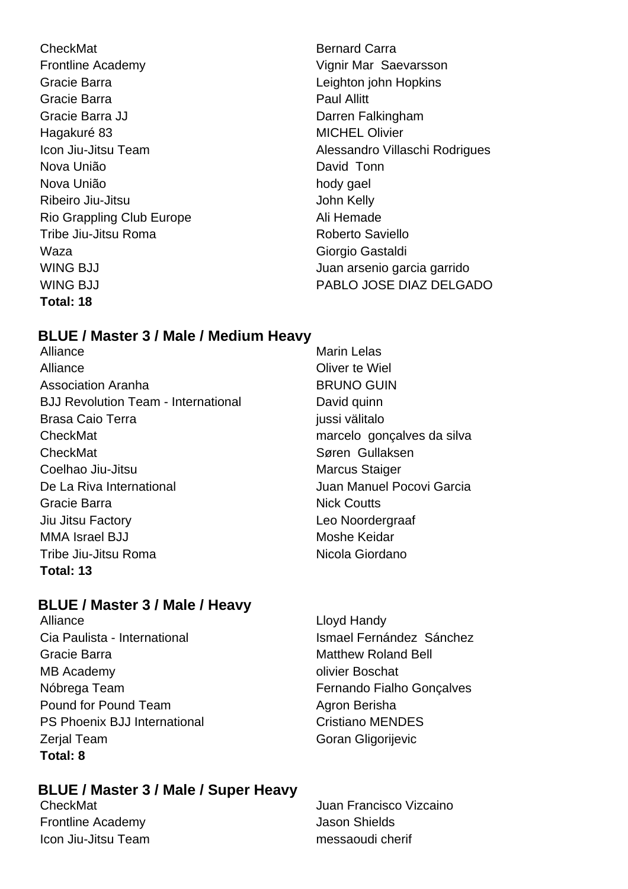**CheckMat** Bernard Carra Frontline Academy **Vignit Marms** Vignit Marms Saevarsson Gracie Barra Leighton john Hopkins Gracie Barra **Paul Allitt** Gracie Barra JJ Darren Falkingham Hagakuré 83 MICHEL Olivier Nova União **David Tonn** Nova União estado en el control de la provincia hody gael Ribeiro Jiu-Jitsu **John Kelly** Rio Grappling Club Europe **Ali Hemade** Tribe Jiu-Jitsu Roma<br>
Roberto Saviello Waza **Giorgio Gastaldi Total: 18**

Icon Jiu-Jitsu Team Alessandro Villaschi Rodrigues WING BJJ **VING BULLA CONTRACTE ACCEPTS** Juan arsenio garcia garrido WING B.I.I PABLO JOSE DIAZ DEL GADO

# **BLUE / Master 3 / Male / Medium Heavy**

Alliance Marin Lelas Alliance **Oliver te Wiel** Association Aranha **BRUNO GUIN** BJJ Revolution Team - International **David quinn** Brasa Caio Terra ilmustration della provincia in la vitale in la vitale in la vitale in la vitale in la vitale CheckMat marcelo gonçalves da silva CheckMat Søren Gullaksen Coelhao Jiu-Jitsu Marcus Staiger De La Riva International **De La Riva International** Juan Manuel Pocovi Garcia Gracie Barra **Nick Coutts** Jiu Jitsu Factory Leo Noordergraaf MMA Israel BJJ Moshe Keidar Tribe Jiu-Jitsu Roma Nicola Giordano **Total: 13**

# **BLUE / Master 3 / Male / Heavy**

Alliance Lloyd Handy Cia Paulista - International **Ismael Fernández Sánchez** Gracie Barra **Matthew Roland Bell** Matthew Roland Bell MB Academy **ORIGINAL SECTION** Olivier Boschat Nóbrega Team **Fernando Fialho Gonçalves** Pound for Pound Team Agron Berisha PS Phoenix BJJ International Cristiano MENDES Zerial Team Goran Gligorijevic **Total: 8**

# **BLUE / Master 3 / Male / Super Heavy**

Frontline Academy **Contract Contract Contract Contract Contract Contract Contract Contract Contract Contract Contract Contract Contract Contract Contract Contract Contract Contract Contract Contract Contract Contract Contr** Icon Jiu-Jitsu Team messaoudi cherif

CheckMat Juan Francisco Vizcaino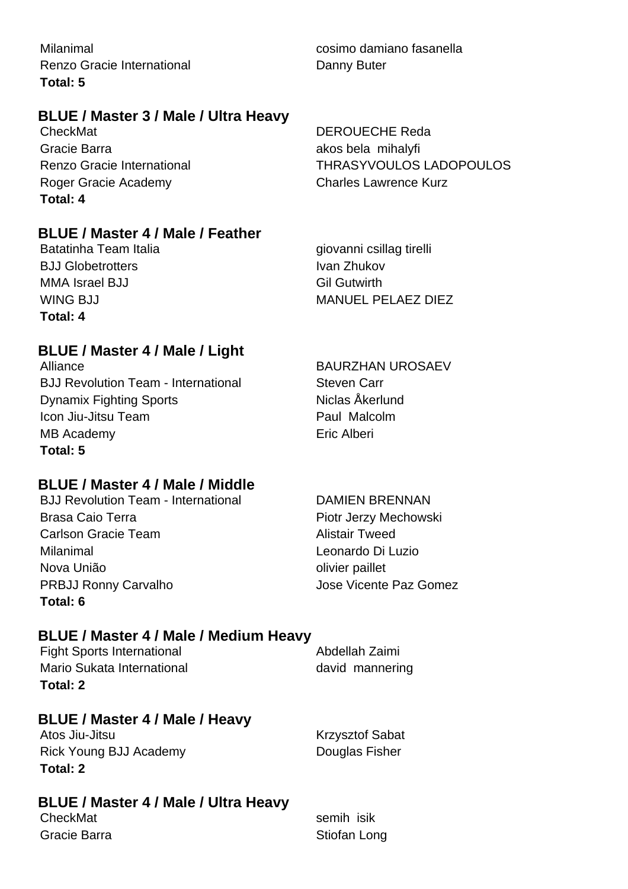Milanimal cosimo damiano fasanella Renzo Gracie International **Danny Buter** Danny Buter **Total: 5**

# **BLUE / Master 3 / Male / Ultra Heavy**

CheckMat DEROUECHE Reda Gracie Barra **akos bela mihalyfi** Roger Gracie Academy **Charles Lawrence Kurz Total: 4**

Renzo Gracie International THRASYVOULOS LADOPOULOS

# **BLUE / Master 4 / Male / Feather**

Batatinha Team Italia **giovanni csillag tirelli** BJJ Globetrotters **IVAN AREA** IVAN Zhukov MMA Israel BJJ Gil Gutwirth **Total: 4**

WING B.I.I MANUEL PELAEZ DIEZ

# **BLUE / Master 4 / Male / Light**

Alliance BAURZHAN UROSAEV BJJ Revolution Team - International Steven Carr Dynamix Fighting Sports Niclas Åkerlund Icon Jiu-Jitsu Team **Paul Malcolm** MB Academy **Example 20** and 20 and 20 and 20 and 20 and 20 and 20 and 20 and 20 and 20 and 20 and 20 and 20 and 20 and 20 and 20 and 20 and 20 and 20 and 20 and 20 and 20 and 20 and 20 and 20 and 20 and 20 and 20 and 20 an **Total: 5**

# **BLUE / Master 4 / Male / Middle**

BJJ Revolution Team - International DAMIEN BRENNAN Brasa Caio Terra **Piotr Jerzy Mechowski** Carlson Gracie Team Alistair Tweed Milanimal Leonardo Di Luzio Nova União **olivier paillet** PRBJJ Ronny Carvalho Jose Vicente Paz Gomez **Total: 6**

# **BLUE / Master 4 / Male / Medium Heavy**

Fight Sports International **Abdellah Zaimi** Mario Sukata International and a mannering david mannering **Total: 2**

# **BLUE / Master 4 / Male / Heavy**

Atos Jiu-Jitsu **Krzysztof Sabat** Rick Young BJJ Academy Douglas Fisher **Total: 2**

# **BLUE / Master 4 / Male / Ultra Heavy**

CheckMat semih isik Gracie Barra **Stiofan Long** Stiofan Long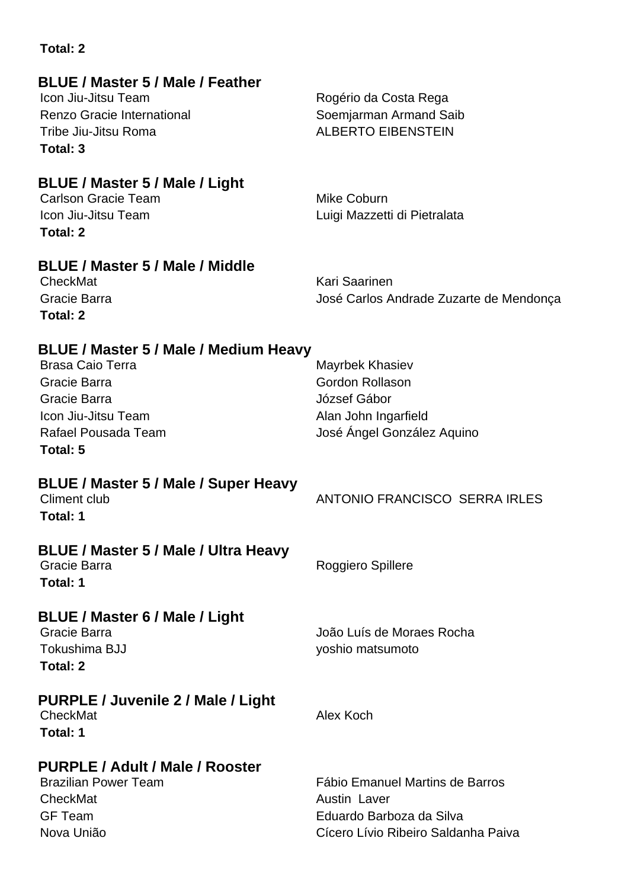| <b>BLUE / Master 5 / Male / Feather</b><br>Icon Jiu-Jitsu Team<br><b>Renzo Gracie International</b><br>Tribe Jiu-Jitsu Roma<br>Total: 3                           | Rogério da Costa Rega<br>Soemjarman Armand Saib<br><b>ALBERTO EIBENSTEIN</b>                                              |
|-------------------------------------------------------------------------------------------------------------------------------------------------------------------|---------------------------------------------------------------------------------------------------------------------------|
| BLUE / Master 5 / Male / Light<br><b>Carlson Gracie Team</b><br>Icon Jiu-Jitsu Team<br>Total: 2                                                                   | Mike Coburn<br>Luigi Mazzetti di Pietralata                                                                               |
| <b>BLUE / Master 5 / Male / Middle</b><br>CheckMat<br>Gracie Barra<br>Total: 2                                                                                    | Kari Saarinen<br>José Carlos Andrade Zuzarte de Mendonça                                                                  |
| <b>BLUE / Master 5 / Male / Medium Heavy</b><br><b>Brasa Caio Terra</b><br>Gracie Barra<br>Gracie Barra<br>Icon Jiu-Jitsu Team<br>Rafael Pousada Team<br>Total: 5 | Mayrbek Khasiev<br><b>Gordon Rollason</b><br>József Gábor<br>Alan John Ingarfield<br>José Ángel González Aquino           |
| BLUE / Master 5 / Male / Super Heavy<br><b>Climent club</b><br>Total: 1                                                                                           | ANTONIO FRANCISCO SERRA IRLES                                                                                             |
| <b>BLUE / Master 5 / Male / Ultra Heavy</b><br>Gracie Barra<br>Total: 1                                                                                           | Roggiero Spillere                                                                                                         |
| BLUE / Master 6 / Male / Light<br>Gracie Barra<br>Tokushima BJJ<br><b>Total: 2</b>                                                                                | João Luís de Moraes Rocha<br>yoshio matsumoto                                                                             |
| <b>PURPLE / Juvenile 2 / Male / Light</b><br>CheckMat<br>Total: 1                                                                                                 | Alex Koch                                                                                                                 |
| PURPLE / Adult / Male / Rooster<br><b>Brazilian Power Team</b><br>CheckMat<br><b>GF Team</b><br>Nova União                                                        | Fábio Emanuel Martins de Barros<br><b>Austin Laver</b><br>Eduardo Barboza da Silva<br>Cícero Lívio Ribeiro Saldanha Paiva |

**Total: 2**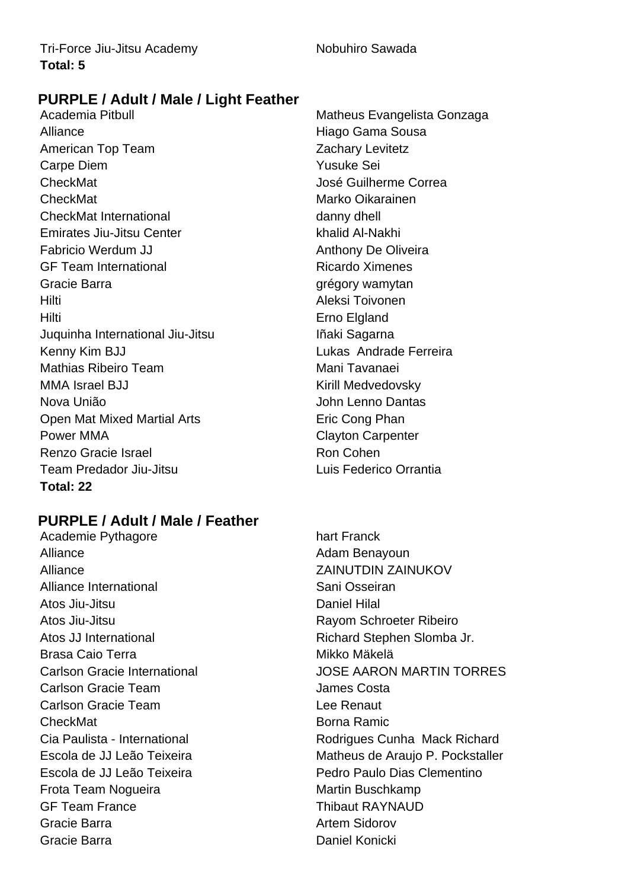# **PURPLE / Adult / Male / Light Feather**

Academia Pitbull Matheus Evangelista Gonzaga Alliance Hiago Gama Sousa American Top Team **Zachary Levitetz** Carpe Diem Yusuke Sei CheckMat CheckMat José Guilherme Correa CheckMat Marko Oikarainen CheckMat International danny dhell Emirates Jiu-Jitsu Center **Khalid Al-Nakhi** Fabricio Werdum JJ **Anthony De Oliveira** GF Team International **Ricardo Ximenes** Gracie Barra **grégory wamytan** Hilti Aleksi Toivonen Hilti Erno Elgland Juquinha International Jiu-Jitsu **International International International** Kenny Kim BJJ **Lukas Andrade Ferreira** Mathias Ribeiro Team **Mani Tavanaei** MMA Israel BJJ Kirill Medvedovsky Nova União **Nova União** de Antiga de Santo Dantas Open Mat Mixed Martial Arts **Example 20 Fric Cong Phan** Power MMA Clayton Carpenter Renzo Gracie Israel **Ron Cohen** Ron Cohen Team Predador Jiu-Jitsu Luis Federico Orrantia **Total: 22**

# **PURPLE / Adult / Male / Feather**

Academie Pythagore hart Franck Alliance Alliance Adam Benayoun Alliance ZAINUTDIN ZAINUKOV Alliance International **Sanctional** Sani Osseiran Atos Jiu-Jitsu **Daniel Hilal** Atos Jiu-Jitsu Rayom Schroeter Ribeiro Atos JJ International **Richard Stephen Slomba Jr.** Richard Stephen Slomba Jr. Brasa Caio Terra Mikko Mäkelä **Carlson Gracie Team Costa** James Costa Carlson Gracie Team Lee Renaut CheckMat **Borna Ramic Borna Ramic** Escola de JJ Leão Teixeira Pedro Paulo Dias Clementino Frota Team Noqueira **Martin Buschkamp** GF Team France Thibaut RAYNAUD Gracie Barra **Artem Sidorov Artem Sidorov** Gracie Barra **Daniel Konicki** 

Carlson Gracie International JOSE AARON MARTIN TORRES Cia Paulista - International **Rodrigues Cunha Mack Richard** Escola de JJ Leão Teixeira **Matheus de Araujo P. Pockstaller**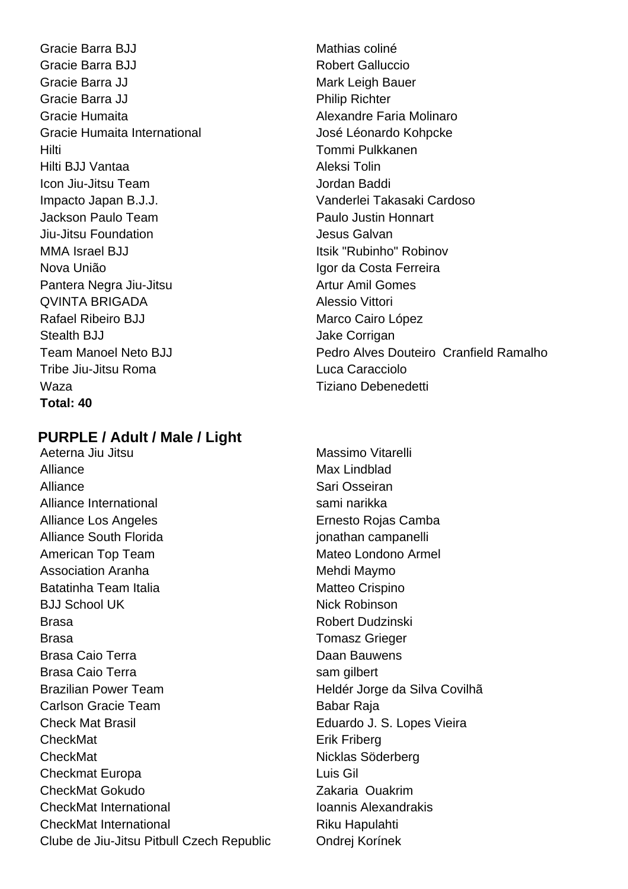Gracie Barra BJJ Mathias coliné Gracie Barra BJJ **Robert Galluccio** Gracie Barra JJ Mark Leigh Bauer Gracie Barra JJ **Philip Richter** Gracie Humaita **Alexandre Faria Molinaro** Gracie Humaita International José Léonardo Kohpcke Hilti Tommi Pulkkanen Hilti BJJ Vantaa Aleksi Tolin Icon Jiu-Jitsu Team Jordan Baddi Impacto Japan B.J.J. Vanderlei Takasaki Cardoso Jackson Paulo Team Paulo Justin Honnart Jiu-Jitsu Foundation **Jesus Galvan** MMA Israel BJJ **Itsik "Rubinho" Robinov** Nova União Igor da Costa Ferreira Pantera Negra Jiu-Jitsu **Artur Amil Gomes** QVINTA BRIGADA Alessio Vittori Rafael Ribeiro BJJ Marco Cairo López Stealth BJJ Jake Corrigan Tribe Jiu-Jitsu Roma Luca Caracciolo Waza Tiziano Debenedetti **Total: 40**

# **PURPLE / Adult / Male / Light**

Aeterna Jiu Jitsu **Massimo Vitarelli** Alliance Max Lindblad Alliance Sari Osseiran Alliance International sami narikka Alliance Los Angeles **Ernesto Rojas Camba** Alliance South Florida in the settlement of the south for the settlement of the settlement of the settlement of the settlement of the settlement of the settlement of the settlement of the settlement of the settlement of th American Top Team Mateo Londono Armel Association Aranha Mehdi Maymo Batatinha Team Italia Matteo Crispino BJJ School UK Nick Robinson Brasa Robert Dudzinski Brasa Tomasz Grieger Brasa Caio Terra **Daan Bauwens** Brasa Caio Terra **sam gilbert** Brazilian Power Team **Heldér Jorge da Silva Covilhã** Carlson Gracie Team Babar Raja Check Mat Brasil Eduardo J. S. Lopes Vieira CheckMat **Example 2018** Erik Friberg CheckMat Nicklas Söderberg Checkmat Europa **Luis Gil** CheckMat Gokudo Zakaria Ouakrim CheckMat International **International** Ioannis Alexandrakis CheckMat International Riku Hapulahti Clube de Jiu-Jitsu Pitbull Czech Republic Ondrej Korínek

Team Manoel Neto BJJ Pedro Alves Douteiro Cranfield Ramalho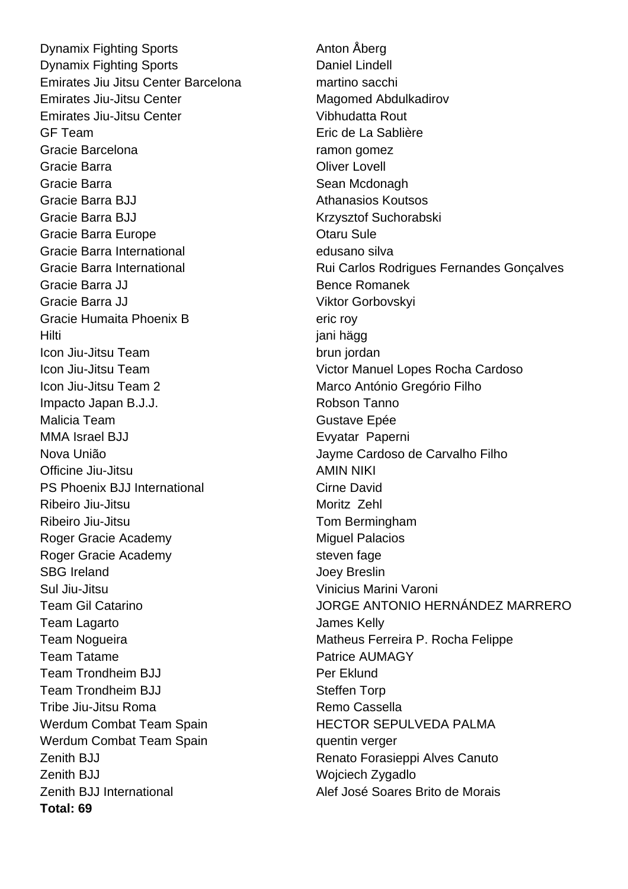Dynamix Fighting Sports **Anton Aberg** Anton Aberg **Dynamix Fighting Sports Daniel Lindell** Emirates Jiu Jitsu Center Barcelona martino sacchi Emirates Jiu-Jitsu Center Magomed Abdulkadirov Emirates Jiu-Jitsu Center **Vibhudatta Rout** GF Team Eric de La Sablière Gracie Barcelona **ramon gomez** Gracie Barra **Calculation** Chiver Lovell **Calculation** Chiver Lovell **Chiver** Chiver Lovell **Chiver** Gracie Barra **Sean Mcdonagh** Sean Mcdonagh Gracie Barra BJJ **Athanasios Koutsos** Gracie Barra BJJ Krzysztof Suchorabski Gracie Barra Europe **Canada Europe Cracia** Charu Sule Gracie Barra International edusano silva Gracie Barra JJ Bence Romanek Gracie Barra JJ Viktor Gorbovskvi Gracie Humaita Phoenix B eric roy Hilti jani hägg Icon Jiu-Jitsu Team brun jordan Icon Jiu-Jitsu Team 2 Marco António Gregório Filho Impacto Japan B.J.J. **All and Struth Tanno** Malicia Team **Gustave Epée** MMA Israel BJJ **Evyatar Paperni** Nova União Jayme Cardoso de Carvalho Filho Officine Jiu-Jitsu **AMIN NIKI** PS Phoenix BJJ International Cirne David Ribeiro Jiu-Jitsu Moritz Zehl Ribeiro Jiu-Jitsu **Tom Bermingham** Roger Gracie Academy Miguel Palacios Roger Gracie Academy steven fage SBG Ireland Joey Breslin Sul Jiu-Jitsu Vinicius Marini Varoni Team Lagarto **Contract Contract Contract Contract Contract Contract Contract Contract Contract Contract Contract Contract Contract Contract Contract Contract Contract Contract Contract Contract Contract Contract Contract C** Team Tatame **Patrice AUMAGY** Team Trondheim BJJ **Per Eklund** Team Trondheim BJJ Steffen Torp Tribe Jiu-Jitsu Roma<br>
Remo Cassella Werdum Combat Team Spain **HECTOR SEPULVEDA PALMA** Werdum Combat Team Spain **being a more than the set of the Verger** verger Zenith BJJ **Renato Forasieppi Alves Canuto** Zenith BJJ Wojciech Zygadlo Zenith BJJ International **Alef José Soares Brito de Morais Total: 69**

Gracie Barra International **Rui Carlos Rodrigues Fernandes Gonçalves** Icon Jiu-Jitsu Team Victor Manuel Lopes Rocha Cardoso Team Gil Catarino JORGE ANTONIO HERNÁNDEZ MARRERO Team Nogueira **Matheus Ferreira P. Rocha Felippe**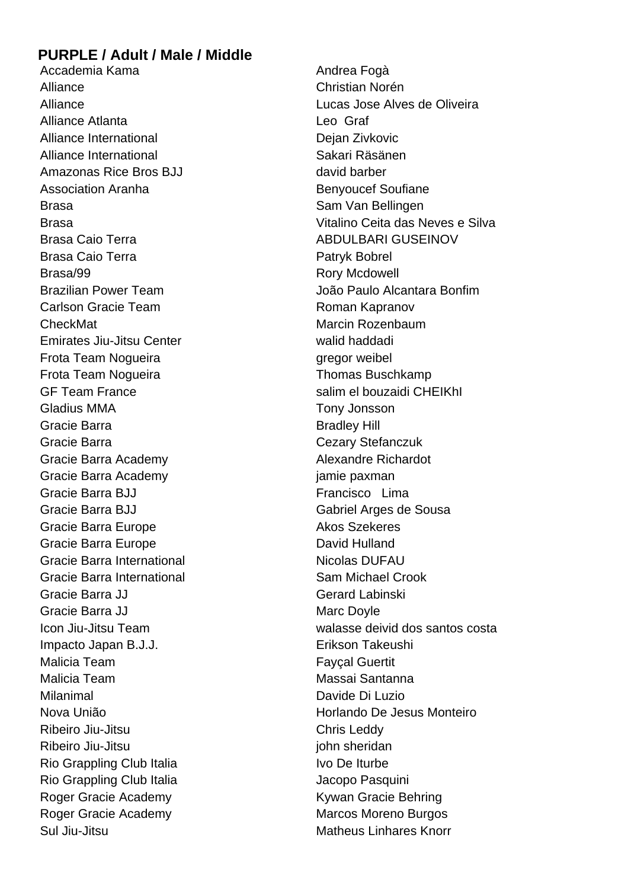# **PURPLE / Adult / Male / Middle**

Accademia Kama **Andrea Fogà** Andrea Fogà Alliance Christian Norén Alliance Atlanta **Leo** Graf Alliance International and Dejan Zivkovic Alliance International Sakari Räsänen Amazonas Rice Bros BJJ david barber Association Aranha **Benyoucef** Soufiane Brasa Sam Van Bellingen Brasa Caio Terra **ABDULBARI GUSEINOV** Brasa Caio Terra **Patryk Bobrel** Patryk Bobrel Brasa/99 Rory Mcdowell Carlson Gracie Team **Roman Kapranov** CheckMat **Marcin Rozenbaum** Marcin Rozenbaum Emirates Jiu-Jitsu Center walid haddadi Frota Team Nogueira **gregor weibel** Frota Team Nogueira **Thomas Buschkamp** GF Team France Salim el bouzaidi CHEIKhI Gladius MMA Tony Jonsson Gracie Barra **Bradley Hill** Bradley Hill Gracie Barra Cezary Stefanczuk Gracie Barra Academy **Alexandre Richardot** Gracie Barra Academy in the same paxman Gracie Barra BJJ **Francisco** Lima Gracie Barra BJJ Gabriel Arges de Sousa Gracie Barra Europe **Akos Szekeres** Akos Szekeres Gracie Barra Europe **David Hulland** Gracie Barra International Nicolas DUFAU Gracie Barra International **Sam Michael Crook** Sam Michael Crook Gracie Barra JJ Gerard Labinski Gracie Barra JJ Marc Doyle Impacto Japan B.J.J. **Erikson Takeushi** Malicia Team **Fayçal Guertit** Malicia Team Massai Santanna Milanimal Davide Di Luzio Ribeiro Jiu-Jitsu Chris Leddy Ribeiro Jiu-Jitsu john sheridan Rio Grappling Club Italia **IVo De Iturbe** Rio Grappling Club Italia **Alexandria Club Italia** Jacopo Pasquini Roger Gracie Academy **Kywan Gracie Behring** Roger Gracie Academy Marcos Moreno Burgos Sul Jiu-Jitsu Matheus Linhares Knorr

Alliance Lucas Jose Alves de Oliveira Brasa Vitalino Ceita das Neves e Silva Brazilian Power Team **International Executor Contracts** João Paulo Alcantara Bonfim Icon Jiu-Jitsu Team walasse deivid dos santos costa Nova União Horlando De Jesus Monteiro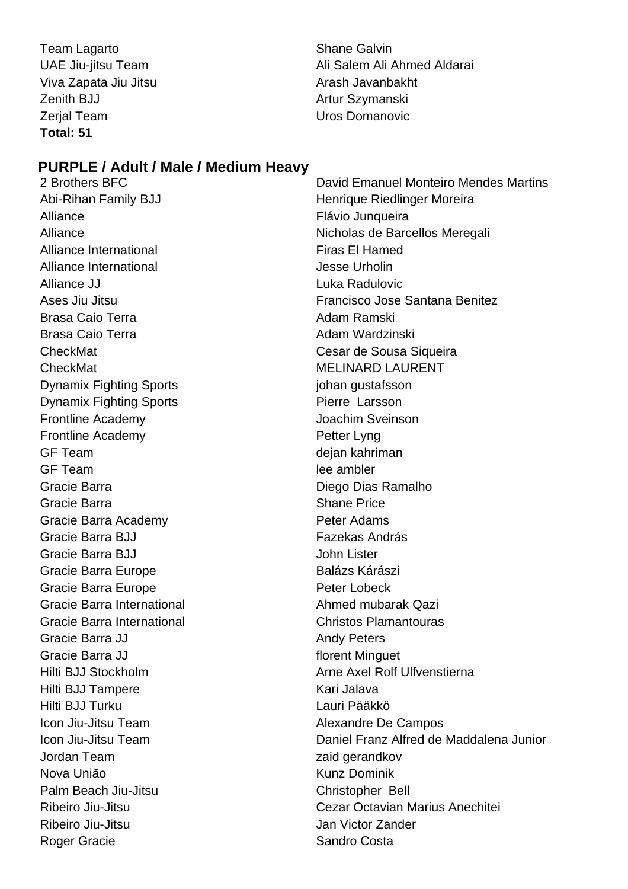Team Lagarto **Shane Galvin** Shane Galvin Viva Zapata Jiu Jitsu Arash Javanbakht Zenith BJJ Artur Szymanski Zerial Team New York 1999 New York 1999 New York 1999 New York 1999 New York 1999 New York 1999 New York 1999 **Total: 51**

UAE Jiu-jitsu Team Ali Salem Ali Ahmed Aldarai

# **PURPLE / Adult / Male / Medium Heavy**

Alliance Flávio Junqueira Alliance International **Firas El Hamed** Alliance International and a subset of the Urholin Alliance JJ **Alliance** Alliance Alliance Alliance **JJ** Luka Radulovic Brasa Caio Terra **Adam Ramski** Brasa Caio Terra **Adam Wardzinski** CheckMat Cesar de Sousa Siqueira CheckMat MELINARD LAURENT Dynamix Fighting Sports in the second version of products in the property property in the property of the property of  $\mathbb{R}^n$ **Dynamix Fighting Sports Pierre Larsson** Frontline Academy Joachim Sveinson Frontline Academy **Petter Lyng** GF Team degan kahriman GF Team lee ambler Gracie Barra **Diego Dias Ramalho** Gracie Barra **Shane Price** Shane Price Gracie Barra Academy **Peter Adams** Gracie Barra BJJ **Fazekas András** Gracie Barra BJJ John Lister Gracie Barra Europe **Balázs Kárászi** Gracie Barra Europe **Peter Lobeck** Gracie Barra International **Ahmed mubarak Qazi** Gracie Barra International Christos Plamantouras Gracie Barra JJ Andy Peters Gracie Barra JJ **Florent Minguet** Hilti BJJ Tampere Kari Jalava Hilti BJJ Turku Lauri Pääkkö Icon Jiu-Jitsu Team **Alexandre De Campos** Jordan Team zaid gerandkov Nova União **Kunz Dominik** Palm Beach Jiu-Jitsu Christopher Bell Ribeiro Jiu-Jitsu Jan Victor Zander Roger Gracie **Sandro Costa** 

2 Brothers BFC David Emanuel Monteiro Mendes Martins Abi-Rihan Family BJJ **Henrique Riedlinger Moreira** Alliance Nicholas de Barcellos Meregali Ases Jiu Jitsu Francisco Jose Santana Benitez Hilti BJJ Stockholm **Arne Axel Rolf Ulfvenstierna** Icon Jiu-Jitsu Team Daniel Franz Alfred de Maddalena Junior Ribeiro Jiu-Jitsu Cezar Octavian Marius Anechitei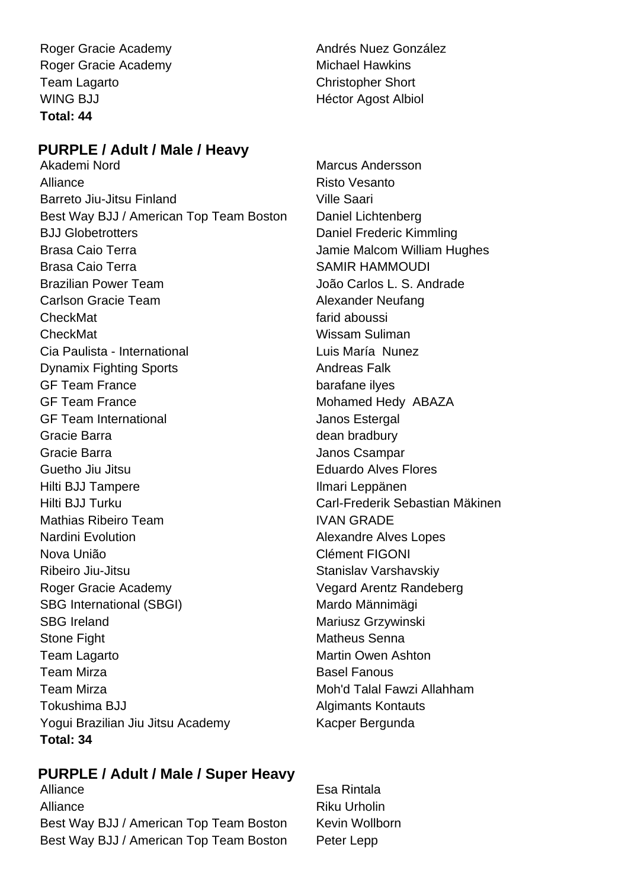Roger Gracie Academy **Andrés Nuez González** Roger Gracie Academy Michael Hawkins Team Lagarto Christopher Short WING BJJ NEWSTER AND HEATHER HEATHER HEATHER HEATHER HEATHER HEATHER HEATHER HEATHER HEATHER HEATHER HEATHER **Total: 44**

# **PURPLE / Adult / Male / Heavy**

Alliance Risto Vesanto Barreto Jiu-Jitsu Finland Ville Saari Best Way BJJ / American Top Team Boston Daniel Lichtenberg BJJ Globetrotters **Daniel Frederic Kimmling** Brasa Caio Terra **International Executor Caio Caio Terra** Jamie Malcom William Hughes Brasa Caio Terra  $S^{ABC}$  SAMIR HAMMOUDI Brazilian Power Team and the State of João Carlos L. S. Andrade Carlson Gracie Team Alexander Neufang CheckMat **farid aboussi** CheckMat Wissam Suliman Cia Paulista - International **Luis María Nunez Dynamix Fighting Sports** Andreas Falk GF Team France barafane ilyes GF Team France Mohamed Hedy ABAZA GF Team International **GE Team International** Gracie Barra **dean bradbury** dean bradbury Gracie Barra **Gracia** Gracie Barra Janos Csampar Guetho Jiu Jitsu **Eduardo Alves Flores** Hilti BJJ Tampere **Ilmari Leppänen** Hilti BJJ Turku Carl-Frederik Sebastian Mäkinen Mathias Ribeiro Team **IVAN GRADE** Nardini Evolution **Alexandre Alves Lopes** Nova União Clément FIGONI Ribeiro Jiu-Jitsu **Nigeriya Stanislav Varshavskiy** Roger Gracie Academy Vegard Arentz Randeberg SBG International (SBGI) Mardo Männimägi SBG Ireland Mariusz Grzywinski Stone Fight Matheus Senna Team Lagarto **Martin Owen Ashton** Martin Owen Ashton Team Mirza **Basel Fanous** Basel Fanous Team Mirza Moh'd Talal Fawzi Allahham Tokushima BJJ **Algimants Kontauts** Yogui Brazilian Jiu Jitsu Academy Kacper Bergunda **Total: 34**

Akademi Nord Marcus Andersson

# **PURPLE / Adult / Male / Super Heavy**

Alliance **Esa Rintala** Alliance Riku Urholin Best Way BJJ / American Top Team Boston Kevin Wollborn Best Way BJJ / American Top Team Boston Peter Lepp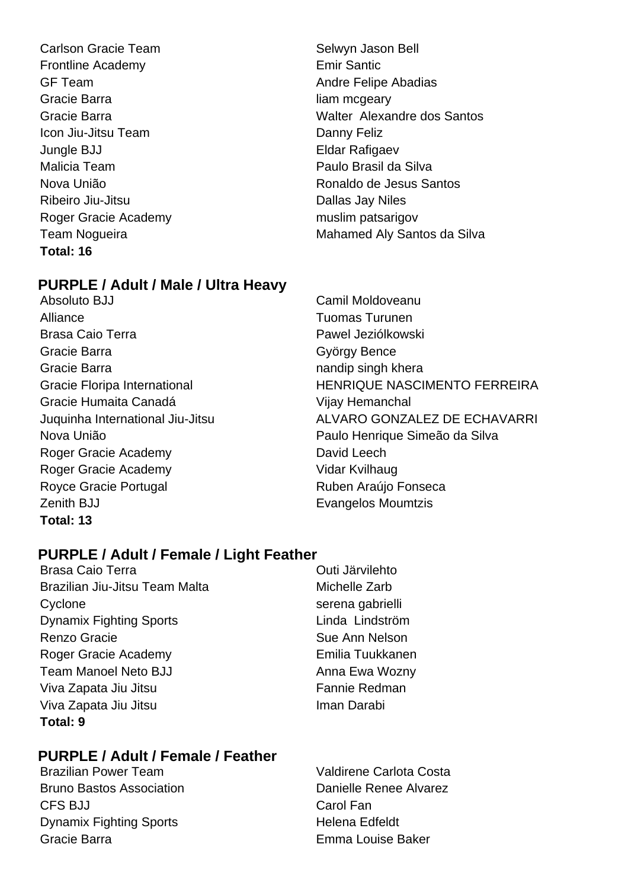Carlson Gracie Team Selwyn Jason Bell Frontline Academy **Emir Santic** GF Team **Andre Felipe Abadias** Gracie Barra **in the contract of the Creative Creative** Creative Intervals and Intervals and Intervals and Interv Icon Jiu-Jitsu Team **Danny Feliz** Jungle BJJ Eldar Rafigaev Malicia Team Paulo Brasil da Silva Ribeiro Jiu-Jitsu **Dallas Jay Niles** Roger Gracie Academy muslim patsarigov **Total: 16**

# **PURPLE / Adult / Male / Ultra Heavy**

- Absoluto BJJ Camil Moldoveanu Alliance Tuomas Turunen Brasa Caio Terra **Pawel Jeziólkowski** Gracie Barra György Bence Gracie Barra **nandip singh khera** nandip singh khera Gracie Humaita Canadá Vijay Hemanchal Roger Gracie Academy David Leech Roger Gracie Academy Vidar Kvilhaug Royce Gracie Portugal **Ruben Araújo Fonseca** Zenith BJJ **Evangelos Moumtzis Total: 13**
- Gracie Barra Walter Alexandre dos Santos Nova União Ronaldo de Jesus Santos Team Nogueira **Mahamed Aly Santos da Silva**
- Gracie Floripa International **HENRIQUE NASCIMENTO FERREIRA** Juquinha International Jiu-Jitsu ALVARO GONZALEZ DE ECHAVARRI Nova União Paulo Henrique Simeão da Silva

# **PURPLE / Adult / Female / Light Feather**

- Brasa Caio Terra **Duccionalist Caio Terra** Outi Järvilehto Brazilian Jiu-Jitsu Team Malta Michelle Zarb Cyclone serena gabrielli Dynamix Fighting Sports Linda Lindström Renzo Gracie **Sue Ann Nelson** Sue Ann Nelson Roger Gracie Academy **Emilia Tuukkanen** Team Manoel Neto BJJ Anna Ewa Wozny Viva Zapata Jiu Jitsu **Fannie Redman** Viva Zapata Jiu Jitsu **Iman Darabi Total: 9**
- 

# **PURPLE / Adult / Female / Feather**

Bruno Bastos Association **Bruno Bastos Association** Danielle Renee Alvarez CFS BJJ Carol Fan Dynamix Fighting Sports **Helena Edfeldt** Gracie Barra **Emma Louise Baker** 

Brazilian Power Team Valdirene Carlota Costa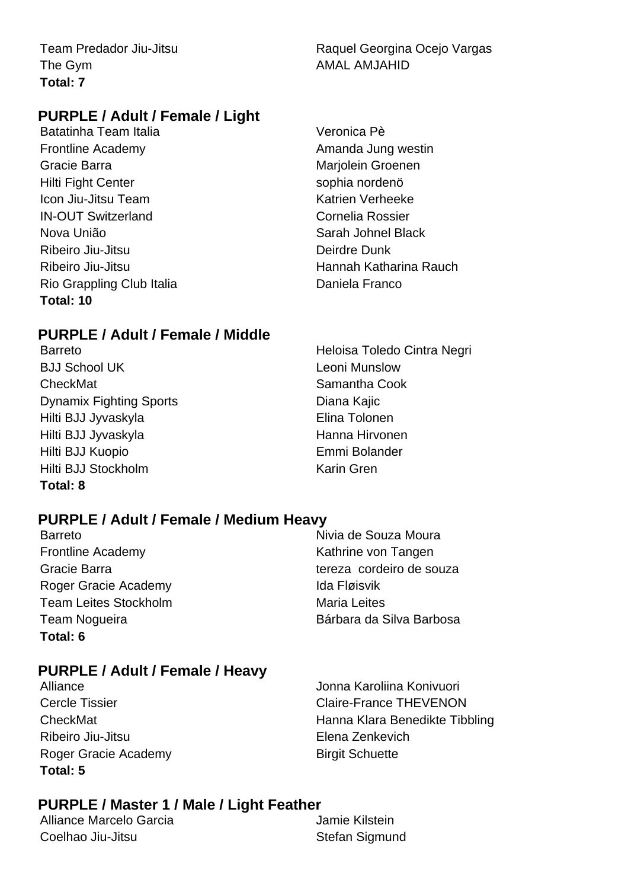The Gym and the Gym **Total: 7**

Team Predador Jiu-Jitsu **Raquel Georgina Ocejo Vargas** 

# **PURPLE / Adult / Female / Light**

Batatinha Team Italia **Veronica Pè** Frontline Academy **Amanda Jung westin** Gracie Barra **Mariolein Groenen** Marjolein Groenen Hilti Fight Center sophia nordenö **Icon Jiu-Jitsu Team Katrien Verheeke** IN-OUT Switzerland Cornelia Rossier Nova União **Sarah Johnel Black** Ribeiro Jiu-Jitsu Deirdre Dunk Rio Grappling Club Italia **Daniela Franco Total: 10**

Ribeiro Jiu-Jitsu **Hannah Katharina Rauch** 

# **PURPLE / Adult / Female / Middle**

B.I.I School UK Leoni Munslow CheckMat Samantha Cook Dynamix Fighting Sports **Diana Kajic** Diana Kajic Hilti BJJ Jyvaskyla **Elina Tolonen** Hilti BJJ Jyvaskyla **Hanna Hirvonen** Hilti BJJ Kuopio Emmi Bolander Hilti BJJ Stockholm **Karin Gren Total: 8**

Barreto **Barreto Heloisa Toledo Cintra Negri** 

# **PURPLE / Adult / Female / Medium Heavy**

Barreto **Nivia de Souza Moura** Frontline Academy **Kathrine von Tangen** Roger Gracie Academy **Ida Fløisvik** Team Leites Stockholm Maria Leites **Total: 6**

Gracie Barra tereza cordeiro de souza Team Nogueira **Bárbara da Silva Barbosa** 

# **PURPLE / Adult / Female / Heavy**

Ribeiro Jiu-Jitsu Elena Zenkevich Roger Gracie Academy Birgit Schuette **Total: 5**

Alliance **Alliance** Johna Karoliina Konivuori Cercle Tissier Claire-France THEVENON CheckMat **Hanna Klara Benedikte Tibbling** Hanna Klara Benedikte Tibbling

# **PURPLE / Master 1 / Male / Light Feather**

Alliance Marcelo Garcia **Alliance Marcelo Garcia** Coelhao Jiu-Jitsu **Stefan Sigmund**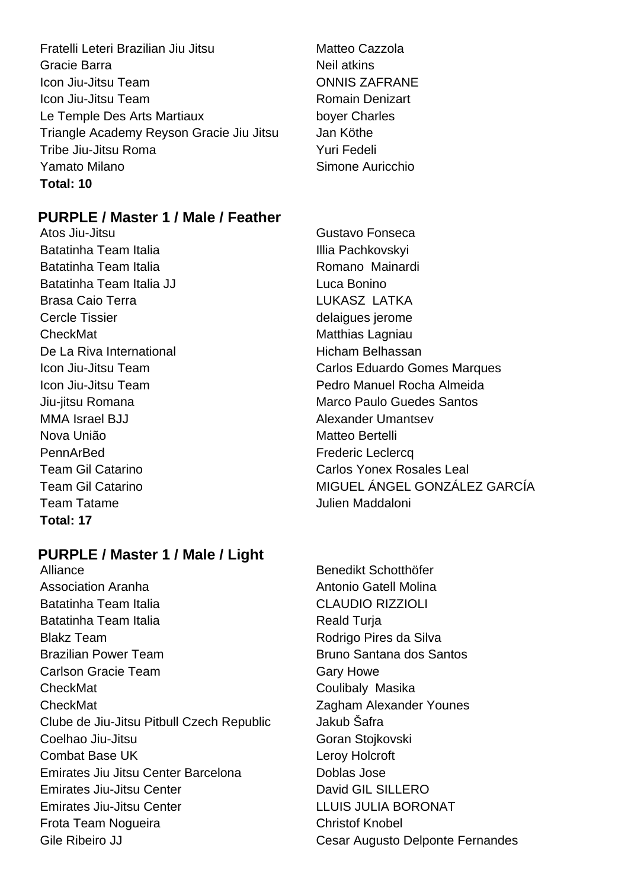- Fratelli Leteri Brazilian Jiu Jitsu **Matteo Cazzola** Gracie Barra **Neil** atkins Icon Jiu-Jitsu Team **ONNIS ZAFRANE** Icon Jiu-Jitsu Team **Romain Denizart** Le Temple Des Arts Martiaux boyer Charles Triangle Academy Reyson Gracie Jiu Jitsu Jan Köthe Tribe Jiu-Jitsu Roma Yuri Fedeli Yamato Milano **Nicholas Simone Auricchio Total: 10**
- 

# **PURPLE / Master 1 / Male / Feather**

Atos Jiu-Jitsu **Gustavo Fonseca** Batatinha Team Italia **Illia Pachkovskyi** Batatinha Team Italia **Romano Mainardi** Batatinha Team Italia JJ **Luca Bonino** Brasa Caio Terra **LUKASZ LATKA** Cercle Tissier and Cercle Tissier and Cercle Tissier and Cercle Tissier and Cercle Tissier and Cercle Tissier CheckMat Matthias Lagniau De La Riva International **Exercise Secure 2018** Hicham Belhassan MMA Israel BJJ Alexander Umantsev Nova União **Matteo Bertelli** PennArBed Frederic Leclercq Team Tatame Julien Maddaloni **Total: 17**

# **PURPLE / Master 1 / Male / Light**

- Alliance Benedikt Schotthöfer Association Aranha Antonio Gatell Molina Batatinha Team Italia **CLAUDIO RIZZIOLI** Batatinha Team Italia **Reald Turia** Reald Turia Blakz Team **Blakz** Team **Rodrigo Pires da Silva** Brazilian Power Team Bruno Santana dos Santos Carlson Gracie Team Gary Howe CheckMat CheckMat Coulibaly Masika CheckMat Zagham Alexander Younes Clube de Jiu-Jitsu Pitbull Czech Republic Jakub Šafra Coelhao Jiu-Jitsu Goran Stojkovski Combat Base UK Leroy Holcroft Emirates Jiu Jitsu Center Barcelona **Doblas Jose** Emirates Jiu-Jitsu Center **David GIL SILLERO** Emirates Jiu-Jitsu Center LLUIS JULIA BORONAT Frota Team Nogueira **Christof Knobel** Gile Ribeiro JJ Cesar Augusto Delponte Fernandes
- Icon Jiu-Jitsu Team **Carlos Eduardo Gomes Marques** Icon Jiu-Jitsu Team Pedro Manuel Rocha Almeida Jiu-iitsu Romana Marco Paulo Guedes Santos Team Gil Catarino Carlos Yonex Rosales Leal Team Gil Catarino **MIGUEL ÁNGEL GONZÁLEZ GARCÍA** 
	-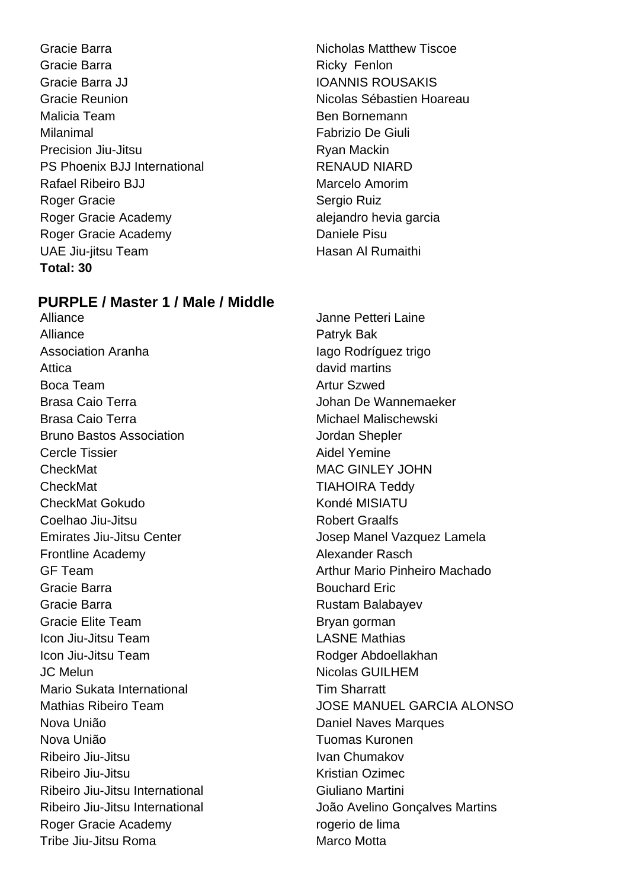Gracie Barra **Nicholas Matthew Tiscoe Nicholas Matthew Tiscoe** Gracie Barra **Ricky Fenlon** Gracie Barra JJ **IOANNIS ROUSAKIS** Gracie Reunion **Nicolas Sébastien Hoareau** Malicia Team **Ben Bornemann** Milanimal Fabrizio De Giuli Precision Jiu-Jitsu **Ryan Mackin** PS Phoenix BJJ International RENAUD NIARD Rafael Ribeiro BJJ Marcelo Amorim Roger Gracie **Sergio Ruiz** Roger Gracie Academy alejandro hevia garcia Roger Gracie Academy **Daniele Pisu** UAE Jiu-jitsu Team **Hasan Al Rumaithi Total: 30**

# **PURPLE / Master 1 / Male / Middle**

Alliance **Janne Petteri Laine** Alliance **Patryk Bak** Association Aranha **Iago Rodríguez trigo** Attica **david martins** Boca Team **Artur Szwed Boca** Team Brasa Caio Terra  $\qquad \qquad$  Johan De Wannemaeker Brasa Caio Terra **Michael Malischewski Bruno Bastos Association Contract Contract Shepsier** Jordan Shepler Cercle Tissier **Aidel Yemine** CheckMat MAC GINLEY JOHN CheckMat TIAHOIRA Teddy CheckMat Gokudo Kondé MISIATU Coelhao Jiu-Jitsu **Robert Graalfs** Emirates Jiu-Jitsu Center **Josep Manel Vazquez Lamela** Frontline Academy **Alexander Rasch** GF Team **Arthur Mario Pinheiro Machado** Gracie Barra **Bouchard Eric** Bouchard Eric Gracie Barra **Rustam Balabayev** Rustam Balabayev Gracie Elite Team Bryan gorman Icon Jiu-Jitsu Team LASNE Mathias Icon Jiu-Jitsu Team Rodger Abdoellakhan JC Melun Nicolas GUILHEM Mario Sukata International Tim Sharratt Nova União Daniel Naves Marques Nova União **Nova União** e a contra um provincia Tuomas Kuronen Ribeiro Jiu-Jitsu **Ivan Chumakov** Ivan Chumakov Ribeiro Jiu-Jitsu **Kristian Ozimec** Ribeiro Jiu-Jitsu International Giuliano Martini Roger Gracie Academy rogerio de lima Tribe Jiu-Jitsu Roma<br>
Marco Motta

Mathias Ribeiro Team JOSE MANUEL GARCIA ALONSO Ribeiro Jiu-Jitsu International João Avelino Gonçalves Martins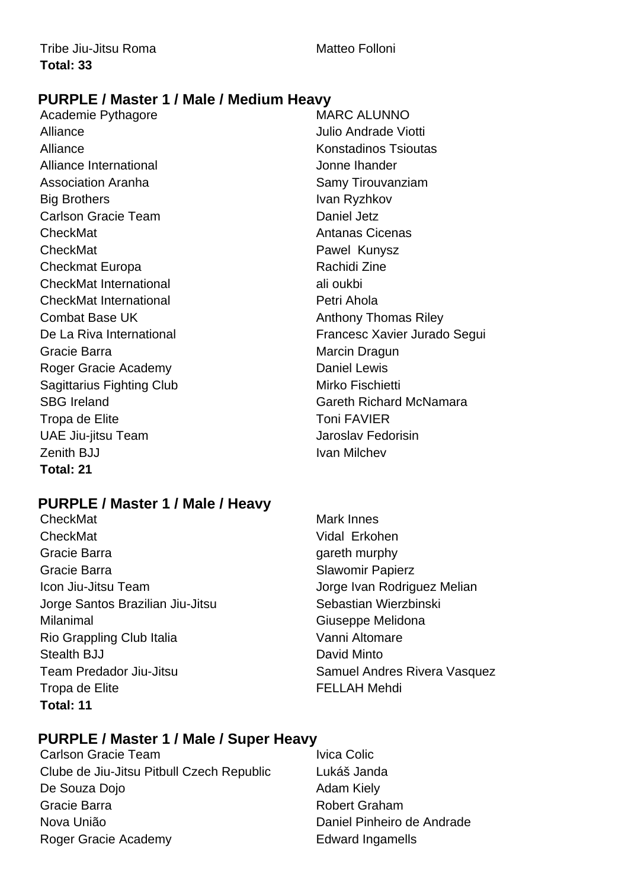# **PURPLE / Master 1 / Male / Medium Heavy**

Academie Pythagore MARC ALUNNO Alliance Julio Andrade Viotti Alliance **Konstadinos Tsioutas** Alliance International and the United States of Alliance International and the United States of Alliance International Association Aranha **Samy Tirouvanziam** Big Brothers **Ivan Ryzhkov** Carlson Gracie Team **Daniel Jetz** CheckMat **Antanas Cicenas** CheckMat **Pawel Kunysz** Checkmat Europa **Rachidi Zine** Rachidi Zine CheckMat International ali oukbi CheckMat International **Petri Ahola** Combat Base UK Anthony Thomas Riley Gracie Barra **Marcin Dragun** Marcin Dragun Roger Gracie Academy **Daniel Lewis** Sagittarius Fighting Club Mirko Fischietti Tropa de Elite **Tropa de Elite** Toni FAVIER UAE Jiu-jitsu Team Jaroslav Fedorisin Zenith BJJ **IVan Milchev Ivan Milchev Total: 21**

# **PURPLE / Master 1 / Male / Heavy**

CheckMat Mark Innes CheckMat Vidal Erkohen Gracie Barra **gareth murphy** Gracie Barra **Slawomir Papierz** Slawomir Papierz Icon Jiu-Jitsu Team **International Studies of American** Jorge Ivan Rodriguez Melian Jorge Santos Brazilian Jiu-Jitsu **Sebastian Wierzbinski** Milanimal Giuseppe Melidona Rio Grappling Club Italia Vanni Altomare Stealth BJJ David Minto Team Predador Jiu-Jitsu **New Samuel Andres Rivera Vasquez** Tropa de Elite **FELLAH Mehdi Total: 11**

# De La Riva International **Exercise 2** Francesc Xavier Jurado Segui SBG Ireland Gareth Richard McNamara

# **PURPLE / Master 1 / Male / Super Heavy**

Carlson Gracie Team **IVICA** Colic Colic Clube de Jiu-Jitsu Pitbull Czech Republic Lukáš Janda De Souza Dojo **Adam Kiely** Gracie Barra **Robert Graham** Nova União **Nova União** Daniel Pinheiro de Andrade Roger Gracie Academy **Edward Ingamells**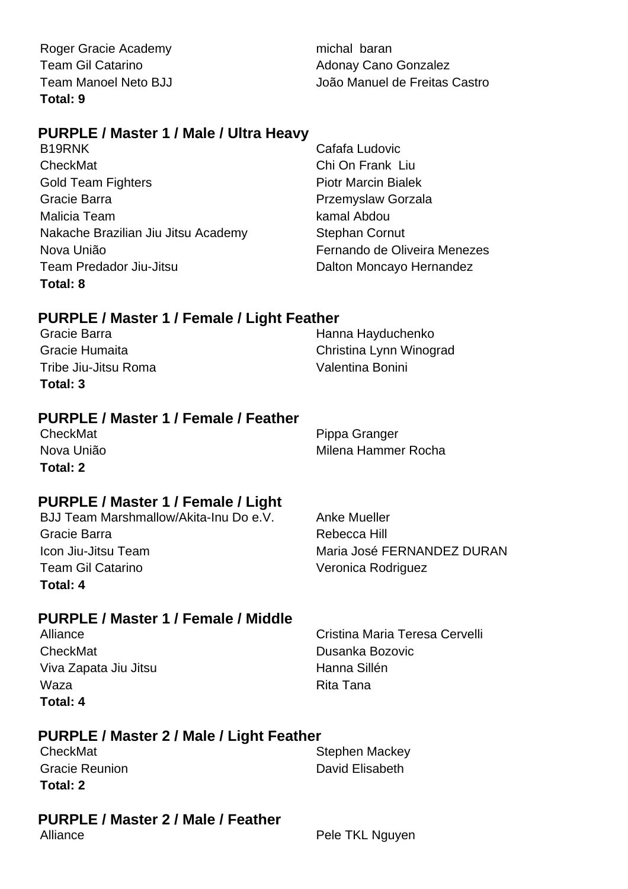Roger Gracie Academy michal baran Team Gil Catarino **Adonay Cano Gonzalez Total: 9**

Team Manoel Neto BJJ João Manuel de Freitas Castro

# **PURPLE / Master 1 / Male / Ultra Heavy**

B19RNK Cafafa Ludovic CheckMat Chi On Frank Liu Gold Team Fighters **Piotr Marcin Bialek** Gracie Barra **Przemyslaw Gorzala** Malicia Team **kamal Abdou** Nakache Brazilian Jiu Jitsu Academy Stephan Cornut Nova União Fernando de Oliveira Menezes Team Predador Jiu-Jitsu **New York Channel Dalton Moncayo Hernandez Total: 8**

# **PURPLE / Master 1 / Female / Light Feather**

| Total: 3             |                         |
|----------------------|-------------------------|
| Tribe Jiu-Jitsu Roma | Valentina Bonini        |
| Gracie Humaita       | Christina Lynn Winograd |
| Gracie Barra         | Hanna Hayduchenko       |

# **PURPLE / Master 1 / Female / Feather**

**Total: 2**

CheckMat **Pippa Granger** Pippa Granger Nova União Milena Hammer Rocha

# **PURPLE / Master 1 / Female / Light**

BJJ Team Marshmallow/Akita-Inu Do e.V. Anke Mueller Gracie Barra **Rebecca** Hill Icon Jiu-Jitsu Team **Maria José FERNANDEZ DURAN** Team Gil Catarino Veronica Rodriguez **Total: 4**

# **PURPLE / Master 1 / Female / Middle**

CheckMat Dusanka Bozovic Viva Zapata Jiu Jitsu **Manuali Karata ya Tana Sillén** Waza **Rita Tana Total: 4**

Alliance Cristina Maria Teresa Cervelli

# **PURPLE / Master 2 / Male / Light Feather**

| CheckMat              | <b>Stephen Mackey</b> |
|-----------------------|-----------------------|
| <b>Gracie Reunion</b> | David Elisabeth       |
| Total: 2              |                       |

# **PURPLE / Master 2 / Male / Feather**

Alliance **Pele TKL Nguyen**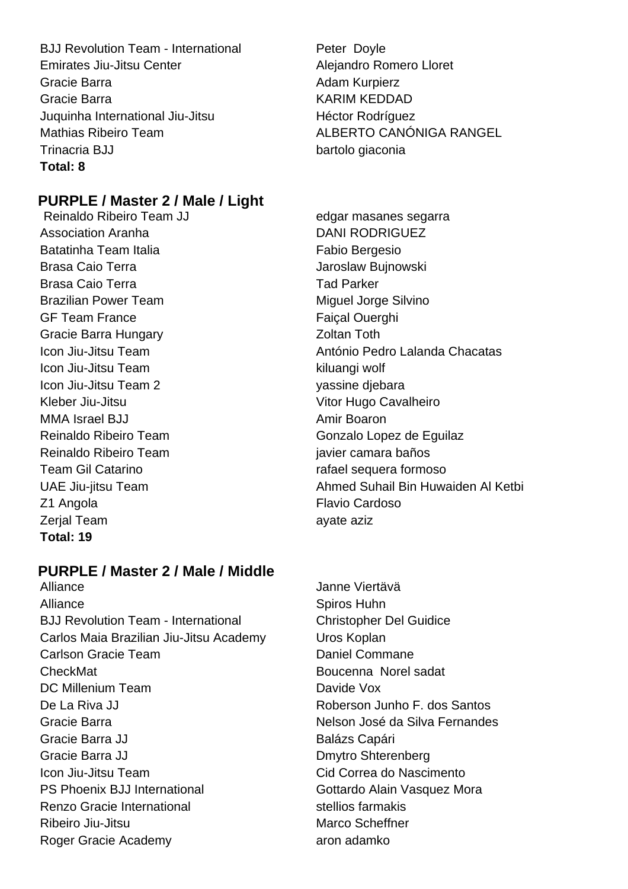BJJ Revolution Team - International Peter Doyle Emirates Jiu-Jitsu Center **Alejandro Romero Lloret** Gracie Barra **Adam Kurpierz** Adam Kurpierz Gracie Barra **KARIM KEDDAD** Juquinha International Jiu-Jitsu **Héctor Rodríguez** Mathias Ribeiro Team **ALBERTO CANÓNIGA RANGEL** Trinacria BJJ bartolo giaconia **Total: 8**

# **PURPLE / Master 2 / Male / Light**

Reinaldo Ribeiro Team JJ edgar masanes segarra Association Aranha DANI RODRIGUEZ Batatinha Team Italia **Fabio Bergesio** Brasa Caio Terra **Jaroslaw Bujnowski** Brasa Caio Terra **Tad Parker** Tad Parker Brazilian Power Team Miguel Jorge Silvino GF Team France **Faical Ouerghi** Gracie Barra Hungary **Contact Strutter Contact Array Coltan Toth** Icon Jiu-Jitsu Team kiluangi wolf Icon Jiu-Jitsu Team 2 yassine djebara Kleber Jiu-Jitsu **Vitor Hugo Cavalheiro** MMA Israel BJJ **Amir Boaron** Amir Boaron Reinaldo Ribeiro Team Gonzalo Lopez de Equilaz Reinaldo Ribeiro Team internacional e alguna iavier camara baños Team Gil Catarino **rafael sequera formoso** Z1 Angola **Flavio Cardoso** Zerjal Team ayate aziz **Total: 19**

# **PURPLE / Master 2 / Male / Middle**

Alliance Janne Viertävä Alliance Spiros Huhn BJJ Revolution Team - International Christopher Del Guidice Carlos Maia Brazilian Jiu-Jitsu Academy Uros Koplan Carlson Gracie Team Daniel Commane CheckMat Boucenna Norel sadat DC Millenium Team Davide Vox De La Riva JJ Roberson Junho F. dos Santos Gracie Barra **Nelson José da Silva Fernandes** Gracie Barra JJ **Balázs Capári** Gracie Barra JJ Dmytro Shterenberg Icon Jiu-Jitsu Team Cid Correa do Nascimento PS Phoenix BJJ International Gottardo Alain Vasquez Mora Renzo Gracie International stellios farmakis Ribeiro Jiu-Jitsu **Marco Scheffner** Marco Scheffner Roger Gracie Academy aron adamko

Icon Jiu-Jitsu Team **António Pedro Lalanda Chacatas** UAE Jiu-jitsu Team Ahmed Suhail Bin Huwaiden Al Ketbi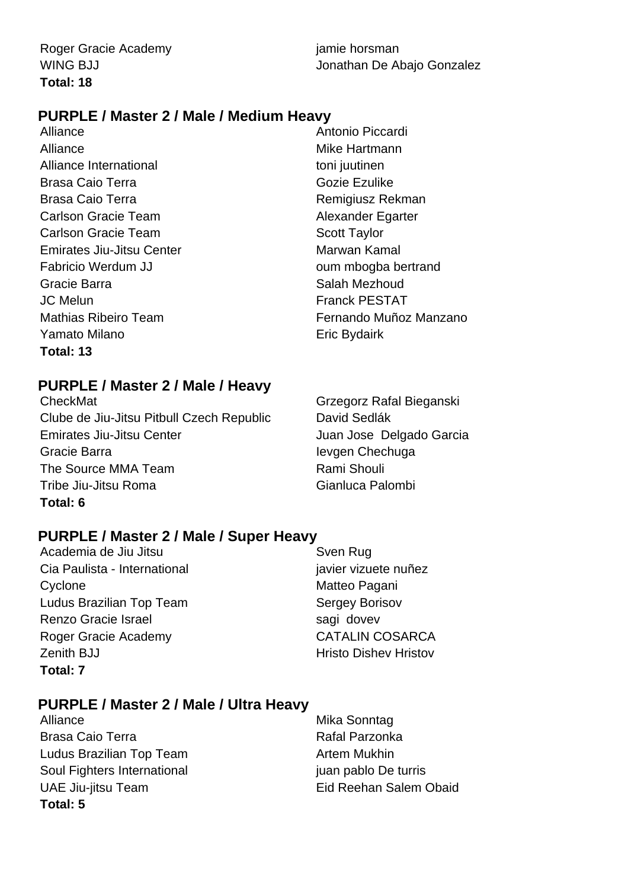# **PURPLE / Master 2 / Male / Medium Heavy**

Alliance Antonio Piccardi Alliance Mike Hartmann Alliance International toni juutinen Brasa Caio Terra Gozie Ezulike Brasa Caio Terra **Remigiusz Rekman** Carlson Gracie Team Alexander Egarter Carlson Gracie Team Scott Taylor Emirates Jiu-Jitsu Center **Marwan Kamal** Fabricio Werdum JJ **Example 2018** oum mbogba bertrand Gracie Barra **Salah Mezhoud** Salah Mezhoud JC Melun Franck PESTAT Yamato Milano **Existence** Eric Bydairk **Total: 13**

Mathias Ribeiro Team Fernando Muñoz Manzano

# **PURPLE / Master 2 / Male / Heavy**

CheckMat Grzegorz Rafal Bieganski Clube de Jiu-Jitsu Pitbull Czech Republic David Sedlák Emirates Jiu-Jitsu Center **Juan Jose Delgado Garcia** Gracie Barra **International Chechuga** Ievgen Chechuga The Source MMA Team **Rami Shouli** Tribe Jiu-Jitsu Roma<br>
Gianluca Palombi **Total: 6**

# **PURPLE / Master 2 / Male / Super Heavy**

- Academia de Jiu Jitsu **Symmun Syen Rug** Sven Rug Cia Paulista - International international javier vizuete nuñez Cyclone Matteo Pagani Ludus Brazilian Top Team Sergey Borisov Renzo Gracie Israel sagi dovev Roger Gracie Academy CATALIN COSARCA Zenith BJJ **Hristo Dishev Hristov** Hristov **Total: 7**
	-

# **PURPLE / Master 2 / Male / Ultra Heavy**

Alliance Mika Sonntag Brasa Caio Terra **Rafal Parzonka** Ludus Brazilian Top Team Artem Mukhin Soul Fighters International international juan pablo De turris UAE Jiu-jitsu Team Eid Reehan Salem Obaid **Total: 5**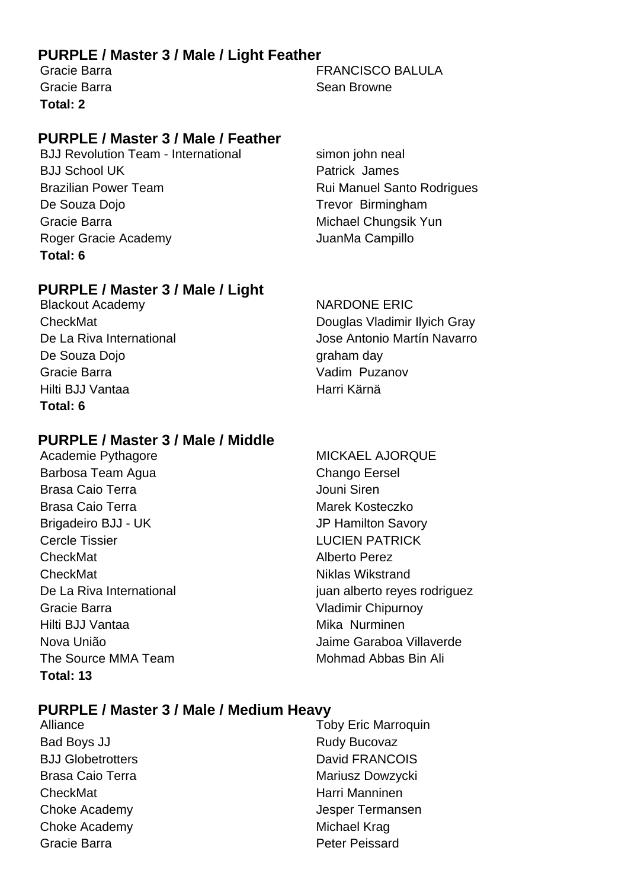# **PURPLE / Master 3 / Male / Light Feather**

**Total: 2**

# **PURPLE / Master 3 / Male / Feather**

BJJ Revolution Team - International simon john neal BJJ School UK Patrick James Brazilian Power Team **Rui Manuel Santo Rodrigues** De Souza Dojo **Trevor Birmingham** Gracie Barra Michael Chungsik Yun Roger Gracie Academy **Campillo** JuanMa Campillo **Total: 6**

# **PURPLE / Master 3 / Male / Light**

Blackout Academy NARDONE ERIC De Souza Dojo graham day Gracie Barra Vadim Puzanov Hilti BJJ Vantaa Harri Kärnä **Total: 6**

# **PURPLE / Master 3 / Male / Middle**

Barbosa Team Agua Chango Eersel Brasa Caio Terra Jouni Siren Brasa Caio Terra **Marek Kosteczko** Marek Kosteczko Brigadeiro BJJ - UK JP Hamilton Savory Cercle Tissier **LUCIEN PATRICK** CheckMat **CheckMat Alberto** Perez CheckMat **Niklas Wikstrand** Gracie Barra Vladimir Chipurnoy Hilti BJJ Vantaa Mika Nurminen The Source MMA Team Mohmad Abbas Bin Ali **Total: 13**

Gracie Barra FRANCISCO BALULA Gracie Barra **Sean Browne** Sean Browne

CheckMat Douglas Vladimir Ilyich Gray De La Riva International Jose Antonio Martín Navarro

## Academie Pythagore MICKAEL AJORQUE

De La Riva International international international property in the set of reyes rodriguez Nova União Jaime Garaboa Villaverde

# **PURPLE / Master 3 / Male / Medium Heavy**

- Bad Boys JJ Rudy Bucovaz BJJ Globetrotters David FRANCOIS Brasa Caio Terra **Mariusz Dowzycki** Mariusz Dowzycki CheckMat **Harri Manninen** Choke Academy **Michael Krag** Gracie Barra **Peter Peissard**
- Alliance Toby Eric Marroquin Choke Academy Jesper Termansen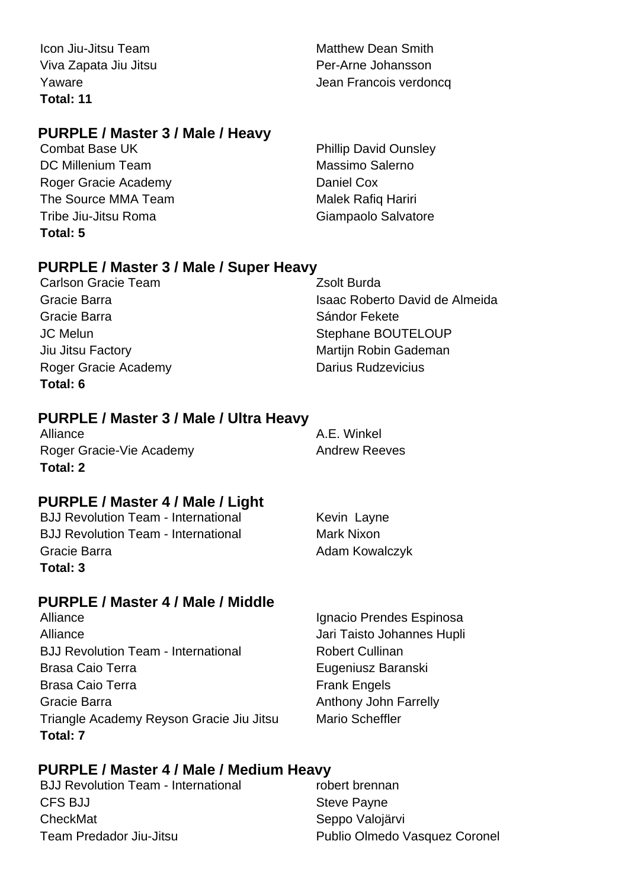**Total: 11**

# **PURPLE / Master 3 / Male / Heavy**

DC Millenium Team Massimo Salerno Roger Gracie Academy **Daniel Cox** The Source MMA Team Malek Rafiq Hariri Tribe Jiu-Jitsu Roma Giampaolo Salvatore **Total: 5**

**Icon Jiu-Jitsu Team Matthew Dean Smith** Viva Zapata Jiu Jitsu Per-Arne Johansson Yaware **Value 1986** Value 1999 Value 1999 Jean Francois verdoncq

Combat Base UK Phillip David Ounsley

# **PURPLE / Master 3 / Male / Super Heavy**

Carlson Gracie Team **Zsolt Burda** Gracie Barra **Sándor Fekete** Roger Gracie Academy **Darius Rudzevicius Darius Rudzevicius Total: 6**

Gracie Barra **Islamica Isaac Roberto David de Almeida** JC Melun Stephane BOUTELOUP Jiu Jitsu Factory **Martigmum** Martijn Robin Gademan

# **PURPLE / Master 3 / Male / Ultra Heavy**

Alliance Alliance A.E. Winkel Roger Gracie-Vie Academy **Andrew Reeves Total: 2**

# **PURPLE / Master 4 / Male / Light**

BJJ Revolution Team - International Kevin Layne BJJ Revolution Team - International Mark Nixon Gracie Barra **Adam Kowalczyk Total: 3**

# **PURPLE / Master 4 / Male / Middle**

Alliance Ignacio Prendes Espinosa Alliance Jari Taisto Johannes Hupli BJJ Revolution Team - International Robert Cullinan Brasa Caio Terra **Eugeniusz Baranski** Brasa Caio Terra **Frank Engels** Gracie Barra **Anthony John Farrelly Anthony John Farrelly** Triangle Academy Reyson Gracie Jiu Jitsu Mario Scheffler **Total: 7**

# **PURPLE / Master 4 / Male / Medium Heavy**

BJJ Revolution Team - International robert brennan CFS BJJ Steve Payne CheckMat Seppo Valoiärvi Team Predador Jiu-Jitsu **Publio Olmedo Vasquez Coronel**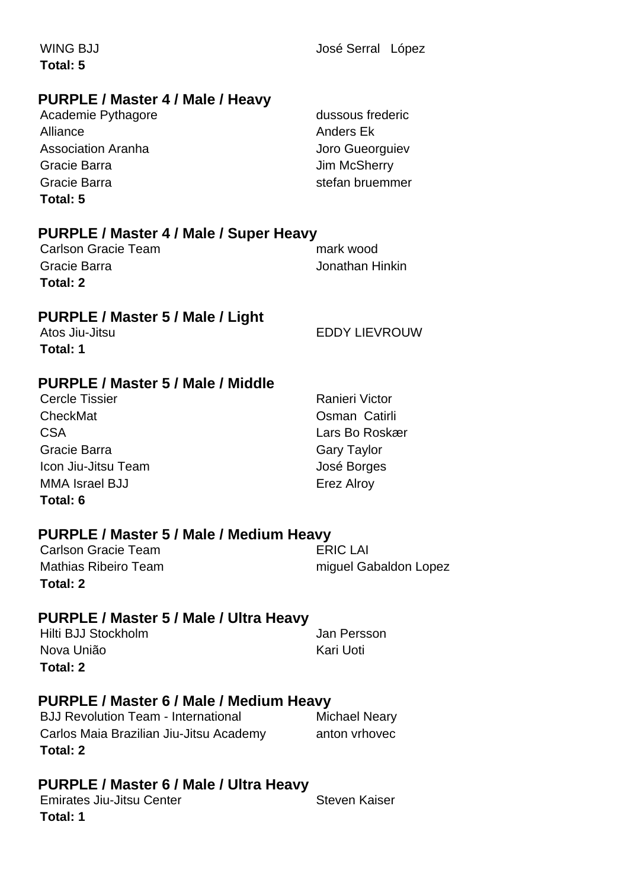**PURPLE / Master 4 / Male / Super Heavy PURPLE / Master 5 / Male / Light PURPLE / Master 5 / Male / Middle PURPLE / Master 5 / Male / Medium Heavy Total: 5** Carlson Gracie Team mark wood Gracie Barra Jonathan Hinkin **Total: 2** Atos Jiu-Jitsu EDDY LIEVROUW **Total: 1** Cercle Tissier **Ranieri Victor** Ranieri Victor CheckMat Osman Catirli CSA Lars Bo Roskær Gracie Barra **Gary Taylor** Gary Taylor Icon Jiu-Jitsu Team **José Borges** MMA Israel BJJ **Example 2018** Erez Alroy **Total: 6**

Carlson Gracie Team Mathias Ribeiro Team miguel Gabaldon Lopez **Total: 2**

# **PURPLE / Master 5 / Male / Ultra Heavy**

Hilti BJJ Stockholm **Jan Persson** Nova União **Kari Uoti** Kari Uoti **Total: 2**

# **PURPLE / Master 6 / Male / Medium Heavy**

BJJ Revolution Team - International Michael Neary Carlos Maia Brazilian Jiu-Jitsu Academy anton vrhovec **Total: 2**

# **PURPLE / Master 6 / Male / Ultra Heavy**

Emirates Jiu-Jitsu Center **Steven Kaiser** Steven Kaiser **Total: 1**

# **PURPLE / Master 4 / Male / Heavy**

| Academie Pythagore        | dussous frederic |
|---------------------------|------------------|
| Alliance                  | Anders Ek        |
| <b>Association Aranha</b> | Joro Gueorguiev  |
| Gracie Barra              | Jim McSherry     |
| Gracie Barra              | stefan bruemmer  |
| エヘトヘー・ド                   |                  |

WING BJJ **José Serral López** 

**Total: 5**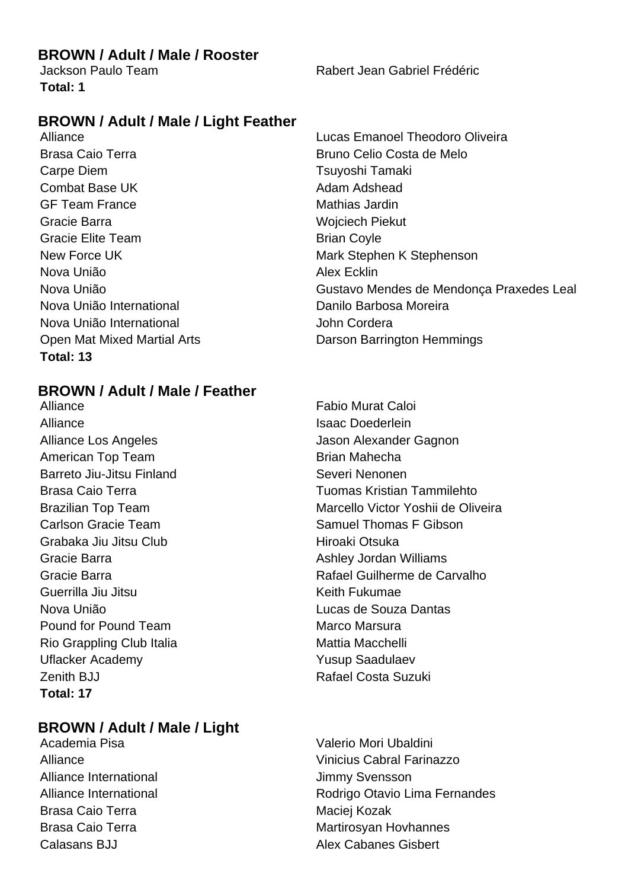# **BROWN / Adult / Male / Rooster**

**Total: 1**

Jackson Paulo Team Rabert Jean Gabriel Frédéric

# **BROWN / Adult / Male / Light Feather**

Brasa Caio Terra **Bruno Celio Costa de Melo** Carpe Diem Tsuyoshi Tamaki Combat Base UK Adam Adshead GF Team France Mathias Jardin Gracie Barra Wojciech Piekut Gracie Elite Team **Brian Coyle** Brian Coyle Nova União **Alex Ecklin** Nova União International **Nova União International** Danilo Barbosa Moreira Nova União International **Nova União** International **Total: 13**

# **BROWN / Adult / Male / Feather**

Alliance Fabio Murat Caloi Alliance **Islamical Contract Contract Contract Contract Contract Contract Contract Contract Contract Contract Contract Contract Contract Contract Contract Contract Contract Contract Contract Contract Contract Contract Cont** Alliance Los Angeles **Alliance Los Angeles** Jason Alexander Gagnon American Top Team **Brian Mahecha** Barreto Jiu-Jitsu Finland Severi Nenonen Carlson Gracie Team Samuel Thomas F Gibson Grabaka Jiu Jitsu Club **Hiroaki Otsuka** Gracie Barra **Ashley Jordan Williams** Cracie Barra Ashley Jordan Williams Guerrilla Jiu Jitsu **Keith Fukumae** Nova União Lucas de Souza Dantas Pound for Pound Team Marco Marsura Rio Grappling Club Italia **Mattia Macchelli** Uflacker Academy **Yusup Saadulaev** Zenith BJJ **Rafael Costa Suzuki Total: 17**

# **BROWN / Adult / Male / Light**

Alliance International and The Muslimmy Svensson Brasa Caio Terra **Maciei Kozak** Maciej Kozak

Alliance Lucas Emanoel Theodoro Oliveira New Force UK Mark Stephen K Stephenson Nova União **Gustavo Mendes de Mendonça Praxedes Leal** Open Mat Mixed Martial Arts **Darson Barrington Hemmings** 

Brasa Caio Terra **Tuomas** Kristian Tammilehto Brazilian Top Team Marcello Victor Yoshii de Oliveira Gracie Barra Rafael Guilherme de Carvalho

Academia Pisa Valerio Mori Ubaldini Alliance Vinicius Cabral Farinazzo Alliance International **Rodrigo Otavio Lima Fernandes** Brasa Caio Terra **Martirosyan Hovhannes** Calasans BJJ Alex Cabanes Gisbert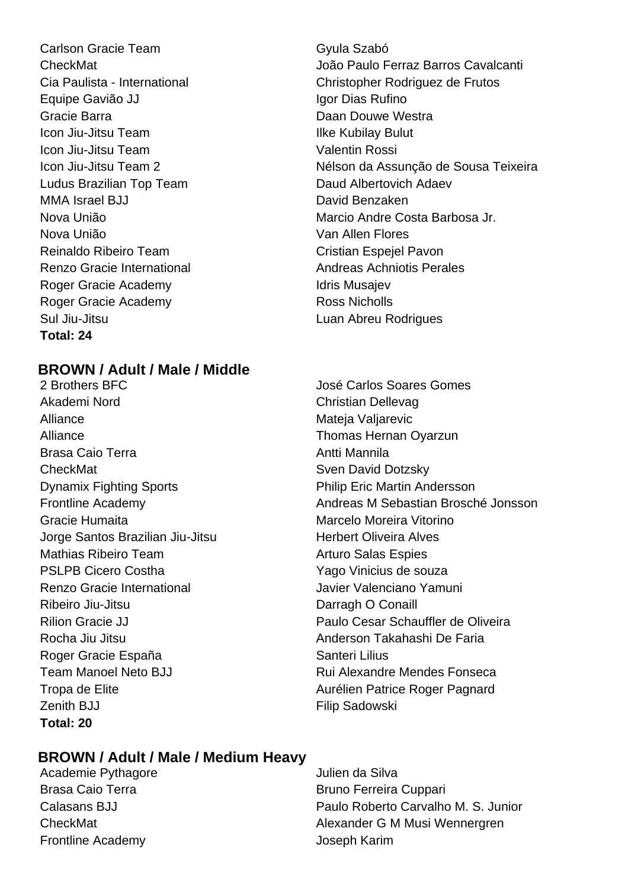Carlson Gracie Team Gyula Szabó Equipe Gavião JJ **Igor Dias Rufino** Gracie Barra **Daan Douwe Westra** Daan Douwe Westra Icon Jiu-Jitsu Team **Ilke Kubilay Bulut** Icon Jiu-Jitsu Team Valentin Rossi Ludus Brazilian Top Team Daud Albertovich Adaev MMA Israel BJJ David Benzaken Nova União Van Allen Flores Reinaldo Ribeiro Team **Cristian Espeiel Pavon** Renzo Gracie International **Andreas Achniotis Perales** Roger Gracie Academy **Idris Musajev** Idris Musajev Roger Gracie Academy **Ross Nicholls** Sul Jiu-Jitsu Luan Abreu Rodrigues **Total: 24**

# **BROWN / Adult / Male / Middle**

2 Brothers BFC 2 Brothers BFC 2 Brothers BEC 3 José Carlos Soares Gomes Akademi Nord **Christian Dellevag** Alliance Mateja Valjarevic Alliance **Thomas Hernan Oyarzun** Brasa Caio Terra **Antti Mannila** CheckMat Sven David Dotzsky Dynamix Fighting Sports **Philip Eric Martin Andersson** Gracie Humaita **Marcelo Moreira Vitorino** Jorge Santos Brazilian Jiu-Jitsu **Herbert Oliveira Alves** Mathias Ribeiro Team **Arturo Salas Espies** PSLPB Cicero Costha Yago Vinicius de souza Renzo Gracie International Javier Valenciano Yamuni Ribeiro Jiu-Jitsu **Darragh O Conaill** Rocha Jiu Jitsu Anderson Takahashi De Faria Roger Gracie España **Santeri Lilius** Santeri Lilius Zenith BJJ **Filip Sadowski Total: 20**

# CheckMat João Paulo Ferraz Barros Cavalcanti Cia Paulista - International Christopher Rodriguez de Frutos Icon Jiu-Jitsu Team 2 **Nélson da Assunção de Sousa Teixeira** Nova União Marcio Andre Costa Barbosa Jr.

Frontline Academy Andreas M Sebastian Brosché Jonsson Rilion Gracie JJ Paulo Cesar Schauffler de Oliveira Team Manoel Neto BJJ **Rui Alexandre Mendes Fonseca** Tropa de Elite **Aurélien Patrice Roger Pagnard** 

# **BROWN / Adult / Male / Medium Heavy**

Academie Pythagore **Academie Pythagore Julien da Silva** Frontline Academy Joseph Karim

Brasa Caio Terra **Brasa Caio Terra Bruno Ferreira Cuppari** Calasans BJJ Paulo Roberto Carvalho M. S. Junior CheckMat **CheckMat Alexander G M Musi Wennergren**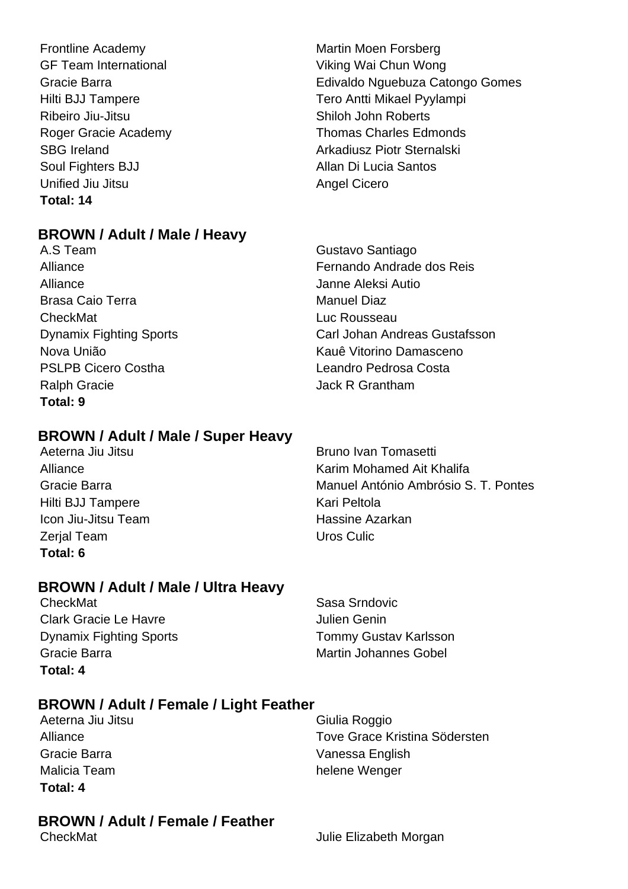Frontline Academy **Martin Moen Forsberg** Martin Moen Forsberg GF Team International **Viking Wai Chun Wong** Gracie Barra Edivaldo Nguebuza Catongo Gomes Hilti BJJ Tampere Tero Antti Mikael Pyylampi Ribeiro Jiu-Jitsu **Nicholas Shiloh John Roberts** Soul Fighters BJJ Allan Di Lucia Santos Unified Jiu Jitsu **Angel Cicero** Angel Cicero **Total: 14**

# **BROWN / Adult / Male / Heavy**

A.S Team Gustavo Santiago Alliance Janne Aleksi Autio Brasa Caio Terra **Manuel Diaz** CheckMat Luc Rousseau PSLPB Cicero Costha **Leandro Pedrosa Costa** Ralph Gracie **Algebrary Contract Contract Contract Contract Contract Contract Contract Contract Contract Contract Contract Contract Contract Contract Contract Contract Contract Contract Contract Contract Contract Contract Total: 9**

# **BROWN / Adult / Male / Super Heavy**

Aeterna Jiu Jitsu **Bruno Ivan Tomasetti** Bruno Ivan Tomasetti Hilti BJJ Tampere Kari Peltola **Icon Jiu-Jitsu Team New York Constructs** Hassine Azarkan Zerial Team New York Culic New York Culic New York Culic New York Culic New York Culic New York Culic New York Culic **Total: 6**

Alliance **Karim Mohamed Ait Khalifa** Gracie Barra **Manuel António Ambrósio S. T. Pontes** 

# **BROWN / Adult / Male / Ultra Heavy**

CheckMat Sasa Srndovic Clark Gracie Le Havre Julien Genin Dynamix Fighting Sports Tommy Gustav Karlsson Gracie Barra **Martin Johannes Gobel** Martin Johannes Gobel **Total: 4**

# **BROWN / Adult / Female / Light Feather**

Aeterna Jiu Jitsu Giulia Roggio **Total: 4**

# Alliance Tove Grace Kristina Södersten Gracie Barra Vanessa English Malicia Team **helene** Wenger

# **BROWN / Adult / Female / Feather**

CheckMat **CheckMat Julie Elizabeth Morgan** 

Alliance Fernando Andrade dos Reis Dynamix Fighting Sports Carl Johan Andreas Gustafsson Nova União Kauê Vitorino Damasceno

Roger Gracie Academy Thomas Charles Edmonds SBG Ireland **Arkadiusz Piotr Sternalski**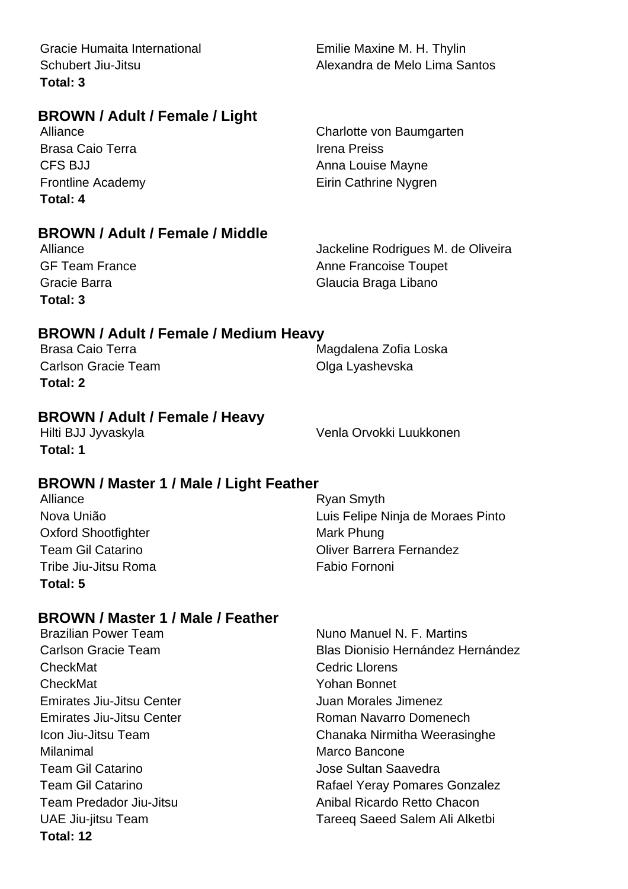Gracie Humaita International **Emilie Maxine M. H. Thylin Total: 3**

# **BROWN / Adult / Female / Light**

**Brasa Caio Terra** Irena Preiss **Total: 4**

# **BROWN / Adult / Female / Middle**

**Total: 3**

Alliance **Alliance** Jackeline Rodrigues M. de Oliveira GF Team France Anne Francoise Toupet Gracie Barra **Gracia Braga Libano** 

# **BROWN / Adult / Female / Medium Heavy**

Carlson Gracie Team Carlson Carlson Gracie Team **Total: 2**

Brasa Caio Terra **Magdalena Zofia Loska** 

# **BROWN / Adult / Female / Heavy**

**Total: 1**

Hilti BJJ Jyvaskyla Venla Orvokki Luukkonen

# **BROWN / Master 1 / Male / Light Feather**

| Alliance                   | Ryan Smyth                        |
|----------------------------|-----------------------------------|
| Nova União                 | Luis Felipe Ninja de Moraes Pinto |
| <b>Oxford Shootfighter</b> | Mark Phung                        |
| <b>Team Gil Catarino</b>   | <b>Oliver Barrera Fernandez</b>   |
| Tribe Jiu-Jitsu Roma       | Fabio Fornoni                     |
| Total: 5                   |                                   |

# **BROWN / Master 1 / Male / Feather**

| ылотны назм нимпон сапы          |                                          |
|----------------------------------|------------------------------------------|
| <b>Brazilian Power Team</b>      | Nuno Manuel N. F. Martins                |
| <b>Carlson Gracie Team</b>       | <b>Blas Dionisio Hernández Hernández</b> |
| CheckMat                         | <b>Cedric Llorens</b>                    |
| CheckMat                         | <b>Yohan Bonnet</b>                      |
| <b>Emirates Jiu-Jitsu Center</b> | Juan Morales Jimenez                     |
| <b>Emirates Jiu-Jitsu Center</b> | Roman Navarro Domenech                   |
| Icon Jiu-Jitsu Team              | Chanaka Nirmitha Weerasinghe             |
| Milanimal                        | Marco Bancone                            |
| <b>Team Gil Catarino</b>         | Jose Sultan Saavedra                     |
| Team Gil Catarino                | Rafael Yeray Pomares Gonzalez            |
| Team Predador Jiu-Jitsu          | Anibal Ricardo Retto Chacon              |
| <b>UAE Jiu-jitsu Team</b>        | Tareeq Saeed Salem Ali Alketbi           |
| Total: 12                        |                                          |

Schubert Jiu-Jitsu **Alexandra de Melo Lima Santos** 

Alliance Charlotte von Baumgarten CFS BJJ **Anna Louise Mayne** Frontline Academy **Eirin Cathrine Nygren**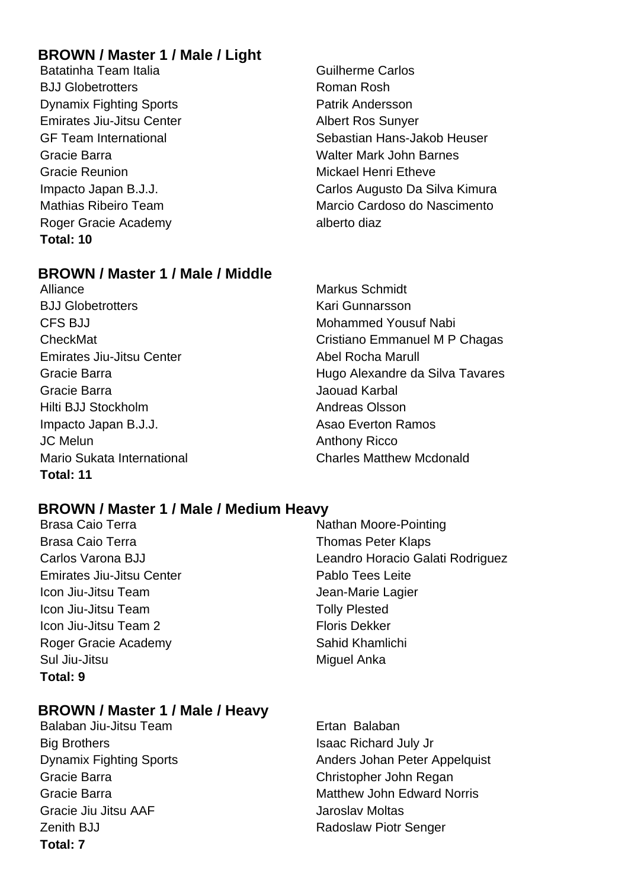# **BROWN / Master 1 / Male / Light**

Batatinha Team Italia Guilherme Carlos BJJ Globetrotters **Roman Rosh Dynamix Fighting Sports Patrik Andersson** Emirates Jiu-Jitsu Center Albert Ros Sunyer Gracie Barra Walter Mark John Barnes Gracie Reunion **Mickael Henri Etheve** Roger Gracie Academy alberto diaz **Total: 10**

GF Team International Sebastian Hans-Jakob Heuser Impacto Japan B.J.J. Carlos Augusto Da Silva Kimura Mathias Ribeiro Team Marcio Cardoso do Nascimento

# **BROWN / Master 1 / Male / Middle**

Alliance Markus Schmidt **BJJ Globetrotters** Kari Gunnarsson CFS BJJ Mohammed Yousuf Nabi Emirates Jiu-Jitsu Center **Abel Rocha Marull** Gracie Barra Jaouad Karbal Hilti BJJ Stockholm **Andreas Olsson** Impacto Japan B.J.J. **Asao Everton Ramos** Assac Everton Ramos JC Melun Anthony Ricco Mario Sukata International Charles Matthew Mcdonald **Total: 11**

CheckMat Cristiano Emmanuel M P Chagas Gracie Barra Hugo Alexandre da Silva Tavares

# **BROWN / Master 1 / Male / Medium Heavy**

Brasa Caio Terra **Nathan Moore-Pointing** Brasa Caio Terra **Thomas Peter Klaps Brasa** Caio Terra Carlos Varona BJJ Leandro Horacio Galati Rodriguez Emirates Jiu-Jitsu Center **Pablo Tees Leite** Icon Jiu-Jitsu Team Jean-Marie Lagier **Icon Jiu-Jitsu Team Tolly Plested Icon Jiu-Jitsu Team 2** Floris Dekker **Total: 9**

# Roger Gracie Academy Sahid Khamlichi Sul Jiu-Jitsu **Miguel Anka**

# **BROWN / Master 1 / Male / Heavy**

Balaban Jiu-Jitsu Team **Ertan Balaban** Big Brothers **Isaac Richard July Jr** Isaac Richard July Jr Gracie Barra Christopher John Regan Gracie Jiu Jitsu AAF Jaroslav Moltas **Zenith BJJ Radoslaw Piotr Senger Total: 7**

Dynamix Fighting Sports **Anders Johan Peter Appelquist** Gracie Barra Matthew John Edward Norris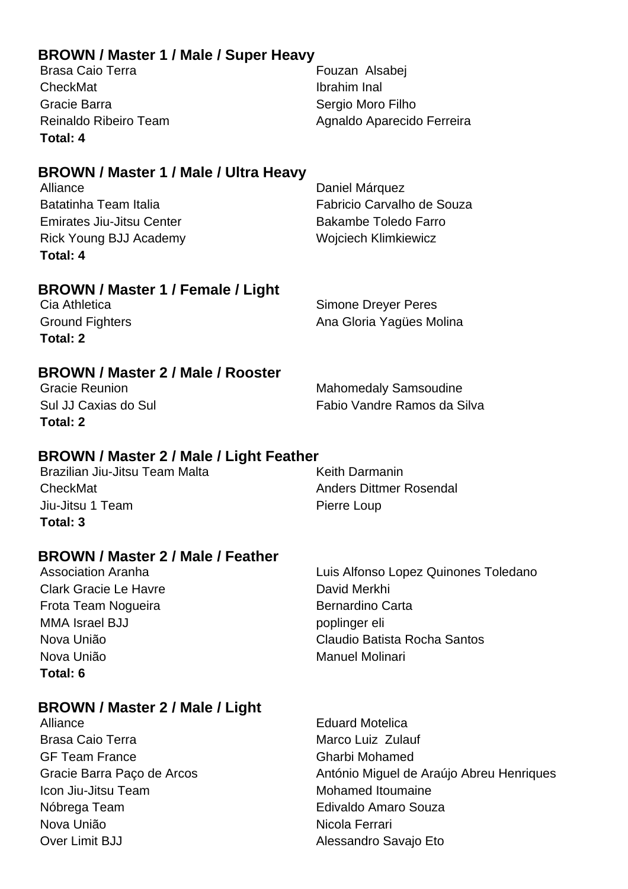# **BROWN / Master 1 / Male / Super Heavy**

| Brasa Caio Terra      | Fouzan Alsabej             |
|-----------------------|----------------------------|
| CheckMat              | Ibrahim Inal               |
| Gracie Barra          | Sergio Moro Filho          |
| Reinaldo Ribeiro Team | Agnaldo Aparecido Ferreira |
| Total: 4              |                            |

# **BROWN / Master 1 / Male / Ultra Heavy**

Alliance Daniel Márquez Batatinha Team Italia **Fabricio Carvalho de Souza** Emirates Jiu-Jitsu Center **Bakambe Toledo Farro** Rick Young BJJ Academy Wojciech Klimkiewicz **Total: 4**

# **BROWN / Master 1 / Female / Light**

| Cia Athletica          | Simone Dreyer Peres      |
|------------------------|--------------------------|
| <b>Ground Fighters</b> | Ana Gloria Yagües Molina |
| Total: 2               |                          |

# **BROWN / Master 2 / Male / Rooster**

**Total: 2**

Mahomedaly Samsoudine Sul JJ Caxias do Sul Fabio Vandre Ramos da Silva

# **BROWN / Master 2 / Male / Light Feather**

Brazilian Jiu-Jitsu Team Malta **Keith Darmanin** CheckMat Anders Dittmer Rosendal Jiu-Jitsu 1 Team Pierre Loup **Total: 3**

# **BROWN / Master 2 / Male / Feather**

Clark Gracie Le Havre **David Merkhi** Frota Team Nogueira **Bernardino** Carta MMA Israel BJJ poplinger eli Nova União **Manuel Molinari** Manuel Molinari **Total: 6**

Association Aranha **Luis Alfonso Lopez Quinones Toledano** Nova União Claudio Batista Rocha Santos

# **BROWN / Master 2 / Male / Light**

Alliance **Eduard Motelica** Brasa Caio Terra **Marco Luiz Zulauf** Marco Luiz Zulauf GF Team France Gharbi Mohamed Icon Jiu-Jitsu Team Mohamed Itoumaine Nóbrega Team **Edivaldo** Amaro Souza Nova União Nicola Ferrari Over Limit BJJ Alessandro Savajo Eto

Gracie Barra Paço de Arcos **António Miguel de Araújo Abreu Henriques**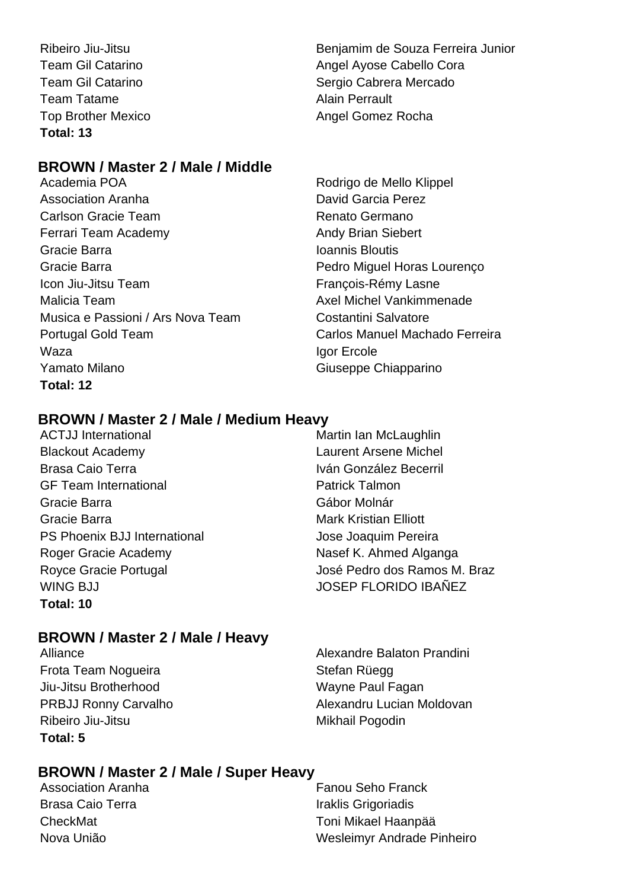Team Tatame **Alain Perrault Total: 13**

# **BROWN / Master 2 / Male / Middle**

Academia POA **Rodrigo de Mello Klippel** Association Aranha David Garcia Perez Carlson Gracie Team **Renato Germano** Ferrari Team Academy **Andy Brian Siebert** Andy Brian Siebert Gracie Barra **International Ioannis Bloutis** Gracie Barra **Pedro Miguel Horas Lourenço** Icon Jiu-Jitsu Team **François-Rémy Lasne** Malicia Team Axel Michel Vankimmenade Musica e Passioni / Ars Nova Team Costantini Salvatore Portugal Gold Team Carlos Manuel Machado Ferreira Waza **Igor Ercole** Yamato Milano **Giuseppe Chiapparino Total: 12**

Ribeiro Jiu-Jitsu Benjamim de Souza Ferreira Junior Team Gil Catarino **Angel Ayose Cabello Cora** Team Gil Catarino **Network Cabrera Cabrera Mercado** Top Brother Mexico **Angel Gomez Rocha** Angel Gomez Rocha

# **BROWN / Master 2 / Male / Medium Heavy**

- ACTJJ International Martin Ian McLaughlin Blackout Academy Laurent Arsene Michel Brasa Caio Terra **Iván González Becerril** GF Team International **Exercise Setter Secure 1** Patrick Talmon Gracie Barra **Gábor Molnár** Gábor Molnár Gracie Barra **Mark Kristian Elliott** Mark Kristian Elliott PS Phoenix BJJ International **State State State Jose Joaquim Pereira** Roger Gracie Academy Nasef K. Ahmed Alganga WING BJJ JOSEP FLORIDO IBAÑEZ **Total: 10**
- Royce Gracie Portugal **Network** José Pedro dos Ramos M. Braz

# **BROWN / Master 2 / Male / Heavy**

Frota Team Noqueira **Stefan Rüegger** Stefan Rüegger Jiu-Jitsu Brotherhood Wayne Paul Fagan Ribeiro Jiu-Jitsu **Mikhail Pogodin Total: 5**

Alliance **Alliance** Alliance **Alliance** Alexandre Balaton Prandini PRBJJ Ronny Carvalho Alexandru Lucian Moldovan

# **BROWN / Master 2 / Male / Super Heavy**

Association Aranha **Fanou Seho Franck** Fanou Seho Franck Brasa Caio Terra **Iraklis Grigoriadis** 

CheckMat Toni Mikael Haanpää Nova União **Mateira Andrea** Wesleimyr Andrade Pinheiro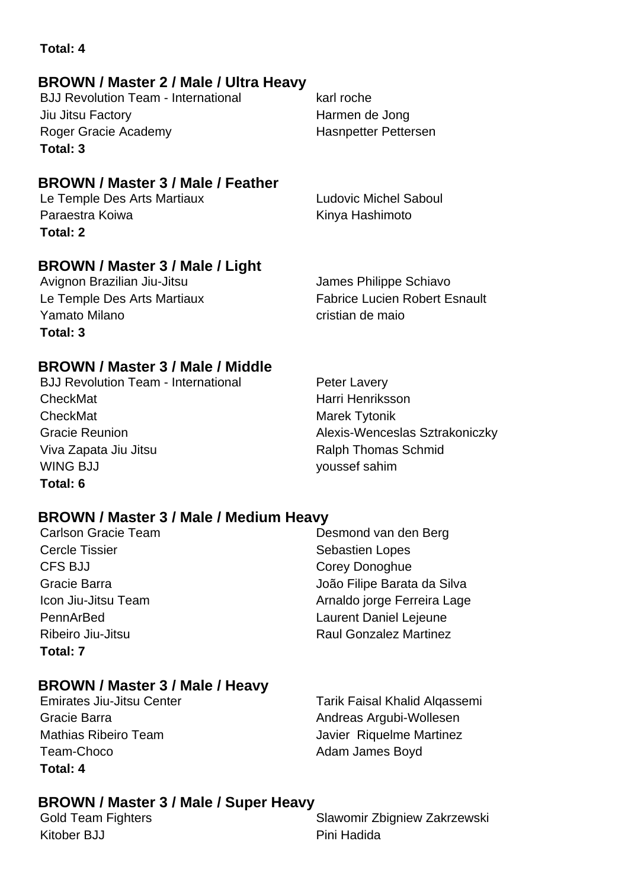# **Total: 4**

# **BROWN / Master 2 / Male / Ultra Heavy**

BJJ Revolution Team - International karl roche Jiu Jitsu Factory Harmen de Jong Roger Gracie Academy **Hasnpetter Pettersen Total: 3**

# **BROWN / Master 3 / Male / Feather**

Le Temple Des Arts Martiaux Ludovic Michel Saboul Paraestra Koiwa **Kinya Hashimoto** Kinya Hashimoto **Total: 2**

# **BROWN / Master 3 / Male / Light**

Yamato Milano cristian de maio **Total: 3**

Avignon Brazilian Jiu-Jitsu **James Philippe Schiavo** Le Temple Des Arts Martiaux Fabrice Lucien Robert Esnault

# **BROWN / Master 3 / Male / Middle**

BJJ Revolution Team - International Peter Lavery CheckMat **Harri Henriksson** CheckMat Marek Tytonik Gracie Reunion **Alexis-Wenceslas Sztrakoniczky** Viva Zapata Jiu Jitsu **National Schmid** Ralph Thomas Schmid WING BJJ youssef sahim **Total: 6**

# **BROWN / Master 3 / Male / Medium Heavy**

Cercle Tissier Sebastien Lopes CFS BJJ Corey Donoghue PennArBed Laurent Daniel Lejeune Ribeiro Jiu-Jitsu Raul Gonzalez Martinez **Total: 7**

Carlson Gracie Team Desmond van den Berg Gracie Barra João Filipe Barata da Silva Icon Jiu-Jitsu Team Arnaldo jorge Ferreira Lage

# **BROWN / Master 3 / Male / Heavy**

Team-Choco **Adam James Boyd Adam James Boyd Total: 4**

Emirates Jiu-Jitsu Center Tarik Faisal Khalid Alqassemi Gracie Barra **Andreas Argubi-Wollesen** Mathias Ribeiro Team **Javier Riquelme Martinez** 

# **BROWN / Master 3 / Male / Super Heavy**

Kitober BJJ **Pini Hadida** 

Gold Team Fighters **Slawomir Zbigniew Zakrzewski**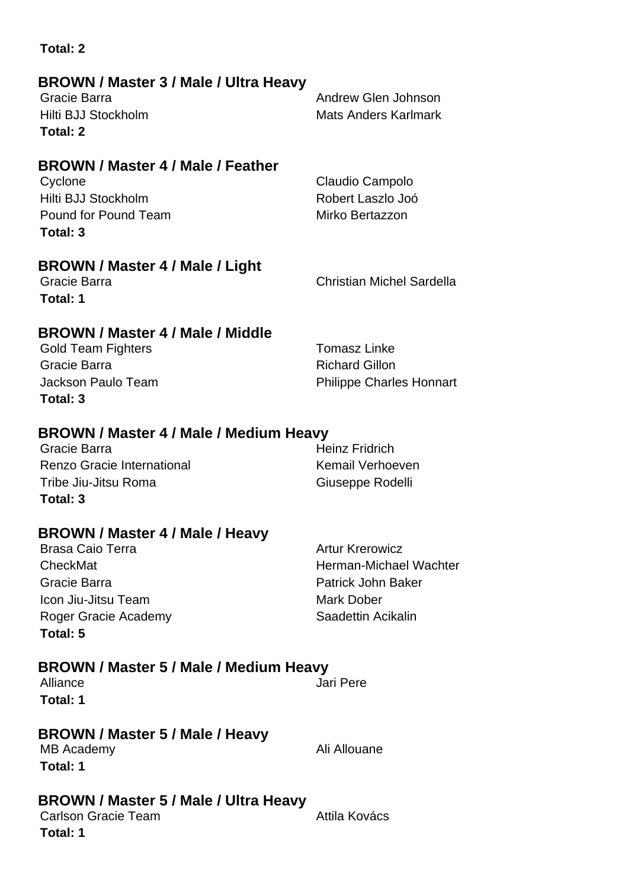| <b>BROWN / Master 3 / Male / Ultra Heavy</b><br>Gracie Barra<br>Hilti BJJ Stockholm<br>Total: 2                                                   | Andrew Glen Johnson<br><b>Mats Anders Karlmark</b>                                                         |
|---------------------------------------------------------------------------------------------------------------------------------------------------|------------------------------------------------------------------------------------------------------------|
| <b>BROWN / Master 4 / Male / Feather</b><br>Cyclone<br>Hilti BJJ Stockholm<br>Pound for Pound Team<br>Total: 3                                    | Claudio Campolo<br>Robert Laszlo Joó<br>Mirko Bertazzon                                                    |
| <b>BROWN / Master 4 / Male / Light</b><br>Gracie Barra<br>Total: 1                                                                                | <b>Christian Michel Sardella</b>                                                                           |
| <b>BROWN / Master 4 / Male / Middle</b><br><b>Gold Team Fighters</b><br>Gracie Barra<br>Jackson Paulo Team<br>Total: 3                            | <b>Tomasz Linke</b><br><b>Richard Gillon</b><br><b>Philippe Charles Honnart</b>                            |
| BROWN / Master 4 / Male / Medium Heavy<br>Gracie Barra<br>Renzo Gracie International<br>Tribe Jiu-Jitsu Roma<br>Total: 3                          | <b>Heinz Fridrich</b><br><b>Kemail Verhoeven</b><br>Giuseppe Rodelli                                       |
| BROWN / Master 4 / Male / Heavy<br><b>Brasa Caio Terra</b><br>CheckMat<br>Gracie Barra<br>Icon Jiu-Jitsu Team<br>Roger Gracie Academy<br>Total: 5 | <b>Artur Krerowicz</b><br>Herman-Michael Wachter<br>Patrick John Baker<br>Mark Dober<br>Saadettin Acikalin |
| BROWN / Master 5 / Male / Medium Heavy<br>Alliance<br>Total: 1                                                                                    | Jari Pere                                                                                                  |
| BROWN / Master 5 / Male / Heavy<br>MB Academy<br>Total: 1                                                                                         | Ali Allouane                                                                                               |
| BROWN / Master 5 / Male / Ultra Heavy<br><b>Carlson Gracie Team</b><br>Total: 1                                                                   | Attila Kovács                                                                                              |

**Total: 2**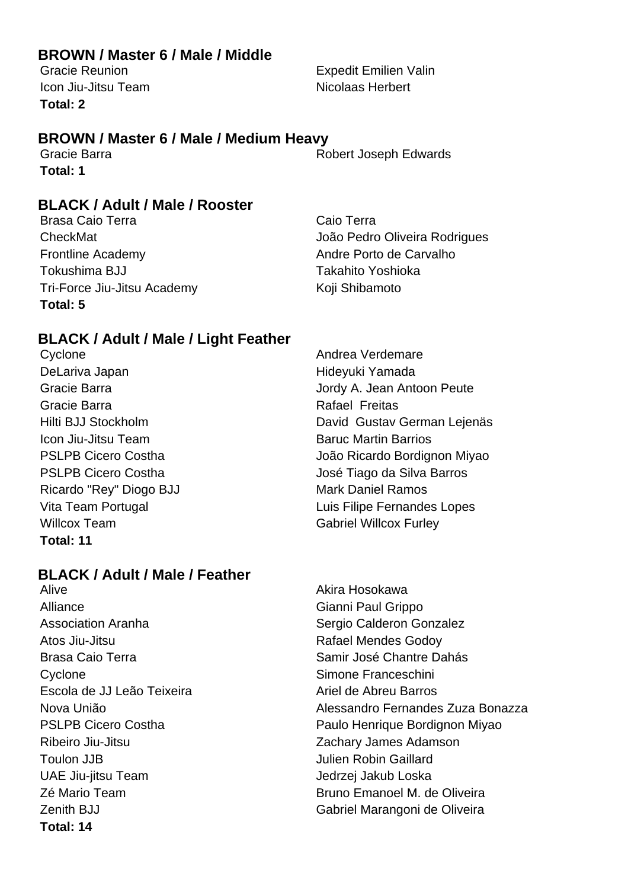# **BROWN / Master 6 / Male / Middle**

Icon Jiu-Jitsu Team Nicolaas Herbert **Total: 2**

# **BROWN / Master 6 / Male / Medium Heavy**

**Total: 1**

# **BLACK / Adult / Male / Rooster**

Brasa Caio Terra **Caio Terra Caio Terra** Frontline Academy **Andre Porto de Carvalho** Tokushima BJJ Takahito Yoshioka Tri-Force Jiu-Jitsu Academy Koji Shibamoto **Total: 5**

# **BLACK / Adult / Male / Light Feather**

Cyclone **Andrea Verdemare** DeLariva Japan **Manada** Hideyuki Yamada Gracie Barra **Rafael Freitas** Icon Jiu-Jitsu Team **Baruc Martin Barrios** Baruc Martin Barrios Ricardo "Rey" Diogo BJJ Mark Daniel Ramos Willcox Team Gabriel Willcox Furley **Total: 11**

# **BLACK / Adult / Male / Feather**

Alive Akira Hosokawa Alliance **Gianni Paul Grippo** Association Aranha **Sergio Calderon Gonzalez** Sergio Calderon Gonzalez Atos Jiu-Jitsu **Atos Jiu-Jitsu Rafael Mendes Godov** Brasa Caio Terra **Samir José Chantre Dahás** Cyclone **Simone Franceschini** Escola de JJ Leão Teixeira Ariel de Abreu Barros Ribeiro Jiu-Jitsu Zachary James Adamson Toulon JJB Julien Robin Gaillard UAE Jiu-jitsu Team Jedrzej Jakub Loska **Total: 14**

Gracie Reunion **Expedit Emilien Valin** 

Gracie Barra **Robert Joseph Edwards** 

CheckMat João Pedro Oliveira Rodrigues

Gracie Barra Jordy A. Jean Antoon Peute Hilti BJJ Stockholm David Gustav German Lejenäs PSLPB Cicero Costha **João Ricardo Bordignon Miyao** PSLPB Cicero Costha **International Composition** José Tiago da Silva Barros Vita Team Portugal **Vita Team Portugal** Computer Control Cuis Filipe Fernandes Lopes

Nova União Alessandro Fernandes Zuza Bonazza PSLPB Cicero Costha **Paulo Henrique Bordignon Miyao** Zé Mario Team  $\overline{a}$  **Bruno Emanoel M. de Oliveira** Zenith BJJ Gabriel Marangoni de Oliveira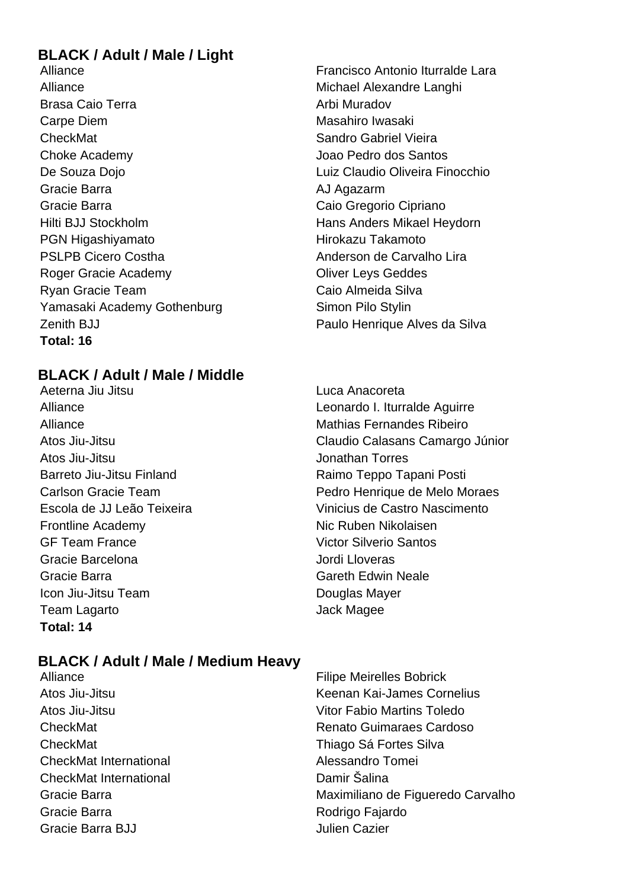# **BLACK / Adult / Male / Light**

Alliance **Michael Alexandre Langhi** Michael Alexandre Langhi Brasa Caio Terra **Arbi Muradov** Arbi Muradov Carpe Diem **Masahiro Iwasaki CheckMat** Sandro Gabriel Vieira Choke Academy Joao Pedro dos Santos De Souza Dojo **Luiz Claudio Oliveira Finocchio** Gracie Barra **AJ Agazarm** Gracie Barra **Caio Gregorio Cipriano** Hilti BJJ Stockholm **Hans Anders Mikael Heydorn** PGN Higashiyamato **Hirokazu Takamoto** Hirokazu Takamoto PSLPB Cicero Costha **Anderson de Carvalho Lira** Roger Gracie Academy **Contact Contact Contact Contact Contact Contact Contact Contact Contact Contact Contact Contact Contact Contact Contact Contact Contact Contact Contact Contact Contact Contact Contact Contact Contact** Ryan Gracie Team Caio Almeida Silva Yamasaki Academy Gothenburg Simon Pilo Stylin Zenith BJJ Paulo Henrique Alves da Silva **Total: 16**

# **BLACK / Adult / Male / Middle**

Aeterna Jiu Jitsu Luca Anacoreta Alliance Mathias Fernandes Ribeiro Atos Jiu-Jitsu **Jonathan Torres** Barreto Jiu-Jitsu Finland Raimo Teppo Tapani Posti Frontline Academy Nic Ruben Nikolaisen GF Team France Victor Silverio Santos Gracie Barcelona Jordi Lloveras Gracie Barra Gareth Edwin Neale Icon Jiu-Jitsu Team **Douglas Mayer** Team Lagarto **Calculation Contract Calculation** Jack Magee **Total: 14**

# Alliance Francisco Antonio Iturralde Lara

Alliance Leonardo I. Iturralde Aguirre Atos Jiu-Jitsu Claudio Calasans Camargo Júnior Carlson Gracie Team Pedro Henrique de Melo Moraes Escola de JJ Leão Teixeira Vinicius de Castro Nascimento

# **BLACK / Adult / Male / Medium Heavy**

- CheckMat Thiago Sá Fortes Silva CheckMat International Alessandro Tomei CheckMat International Damir Šalina Gracie Barra **Rodrigo Fajardo** Rodrigo Fajardo Gracie Barra BJJ Julien Cazier
- Alliance Filipe Meirelles Bobrick Atos Jiu-Jitsu Keenan Kai-James Cornelius Atos Jiu-Jitsu Vitor Fabio Martins Toledo CheckMat Renato Guimaraes Cardoso Gracie Barra **Maximiliano de Figueredo Carvalho**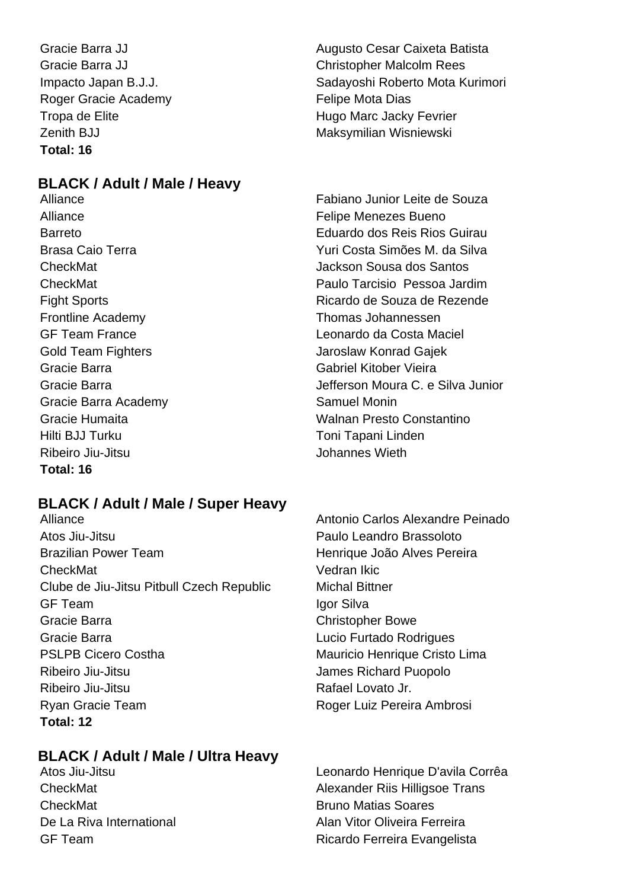Roger Gracie Academy **Felipe Mota Dias Total: 16**

# **BLACK / Adult / Male / Heavy**

Alliance **Felipe Menezes** Bueno Frontline Academy Thomas Johannessen Gold Team Fighters **Jaroslaw Konrad Gajek** Gracie Barra Gabriel Kitober Vieira Gracie Barra Academy **Samuel Moning** Samuel Moning Hilti BJJ Turku Toni Tapani Linden Ribeiro Jiu-Jitsu **Johannes Wieth Total: 16**

# **BLACK / Adult / Male / Super Heavy**

Atos Jiu-Jitsu Paulo Leandro Brassoloto Brazilian Power Team **Henrique João Alves Pereira** CheckMat Vedran Ikic Clube de Jiu-Jitsu Pitbull Czech Republic Michal Bittner GF Team and the state of the state of the local devices in the local state of the local state of the local state of the local state of the local state of the local state of the local state of the local state of the local s Gracie Barra **Christopher Bowe** Christopher Bowe Gracie Barra **Carra Lucio Furtado Rodrigues** PSLPB Cicero Costha Mauricio Henrique Cristo Lima Ribeiro Jiu-Jitsu **Internationalista de la contrata de la contrata de la contrata de la contrata de la contrata de la contrata de la contrata de la contrata de la contrata de la contrata de la contrata de la contrata de la** Ribeiro Jiu-Jitsu **Ribeiro Jiu-Jitsu** Rafael Lovato Jr. Ryan Gracie Team **Roger Luiz Pereira Ambrosi Total: 12**

# **BLACK / Adult / Male / Ultra Heavy**

**CheckMat Bruno Matias Soares** 

Gracie Barra JJ **Augusto Cesar Caixeta Batista** Gracie Barra JJ Christopher Malcolm Rees Impacto Japan B.J.J. Sadayoshi Roberto Mota Kurimori Tropa de Elite **Hugo Marc Jacky Fevrier** Zenith BJJ Maksymilian Wisniewski

Alliance Fabiano Junior Leite de Souza Barreto Eduardo dos Reis Rios Guirau Brasa Caio Terra Yuri Costa Simões M. da Silva CheckMat Jackson Sousa dos Santos CheckMat Paulo Tarcisio Pessoa Jardim Fight Sports **Ricardo de Souza de Rezende** GF Team France Leonardo da Costa Maciel Gracie Barra **Gracia C. e Silva Junior** Jefferson Moura C. e Silva Junior Gracie Humaita Walnan Presto Constantino

Alliance Antonio Carlos Alexandre Peinado

Atos Jiu-Jitsu Leonardo Henrique D'avila Corrêa CheckMat **CheckMat Alexander Riis Hilligsoe Trans** De La Riva International **De La Riva International** Alan Vitor Oliveira Ferreira GF Team **Ricardo Ferreira Evangelista**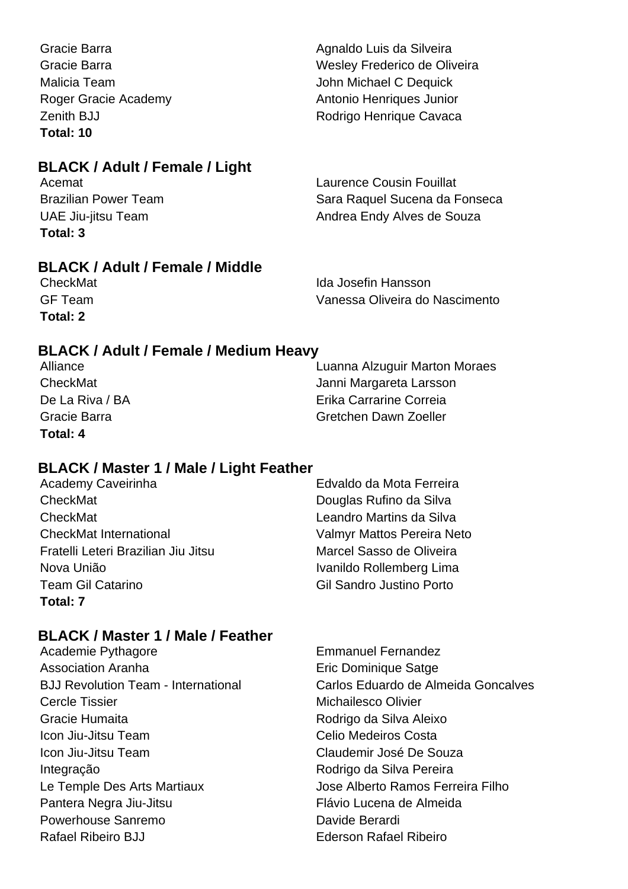Gracie Barra **Agnaldo Luis da Silveira** Agnaldo Luis da Silveira Gracie Barra Wesley Frederico de Oliveira Malicia Team  $\qquad \qquad$  John Michael C Dequick Roger Gracie Academy **Antonio Henriques Junior** Zenith BJJ **Rodrigo Henrique Cavaca Total: 10**

# **BLACK / Adult / Female / Light**

| Acemat                      | <b>Laurence Cousin Fouillat</b> |
|-----------------------------|---------------------------------|
| <b>Brazilian Power Team</b> | Sara Raquel Sucena da Fonseca   |
| UAE Jiu-jitsu Team          | Andrea Endy Alves de Souza      |
| Total: 3                    |                                 |

# **BLACK / Adult / Female / Middle**

**Total: 2**

**CheckMat Ida Josefin Hansson** GF Team Vanessa Oliveira do Nascimento

# **BLACK / Adult / Female / Medium Heavy**

| Alliance        | Luanna Alzuguir Marton Moraes |
|-----------------|-------------------------------|
| CheckMat        | Janni Margareta Larsson       |
| De La Riva / BA | Erika Carrarine Correia       |
| Gracie Barra    | Gretchen Dawn Zoeller         |
| Total: 4        |                               |

# **BLACK / Master 1 / Male / Light Feather**

| Academy Caveirinha                  | Edvaldo da Mota Ferreira        |
|-------------------------------------|---------------------------------|
| CheckMat                            | Douglas Rufino da Silva         |
| CheckMat                            | Leandro Martins da Silva        |
| <b>CheckMat International</b>       | Valmyr Mattos Pereira Neto      |
| Fratelli Leteri Brazilian Jiu Jitsu | Marcel Sasso de Oliveira        |
| Nova União                          | Ivanildo Rollemberg Lima        |
| <b>Team Gil Catarino</b>            | <b>Gil Sandro Justino Porto</b> |
| Total: 7                            |                                 |

# **BLACK / Master 1 / Male / Feather**

| Academie Pythagore                         | <b>Emmanuel Fernandez</b>           |
|--------------------------------------------|-------------------------------------|
| <b>Association Aranha</b>                  | Eric Dominique Satge                |
| <b>BJJ Revolution Team - International</b> | Carlos Eduardo de Almeida Goncalves |
| <b>Cercle Tissier</b>                      | Michailesco Olivier                 |
| Gracie Humaita                             | Rodrigo da Silva Aleixo             |
| Icon Jiu-Jitsu Team                        | <b>Celio Medeiros Costa</b>         |
| Icon Jiu-Jitsu Team                        | Claudemir José De Souza             |
| Integração                                 | Rodrigo da Silva Pereira            |
| Le Temple Des Arts Martiaux                | Jose Alberto Ramos Ferreira Filho   |
| Pantera Negra Jiu-Jitsu                    | Flávio Lucena de Almeida            |
| Powerhouse Sanremo                         | Davide Berardi                      |
| <b>Rafael Ribeiro BJJ</b>                  | <b>Ederson Rafael Ribeiro</b>       |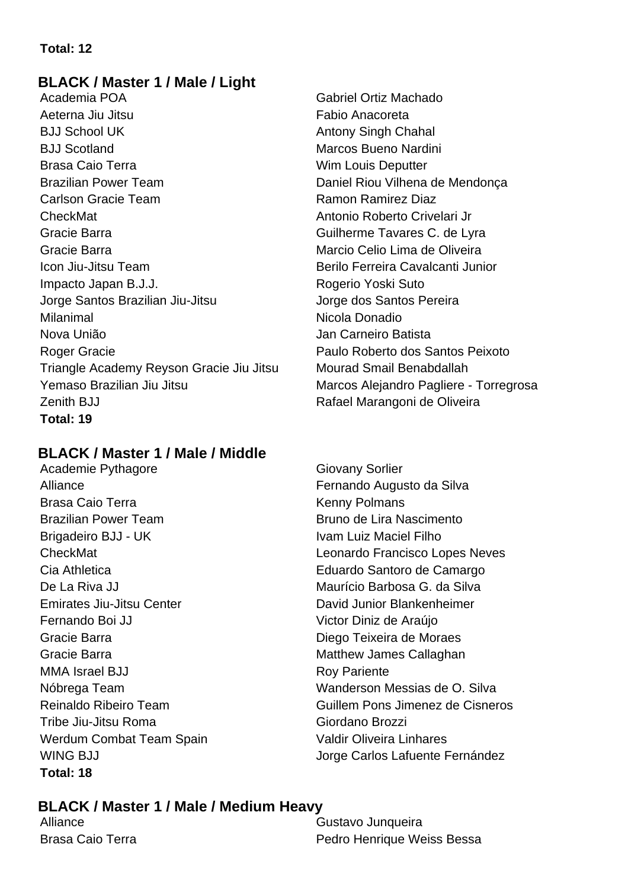#### **Total: 12**

#### **BLACK / Master 1 / Male / Light**

Academia POA Gabriel Ortiz Machado Aeterna Jiu Jitsu **Fabio Anacoreta** BJJ School UK Antony Singh Chahal BJJ Scotland Marcos Bueno Nardini Brasa Caio Terra Wim Louis Deputter Brazilian Power Team **Daniel Riou Vilhena de Mendonca** Carlson Gracie Team **Ramon Ramon Ramirez Diaz** CheckMat **Antonio Roberto Crivelari Jr. Antonio Roberto Crivelari Jr.** Gracie Barra **Guilherme Tavares C. de Lyra** Guilherme Tavares C. de Lyra Gracie Barra Marcio Celio Lima de Oliveira Icon Jiu-Jitsu Team Berilo Ferreira Cavalcanti Junior Impacto Japan B.J.J. Rogerio Yoski Suto Jorge Santos Brazilian Jiu-Jitsu **International Stantos Pereira** Milanimal Nicola Donadio Nova União **Jan Carneiro Batista** Roger Gracie **Paulo Roberto dos Santos Peixoto** Triangle Academy Reyson Gracie Jiu Jitsu Mourad Smail Benabdallah Yemaso Brazilian Jiu Jitsu Marcos Alejandro Pagliere - Torregrosa Zenith BJJ **Rafael Marangoni de Oliveira Total: 19**

#### **BLACK / Master 1 / Male / Middle**

Academie Pythagore Giovany Sorlier Alliance **Fernando Augusto da Silva** Brasa Caio Terra **Kenny Polmans** Brazilian Power Team **Bruno de Lira Nascimento** Brigadeiro BJJ - UK Ivam Luiz Maciel Filho Cia Athletica Eduardo Santoro de Camargo De La Riva JJ Maurício Barbosa G. da Silva Emirates Jiu-Jitsu Center David Junior Blankenheimer Fernando Boi JJ Victor Diniz de Araújo Gracie Barra **Diego Teixeira de Moraes** Gracie Barra **Matthew James Callaghan** MMA Israel BJJ Roy Pariente Tribe Jiu-Jitsu Roma Giordano Brozzi Werdum Combat Team Spain Valdir Oliveira Linhares **Total: 18**

CheckMat Leonardo Francisco Lopes Neves Nóbrega Team Wanderson Messias de O. Silva Reinaldo Ribeiro Team **Guillem Pons Jimenez de Cisneros** WING BJJ VING BU

#### **BLACK / Master 1 / Male / Medium Heavy**

Alliance Gustavo Junqueira Brasa Caio Terra **Pedro Henrique Weiss Bessa**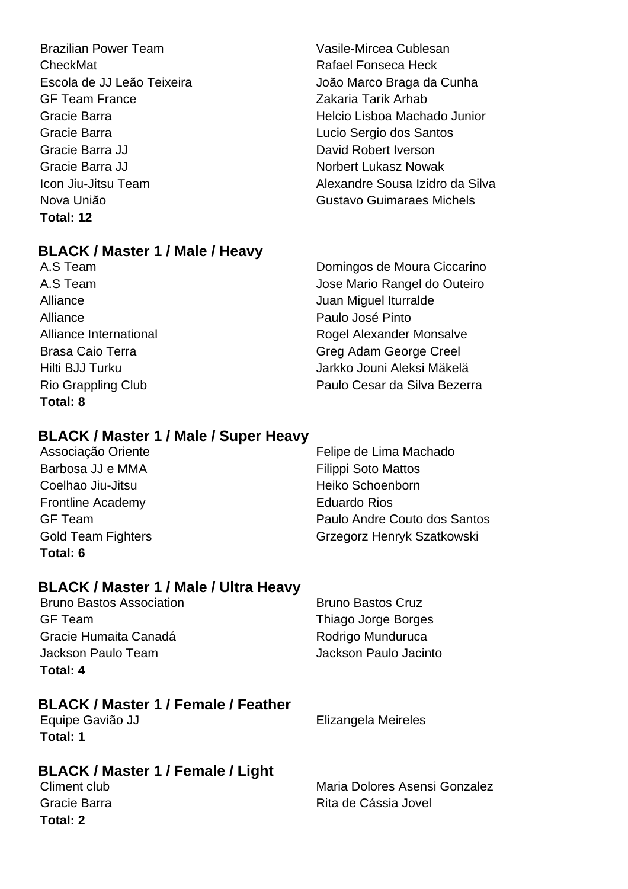Brazilian Power Team **Vasile-Mircea Cublesan** CheckMat **CheckMat** Rafael Fonseca Heck GF Team France **Zakaria Tarik Arhab** Gracie Barra Lucio Sergio dos Santos Gracie Barra JJ **David Robert Iverson** Gracie Barra JJ Norbert Lukasz Nowak **Total: 12**

#### **BLACK / Master 1 / Male / Heavy**

Alliance **Paulo José Pinto Total: 8**

Escola de JJ Leão Teixeira **João Marco Braga da Cunha** Gracie Barra Helcio Lisboa Machado Junior Icon Jiu-Jitsu Team Alexandre Sousa Izidro da Silva Nova União **Gustavo Guimaraes Michels** 

A.S Team Domingos de Moura Ciccarino A.S Team Jose Mario Rangel do Outeiro Alliance Juan Miguel Iturralde Alliance International **Rogel Alexander Monsalve** Brasa Caio Terra **Green Creel** Greg Adam George Creel Hilti BJJ Turku Jarkko Jouni Aleksi Mäkelä Rio Grappling Club **Paulo Cesar da Silva Bezerra** 

### **BLACK / Master 1 / Male / Super Heavy**

Barbosa JJ e MMA **Filippi** Soto Mattos Coelhao Jiu-Jitsu **Marting Coelhao Jiu-Jitsu** Heiko Schoenborn Frontline Academy **Eduardo** Rios **Total: 6**

Associação Oriente **Felipe de Lima Machado** GF Team Paulo Andre Couto dos Santos Gold Team Fighters Grzegorz Henryk Szatkowski

#### **BLACK / Master 1 / Male / Ultra Heavy**

Bruno Bastos Association **Bruno Bastos Cruz** GF Team Thiago Jorge Borges Gracie Humaita Canadá Rodrigo Munduruca Jackson Paulo Team Jackson Paulo Jacinto **Total: 4**

#### **BLACK / Master 1 / Female / Feather**

Equipe Gavião JJ Elizangela Meireles **Total: 1**

#### **BLACK / Master 1 / Female / Light**

**Total: 2**

Climent club Maria Dolores Asensi Gonzalez Gracie Barra **Rita de Cássia Jovel**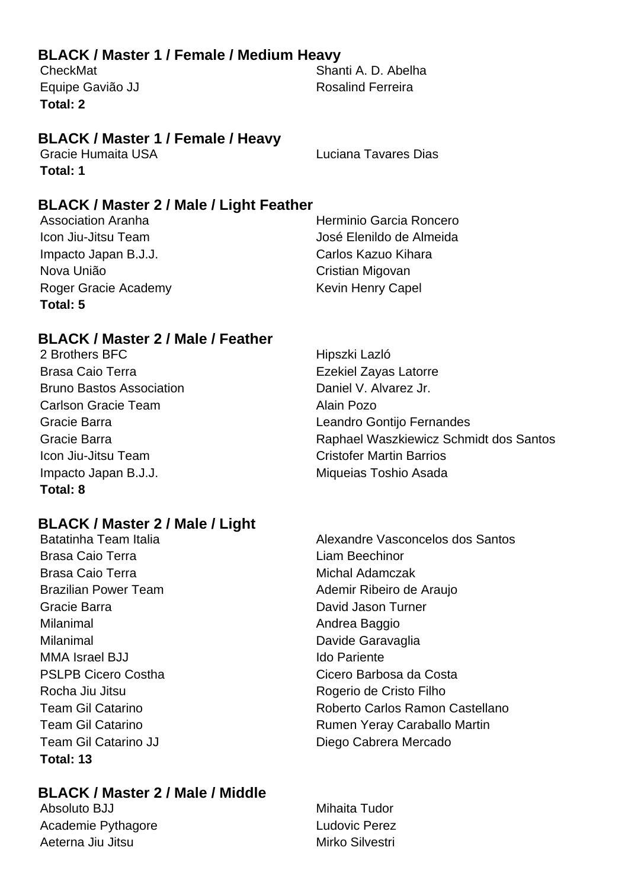#### **BLACK / Master 1 / Female / Medium Heavy**

**Total: 2**

CheckMat Shanti A. D. Abelha Equipe Gavião JJ Rosalind Ferreira

#### **BLACK / Master 1 / Female / Heavy**

Gracie Humaita USA Luciana Tavares Dias **Total: 1**

**BLACK / Master 2 / Male / Light Feather**

Association Aranha **Herminio Garcia Roncero** Icon Jiu-Jitsu Team **José Elenildo de Almeida** Impacto Japan B.J.J. Carlos Kazuo Kihara Nova União **Nova União** Cristian Migovan Roger Gracie Academy **Kevin Henry Capel Total: 5**

#### **BLACK / Master 2 / Male / Feather**

2 Brothers BFC **Hipszki** Lazló Brasa Caio Terra **Exekiel Zayas Latorre** Ezekiel Zayas Latorre Bruno Bastos Association **Daniel V. Alvarez Jr.** Daniel V. Alvarez Jr. Carlson Gracie Team Alain Pozo **Icon Jiu-Jitsu Team Cristofer Martin Barrios** Impacto Japan B.J.J. **Miqueias Toshio Asada Total: 8**

### **BLACK / Master 2 / Male / Light**

Brasa Caio Terra **Liam Beechinor** Brasa Caio Terra **Michal Adamczak** Gracie Barra **David Jason Turner** Cracie Barra Milanimal **Andrea Baggio** Milanimal Davide Garavaglia MMA Israel BJJ **Ido Pariente** Rocha Jiu Jitsu **Rogerio de Cristo Filho** Team Gil Catarino JJ Diego Cabrera Mercado **Total: 13**

#### **BLACK / Master 2 / Male / Middle**

Absoluto BJJ Mihaita Tudor Academie Pythagore **Ludovic Perez** Aeterna Jiu Jitsu **Mirko Silvestri** Mirko Silvestri

Gracie Barra Leandro Gontijo Fernandes Gracie Barra Raphael Waszkiewicz Schmidt dos Santos

Batatinha Team Italia Alexandre Vasconcelos dos Santos Brazilian Power Team Ademir Ribeiro de Araujo PSLPB Cicero Costha Cicero Barbosa da Costa Team Gil Catarino **Roberto Carlos Ramon Castellano** Team Gil Catarino **Rumen Yeray Caraballo Martin**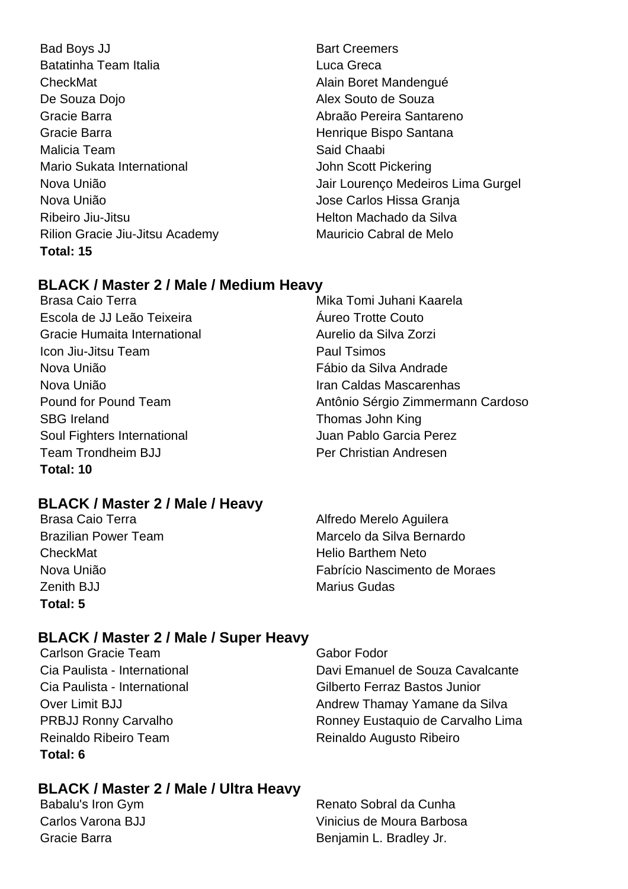Bad Boys JJ Bart Creemers Batatinha Team Italia **Luca Greca** CheckMat **Alain Boret Mandengué** De Souza Dojo **Alex Souto de Souza** Gracie Barra **Abraão Pereira Santareno** Gracie Barra **Henrique Bispo Santana** Malicia Team Said Chaabi Mario Sukata International Mario Sukata International According the Scott Pickering Nova União **Nova União** de Antica Estado de Antica do Jose Carlos Hissa Granja Ribeiro Jiu-Jitsu Helton Machado da Silva Rilion Gracie Jiu-Jitsu Academy Mauricio Cabral de Melo **Total: 15**

Nova União **Jair Lourenco Medeiros Lima Gurgel** 

#### **BLACK / Master 2 / Male / Medium Heavy**

Brasa Caio Terra **Mika Tomi Juhani Kaarela** Escola de JJ Leão Teixeira Áureo Trotte Couto Gracie Humaita International **Aurelio da Silva Zorzi Icon Jiu-Jitsu Team Paul Tsimos** Nova União Fábio da Silva Andrade Nova União Iran Caldas Mascarenhas Pound for Pound Team Antônio Sérgio Zimmermann Cardoso SBG Ireland SBG Ireland Thomas John King Soul Fighters International Soul Fighters International Juan Pablo Garcia Perez Team Trondheim BJJ Per Christian Andresen **Total: 10**

### **BLACK / Master 2 / Male / Heavy**

CheckMat **Helio Barthem Neto** Zenith BJJ Marius Gudas **Total: 5**

Brasa Caio Terra **Alfredo Merelo Aguilera** Brazilian Power Team Marcelo da Silva Bernardo Nova União Fabrício Nascimento de Moraes

#### **BLACK / Master 2 / Male / Super Heavy**

Carlson Gracie Team Gabor Fodor Reinaldo Ribeiro Team Reinaldo Augusto Ribeiro **Total: 6**

Cia Paulista - International Davi Emanuel de Souza Cavalcante Cia Paulista - International Gilberto Ferraz Bastos Junior Over Limit BJJ **Andrew Thamay Yamane da Silva** PRBJJ Ronny Carvalho Ronney Eustaquio de Carvalho Lima

### **BLACK / Master 2 / Male / Ultra Heavy**

Babalu's Iron Gym **Babalu's Iron Gym** Renato Sobral da Cunha Carlos Varona BJJ Vinicius de Moura Barbosa Gracie Barra **Benjamin L. Bradley Jr.** Benjamin L. Bradley Jr.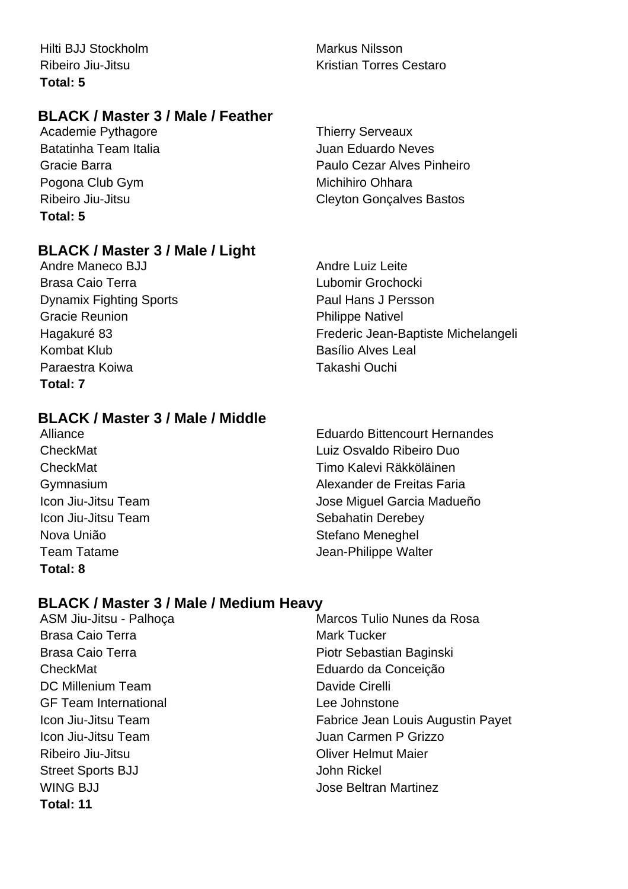Hilti BJJ Stockholm **Markus Nilsson Total: 5**

#### **BLACK / Master 3 / Male / Feather**

Academie Pythagore Thierry Serveaux Batatinha Team Italia **Juan Eduardo Neves** Pogona Club Gym Michihiro Ohhara **Total: 5**

#### **BLACK / Master 3 / Male / Light**

Andre Maneco BJJ Andre Luiz Leite Brasa Caio Terra **Lubomir Grochocki** Dynamix Fighting Sports **Paul Hans J Persson** Gracie Reunion **Philippe Nativel** Kombat Klub **Basílio Alves Leal** Paraestra Koiwa Takashi Ouchi **Total: 7**

## Ribeiro Jiu-Jitsu **Kristian Torres Cestaro**

Gracie Barra **Paulo Cezar Alves Pinheiro** Paulo Cezar Alves Pinheiro Ribeiro Jiu-Jitsu Cleyton Gonçalves Bastos

Hagakuré 83 Frederic Jean-Baptiste Michelangeli

#### **BLACK / Master 3 / Male / Middle**

Nova União **Nova União** e a constructiva e Stefano Meneghel **Total: 8**

Alliance Eduardo Bittencourt Hernandes CheckMat Luiz Osvaldo Ribeiro Duo CheckMat Timo Kalevi Räkköläinen Gymnasium Alexander de Freitas Faria Icon Jiu-Jitsu Team  $\qquad \qquad$  Jose Miguel Garcia Madueño Icon Jiu-Jitsu Team Sebahatin Derebey Team Tatame **Team Tatame Jean-Philippe Walter** 

#### **BLACK / Master 3 / Male / Medium Heavy**

- Brasa Caio Terra Mark Tucker DC Millenium Team **Davide Cirelli** GF Team International and the United States of Lee Johnstone Ribeiro Jiu-Jitsu **Nicholas Coliver Helmut Maier** Street Sports BJJ John Rickel WING BJJ **Jose Beltran Martinez Total: 11**
- ASM Jiu-Jitsu Palhoca Marcos Tulio Nunes da Rosa Brasa Caio Terra **Piotr Sebastian Baginski** CheckMat Eduardo da Conceição Icon Jiu-Jitsu Team Fabrice Jean Louis Augustin Payet **Icon Jiu-Jitsu Team 1988** Icon Jiu-Jitsu Team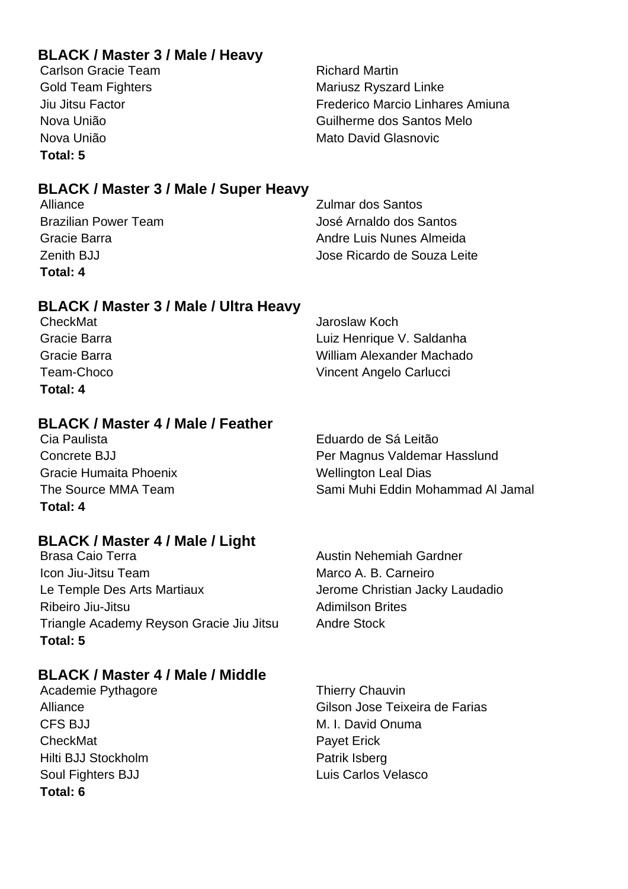#### **BLACK / Master 3 / Male / Heavy**

Carlson Gracie Team **Richard Martin Total: 5**

Gold Team Fighters **Mariusz Ryszard Linke** Jiu Jitsu Factor Frederico Marcio Linhares Amiuna Nova União Guilherme dos Santos Melo Nova União **Mato David Glasnovic** Mato David Glasnovic

### **BLACK / Master 3 / Male / Super Heavy**

| Alliance                    | <b>Zulmar dos Santos</b>    |
|-----------------------------|-----------------------------|
| <b>Brazilian Power Team</b> | José Arnaldo dos Santos     |
| Gracie Barra                | Andre Luis Nunes Almeida    |
| Zenith BJJ                  | Jose Ricardo de Souza Leite |
| Total: 4                    |                             |

#### **BLACK / Master 3 / Male / Ultra Heavy**

| CheckMat     | Jaroslaw Koch             |
|--------------|---------------------------|
| Gracie Barra | Luiz Henrique V. Saldanha |
| Gracie Barra | William Alexander Machado |
| Team-Choco   | Vincent Angelo Carlucci   |
| Total: 4     |                           |

#### **BLACK / Master 4 / Male / Feather**

Cia Paulista Eduardo de Sá Leitão Concrete BJJ Per Magnus Valdemar Hasslund Gracie Humaita Phoenix **Wellington Leal Dias** The Source MMA Team Sami Muhi Eddin Mohammad Al Jamal **Total: 4**

#### **BLACK / Master 4 / Male / Light**

Brasa Caio Terra **Australia Australia Austin Nehemiah Gardner** Icon Jiu-Jitsu Team **Marco A. B. Carneiro** Marco A. B. Carneiro Le Temple Des Arts Martiaux **Jerome Christian Jacky Laudadio** Ribeiro Jiu-Jitsu **Adimilson Brites** Adimilson Brites Triangle Academy Reyson Gracie Jiu Jitsu Andre Stock **Total: 5**

#### **BLACK / Master 4 / Male / Middle**

CFS BJJ M. I. David Onuma CheckMat **Payet Erick** Hilti BJJ Stockholm **Patrik Isberg** Soul Fighters BJJ Luis Carlos Velasco **Total: 6**

Academie Pythagore Thierry Chauvin Alliance Gilson Jose Teixeira de Farias